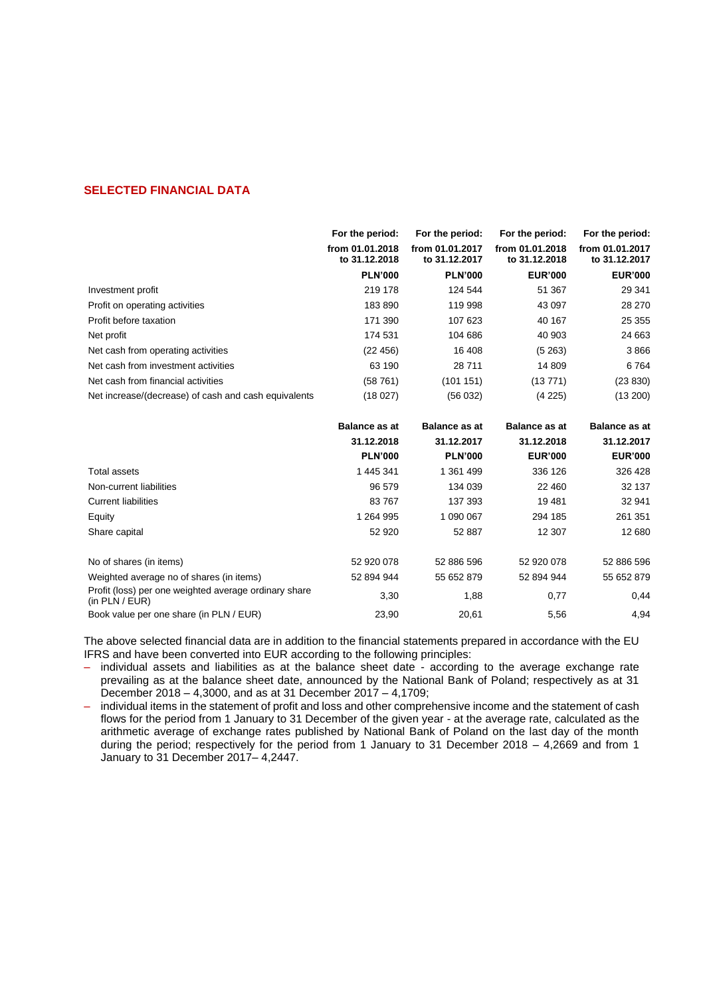# **SELECTED FINANCIAL DATA**

|                                                                         | For the period:                  | For the period:                  | For the period:                  | For the period:                  |
|-------------------------------------------------------------------------|----------------------------------|----------------------------------|----------------------------------|----------------------------------|
|                                                                         | from 01.01.2018<br>to 31.12.2018 | from 01.01.2017<br>to 31.12.2017 | from 01.01.2018<br>to 31.12.2018 | from 01.01.2017<br>to 31.12.2017 |
|                                                                         | <b>PLN'000</b>                   | <b>PLN'000</b>                   | <b>EUR'000</b>                   | <b>EUR'000</b>                   |
| Investment profit                                                       | 219 178                          | 124 544                          | 51 367                           | 29 341                           |
| Profit on operating activities                                          | 183890                           | 119 998                          | 43 097                           | 28 270                           |
| Profit before taxation                                                  | 171 390                          | 107 623                          | 40 167                           | 25 355                           |
| Net profit                                                              | 174 531                          | 104 686                          | 40 903                           | 24 663                           |
| Net cash from operating activities                                      | (22 456)                         | 16 408                           | (5263)                           | 3866                             |
| Net cash from investment activities                                     | 63 190                           | 28 711                           | 14 809                           | 6764                             |
| Net cash from financial activities                                      | (58761)                          | (101151)                         | (13771)                          | (23 830)                         |
| Net increase/(decrease) of cash and cash equivalents                    | (18027)                          | (56032)                          | (4225)                           | (13 200)                         |
|                                                                         | <b>Balance as at</b>             | <b>Balance as at</b>             | <b>Balance as at</b>             | <b>Balance as at</b>             |
|                                                                         | 31.12.2018                       | 31.12.2017                       | 31.12.2018                       | 31.12.2017                       |
|                                                                         | <b>PLN'000</b>                   | <b>PLN'000</b>                   | <b>EUR'000</b>                   | <b>EUR'000</b>                   |
| Total assets                                                            | 1 445 341                        | 1 361 499                        | 336 126                          | 326 428                          |
| Non-current liabilities                                                 | 96 579                           | 134 039                          | 22 460                           | 32 137                           |
| <b>Current liabilities</b>                                              | 83767                            | 137 393                          | 19481                            | 32 941                           |
| Equity                                                                  | 1 264 995                        | 1 090 067                        | 294 185                          | 261 351                          |
| Share capital                                                           | 52 920                           | 52 887                           | 12 307                           | 12 680                           |
| No of shares (in items)                                                 | 52 920 078                       | 52 886 596                       | 52 920 078                       | 52 886 596                       |
| Weighted average no of shares (in items)                                | 52 894 944                       | 55 652 879                       | 52 894 944                       | 55 652 879                       |
| Profit (loss) per one weighted average ordinary share<br>(in PLN / EUR) | 3,30                             | 1,88                             | 0,77                             | 0,44                             |

The above selected financial data are in addition to the financial statements prepared in accordance with the EU IFRS and have been converted into EUR according to the following principles:

Book value per one share (in PLN / EUR) 23,90 20,61 5,56 4,94 34,94

- individual assets and liabilities as at the balance sheet date according to the average exchange rate prevailing as at the balance sheet date, announced by the National Bank of Poland; respectively as at 31 December 2018 – 4,3000, and as at 31 December 2017 – 4,1709;
- individual items in the statement of profit and loss and other comprehensive income and the statement of cash flows for the period from 1 January to 31 December of the given year - at the average rate, calculated as the arithmetic average of exchange rates published by National Bank of Poland on the last day of the month during the period; respectively for the period from 1 January to 31 December 2018 – 4,2669 and from 1 January to 31 December 2017– 4,2447.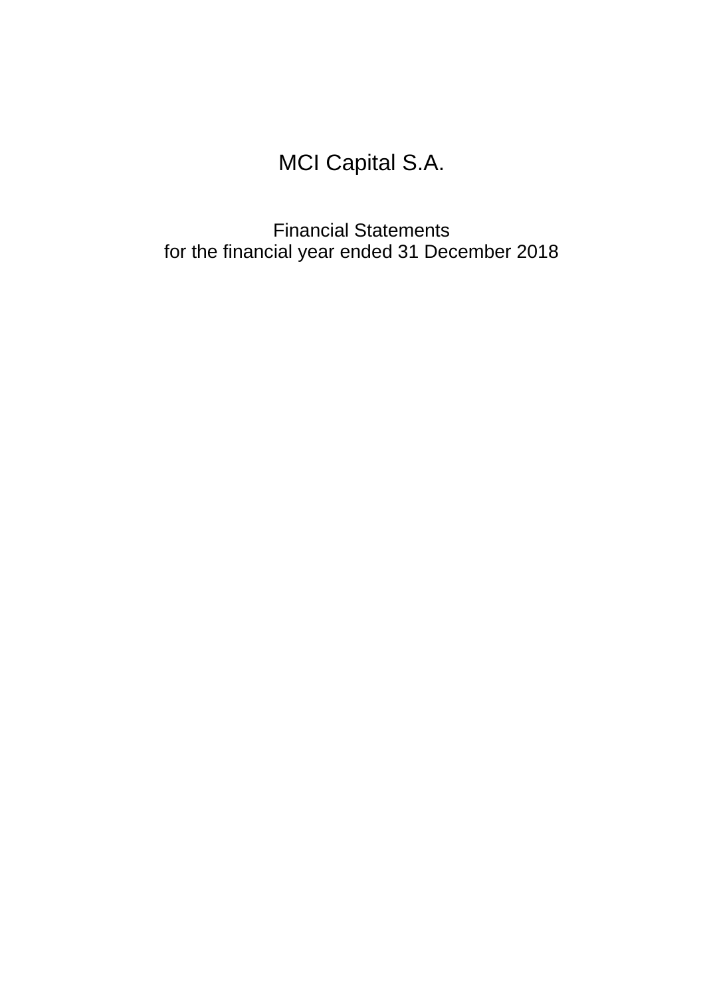# MCI Capital S.A.

Financial Statements for the financial year ended 31 December 2018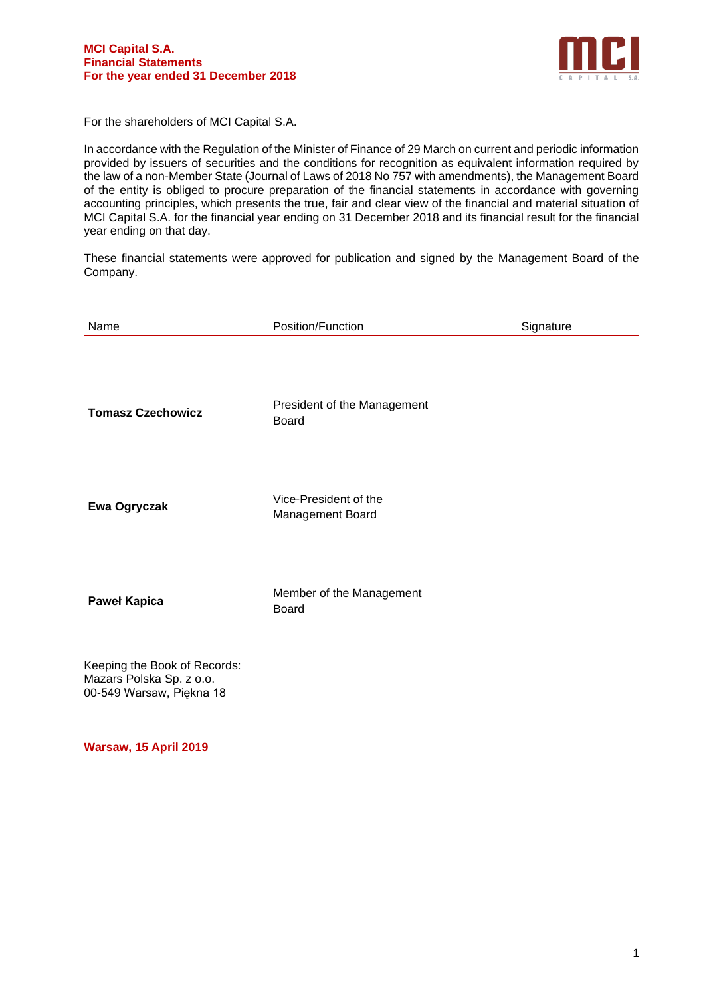

For the shareholders of MCI Capital S.A.

In accordance with the Regulation of the Minister of Finance of 29 March on current and periodic information provided by issuers of securities and the conditions for recognition as equivalent information required by the law of a non-Member State (Journal of Laws of 2018 No 757 with amendments), the Management Board of the entity is obliged to procure preparation of the financial statements in accordance with governing accounting principles, which presents the true, fair and clear view of the financial and material situation of MCI Capital S.A. for the financial year ending on 31 December 2018 and its financial result for the financial year ending on that day.

These financial statements were approved for publication and signed by the Management Board of the Company.

| Name                                                                                 | Position/Function                           | Signature |
|--------------------------------------------------------------------------------------|---------------------------------------------|-----------|
| <b>Tomasz Czechowicz</b>                                                             | President of the Management<br><b>Board</b> |           |
| Ewa Ogryczak                                                                         | Vice-President of the<br>Management Board   |           |
| <b>Paweł Kapica</b>                                                                  | Member of the Management<br><b>Board</b>    |           |
| Keeping the Book of Records:<br>Mazars Polska Sp. z o.o.<br>00-549 Warsaw, Piękna 18 |                                             |           |

**Warsaw, 15 April 2019**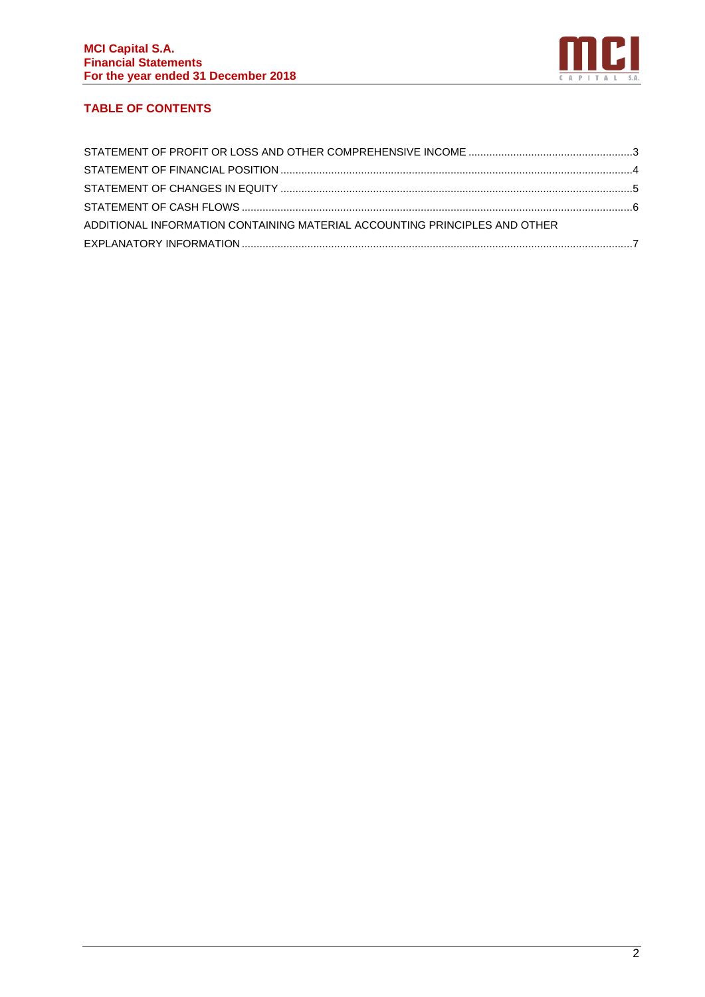

# **TABLE OF CONTENTS**

| ADDITIONAL INFORMATION CONTAINING MATERIAL ACCOUNTING PRINCIPLES AND OTHER |  |
|----------------------------------------------------------------------------|--|
|                                                                            |  |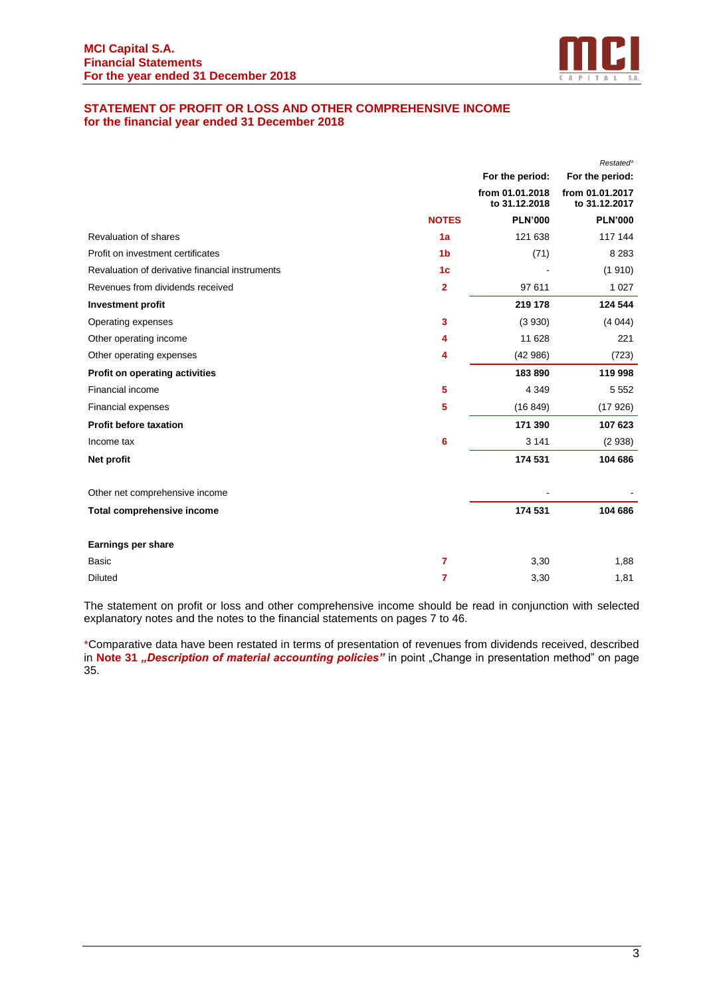

# <span id="page-4-0"></span>**STATEMENT OF PROFIT OR LOSS AND OTHER COMPREHENSIVE INCOME for the financial year ended 31 December 2018**

|                                                 |                |                                  | Restated*                        |
|-------------------------------------------------|----------------|----------------------------------|----------------------------------|
|                                                 |                | For the period:                  | For the period:                  |
|                                                 |                | from 01.01.2018<br>to 31.12.2018 | from 01.01.2017<br>to 31.12.2017 |
|                                                 | <b>NOTES</b>   | <b>PLN'000</b>                   | <b>PLN'000</b>                   |
| Revaluation of shares                           | 1a             | 121 638                          | 117 144                          |
| Profit on investment certificates               | 1 <sub>b</sub> | (71)                             | 8 2 8 3                          |
| Revaluation of derivative financial instruments | 1 <sub>c</sub> |                                  | (1910)                           |
| Revenues from dividends received                | $\mathbf{2}$   | 97 611                           | 1 0 2 7                          |
| <b>Investment profit</b>                        |                | 219 178                          | 124 544                          |
| Operating expenses                              | 3              | (3 930)                          | (4044)                           |
| Other operating income                          | 4              | 11 628                           | 221                              |
| Other operating expenses                        | 4              | (42986)                          | (723)                            |
| Profit on operating activities                  |                | 183890                           | 119 998                          |
| Financial income                                | 5              | 4 3 4 9                          | 5 5 5 2                          |
| Financial expenses                              | 5              | (16849)                          | (17926)                          |
| <b>Profit before taxation</b>                   |                | 171 390                          | 107 623                          |
| Income tax                                      | 6              | 3 1 4 1                          | (2938)                           |
| Net profit                                      |                | 174 531                          | 104 686                          |
| Other net comprehensive income                  |                |                                  |                                  |
| Total comprehensive income                      |                | 174 531                          | 104 686                          |
| Earnings per share                              |                |                                  |                                  |
| Basic                                           | $\overline{7}$ | 3,30                             | 1,88                             |
| <b>Diluted</b>                                  | 7              | 3,30                             | 1,81                             |

The statement on profit or loss and other comprehensive income should be read in conjunction with selected explanatory notes and the notes to the financial statements on pages 7 to 46.

\*Comparative data have been restated in terms of presentation of revenues from dividends received, described in **Note 31** *"Description of material accounting policies"* in point "Change in presentation method" on page 35.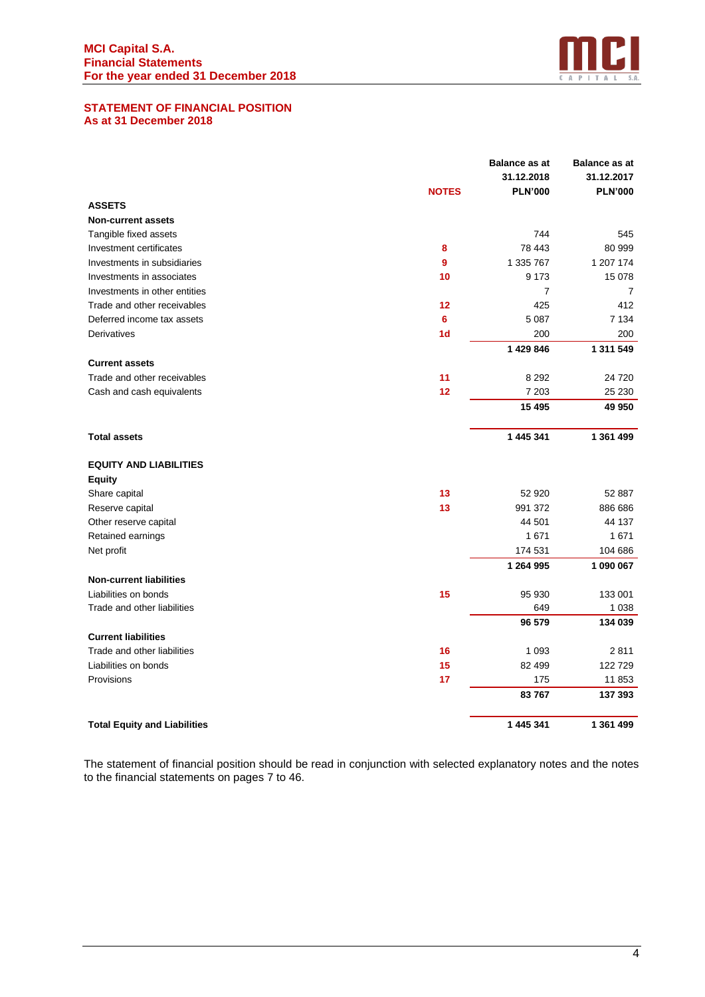

#### <span id="page-5-0"></span>**STATEMENT OF FINANCIAL POSITION As at 31 December 2018**

|                                     |                | <b>Balance as at</b> | <b>Balance as at</b> |
|-------------------------------------|----------------|----------------------|----------------------|
|                                     |                | 31.12.2018           | 31.12.2017           |
|                                     | <b>NOTES</b>   | <b>PLN'000</b>       | <b>PLN'000</b>       |
| <b>ASSETS</b>                       |                |                      |                      |
| <b>Non-current assets</b>           |                |                      |                      |
| Tangible fixed assets               |                | 744                  | 545                  |
| Investment certificates             | 8              | 78 443               | 80 999               |
| Investments in subsidiaries         | 9              | 1 335 767            | 1 207 174            |
| Investments in associates           | 10             | 9 1 7 3              | 15 078               |
| Investments in other entities       |                | $\overline{7}$       | $\overline{7}$       |
| Trade and other receivables         | 12             | 425                  | 412                  |
| Deferred income tax assets          | 6              | 5 0 8 7              | 7 1 3 4              |
| Derivatives                         | 1 <sub>d</sub> | 200                  | 200                  |
|                                     |                | 1 429 846            | 1 311 549            |
| <b>Current assets</b>               |                |                      |                      |
| Trade and other receivables         | 11             | 8 2 9 2              | 24 7 20              |
| Cash and cash equivalents           | 12             | 7 203                | 25 230               |
|                                     |                | 15 4 95              | 49 950               |
| <b>Total assets</b>                 |                | 1 445 341            | 1 361 499            |
| <b>EQUITY AND LIABILITIES</b>       |                |                      |                      |
| <b>Equity</b>                       |                |                      |                      |
| Share capital                       | 13             | 52 920               | 52 887               |
| Reserve capital                     | 13             | 991 372              | 886 686              |
| Other reserve capital               |                | 44 501               | 44 137               |
| Retained earnings                   |                | 1671                 | 1671                 |
| Net profit                          |                | 174 531              | 104 686              |
|                                     |                | 1 264 995            | 1 090 067            |
| <b>Non-current liabilities</b>      |                |                      |                      |
| Liabilities on bonds                | 15             | 95 930               | 133 001              |
| Trade and other liabilities         |                | 649                  | 1 0 38               |
|                                     |                | 96 579               | 134 039              |
| <b>Current liabilities</b>          |                |                      |                      |
| Trade and other liabilities         | 16             | 1 0 9 3              | 2811                 |
| Liabilities on bonds                | 15             | 82 499               | 122 729              |
| Provisions                          | 17             | 175                  | 11853                |
|                                     |                | 83767                | 137 393              |
| <b>Total Equity and Liabilities</b> |                | 1 445 341            | 1 361 499            |

The statement of financial position should be read in conjunction with selected explanatory notes and the notes to the financial statements on pages 7 to 46.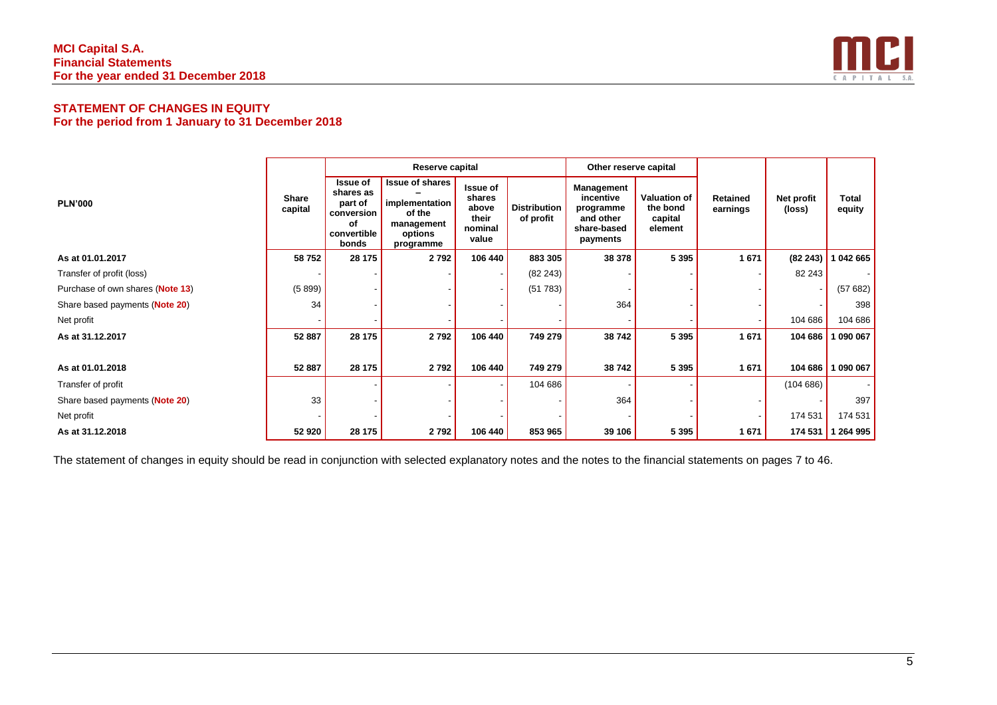

# **STATEMENT OF CHANGES IN EQUITY For the period from 1 January to 31 December 2018**

|                                  |                         |                                                                                     | Reserve capital                                                                          |                                                                 |                                  | Other reserve capital                                                        |                                                       |                      |                      |                        |
|----------------------------------|-------------------------|-------------------------------------------------------------------------------------|------------------------------------------------------------------------------------------|-----------------------------------------------------------------|----------------------------------|------------------------------------------------------------------------------|-------------------------------------------------------|----------------------|----------------------|------------------------|
| <b>PLN'000</b>                   | <b>Share</b><br>capital | <b>Issue of</b><br>shares as<br>part of<br>conversion<br>of<br>convertible<br>bonds | <b>Issue of shares</b><br>implementation<br>of the<br>management<br>options<br>programme | <b>Issue of</b><br>shares<br>above<br>their<br>nominal<br>value | <b>Distribution</b><br>of profit | Management<br>incentive<br>programme<br>and other<br>share-based<br>payments | <b>Valuation of</b><br>the bond<br>capital<br>element | Retained<br>earnings | Net profit<br>(loss) | <b>Total</b><br>equity |
| As at 01.01.2017                 | 58752                   | 28 175                                                                              | 2792                                                                                     | 106 440                                                         | 883 305                          | 38 378                                                                       | 5 3 9 5                                               | 1671                 | (82243)              | 1 042 665              |
| Transfer of profit (loss)        |                         |                                                                                     |                                                                                          |                                                                 | (82 243)                         |                                                                              |                                                       |                      | 82 243               |                        |
| Purchase of own shares (Note 13) | (5899)                  |                                                                                     |                                                                                          |                                                                 | (51 783)                         |                                                                              |                                                       |                      |                      | (57682)                |
| Share based payments (Note 20)   | 34                      |                                                                                     |                                                                                          |                                                                 |                                  | 364                                                                          |                                                       |                      |                      | 398                    |
| Net profit                       |                         |                                                                                     |                                                                                          |                                                                 |                                  |                                                                              |                                                       |                      | 104 686              | 104 686                |
| As at 31.12.2017                 | 52 887                  | 28 175                                                                              | 2792                                                                                     | 106 440                                                         | 749 279                          | 38 742                                                                       | 5 3 9 5                                               | 1671                 | 104 686              | 090 067                |
|                                  |                         |                                                                                     |                                                                                          |                                                                 |                                  |                                                                              |                                                       |                      |                      |                        |
| As at 01.01.2018                 | 52 887                  | 28 175                                                                              | 2792                                                                                     | 106 440                                                         | 749 279                          | 38 742                                                                       | 5 3 9 5                                               | 1671                 | 104 686              | 1 090 067              |
| Transfer of profit               |                         |                                                                                     |                                                                                          |                                                                 | 104 686                          |                                                                              |                                                       |                      | (104686)             |                        |
| Share based payments (Note 20)   | 33                      |                                                                                     |                                                                                          |                                                                 |                                  | 364                                                                          |                                                       |                      |                      | 397                    |
| Net profit                       |                         |                                                                                     |                                                                                          |                                                                 |                                  |                                                                              |                                                       |                      | 174 531              | 174 531                |
| As at 31.12.2018                 | 52 920                  | 28 175                                                                              | 2792                                                                                     | 106 440                                                         | 853 965                          | 39 106                                                                       | 5 3 9 5                                               | 1671                 | 174 531              | 1 264 995              |

<span id="page-6-0"></span>The statement of changes in equity should be read in conjunction with selected explanatory notes and the notes to the financial statements on pages 7 to 46.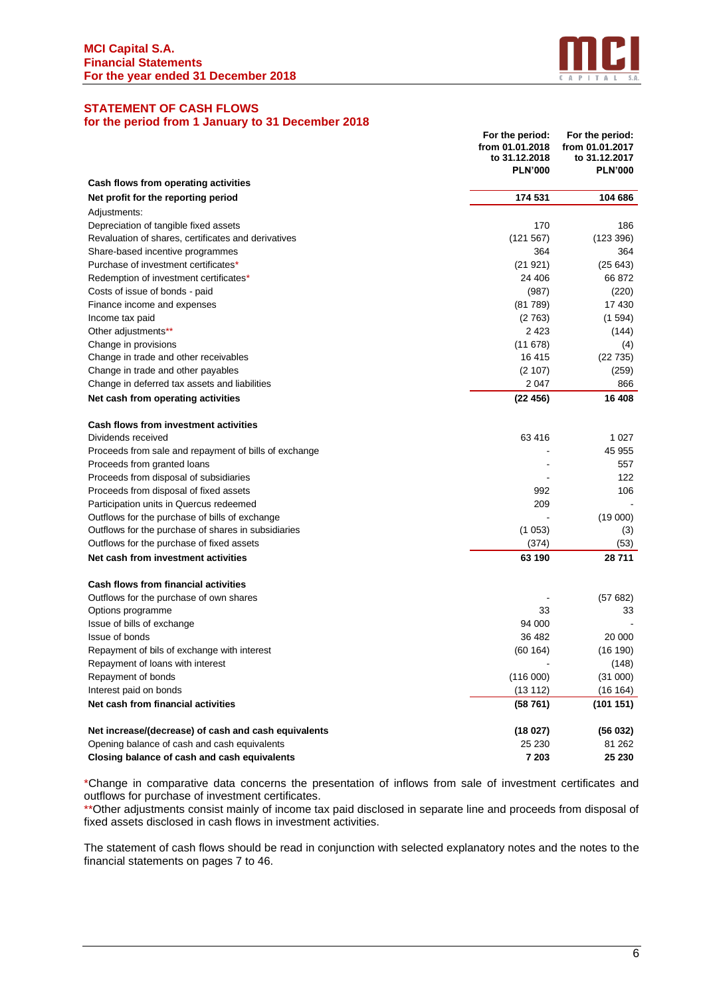

# <span id="page-7-0"></span>**STATEMENT OF CASH FLOWS**

# **for the period from 1 January to 31 December 2018**

|                                                       | For the period:<br>from 01.01.2018<br>to 31.12.2018<br><b>PLN'000</b> | For the period:<br>from 01.01.2017<br>to 31.12.2017<br><b>PLN'000</b> |
|-------------------------------------------------------|-----------------------------------------------------------------------|-----------------------------------------------------------------------|
| Cash flows from operating activities                  |                                                                       |                                                                       |
| Net profit for the reporting period                   | 174 531                                                               | 104 686                                                               |
| Adjustments:                                          |                                                                       |                                                                       |
| Depreciation of tangible fixed assets                 | 170                                                                   | 186                                                                   |
| Revaluation of shares, certificates and derivatives   | (121 567)                                                             | (123 396)                                                             |
| Share-based incentive programmes                      | 364                                                                   | 364                                                                   |
| Purchase of investment certificates*                  | (21921)                                                               | (25643)                                                               |
| Redemption of investment certificates*                | 24 406                                                                | 66872                                                                 |
| Costs of issue of bonds - paid                        | (987)                                                                 | (220)                                                                 |
| Finance income and expenses                           | (81789)                                                               | 17 430                                                                |
| Income tax paid                                       | (2763)                                                                | (1594)                                                                |
| Other adjustments**                                   | 2 4 2 3                                                               | (144)                                                                 |
| Change in provisions                                  | (11678)                                                               | (4)                                                                   |
| Change in trade and other receivables                 | 16 415                                                                | (22735)                                                               |
| Change in trade and other payables                    | (2 107)                                                               | (259)                                                                 |
| Change in deferred tax assets and liabilities         | 2047                                                                  | 866                                                                   |
| Net cash from operating activities                    | (22456)                                                               | 16 408                                                                |
| <b>Cash flows from investment activities</b>          |                                                                       |                                                                       |
| Dividends received                                    | 63 416                                                                | 1 0 2 7                                                               |
| Proceeds from sale and repayment of bills of exchange |                                                                       | 45 955                                                                |
| Proceeds from granted loans                           |                                                                       | 557                                                                   |
| Proceeds from disposal of subsidiaries                |                                                                       | 122                                                                   |
| Proceeds from disposal of fixed assets                | 992                                                                   | 106                                                                   |
| Participation units in Quercus redeemed               | 209                                                                   |                                                                       |
| Outflows for the purchase of bills of exchange        |                                                                       | (19000)                                                               |
| Outflows for the purchase of shares in subsidiaries   | (1053)                                                                | (3)                                                                   |
| Outflows for the purchase of fixed assets             | (374)                                                                 | (53)                                                                  |
| Net cash from investment activities                   | 63 190                                                                | 28711                                                                 |
| Cash flows from financial activities                  |                                                                       |                                                                       |
| Outflows for the purchase of own shares               |                                                                       | (57682)                                                               |
| Options programme                                     | 33                                                                    | 33                                                                    |
| Issue of bills of exchange                            | 94 000                                                                |                                                                       |
| Issue of bonds                                        | 36 482                                                                | 20 000                                                                |
| Repayment of bils of exchange with interest           | (60164)                                                               | (16 190)                                                              |
| Repayment of loans with interest                      |                                                                       | (148)                                                                 |
| Repayment of bonds                                    | (116000)                                                              | (31 000)                                                              |
| Interest paid on bonds                                | (13 112)                                                              | (16 164)                                                              |
| Net cash from financial activities                    | (58761)                                                               | (101 151)                                                             |
| Net increase/(decrease) of cash and cash equivalents  | (18027)                                                               | (56032)                                                               |
| Opening balance of cash and cash equivalents          | 25 230                                                                | 81 262                                                                |
| Closing balance of cash and cash equivalents          | 7 203                                                                 | 25 230                                                                |

\*Change in comparative data concerns the presentation of inflows from sale of investment certificates and outflows for purchase of investment certificates.

\*\*Other adjustments consist mainly of income tax paid disclosed in separate line and proceeds from disposal of fixed assets disclosed in cash flows in investment activities.

The statement of cash flows should be read in conjunction with selected explanatory notes and the notes to the financial statements on pages 7 to 46.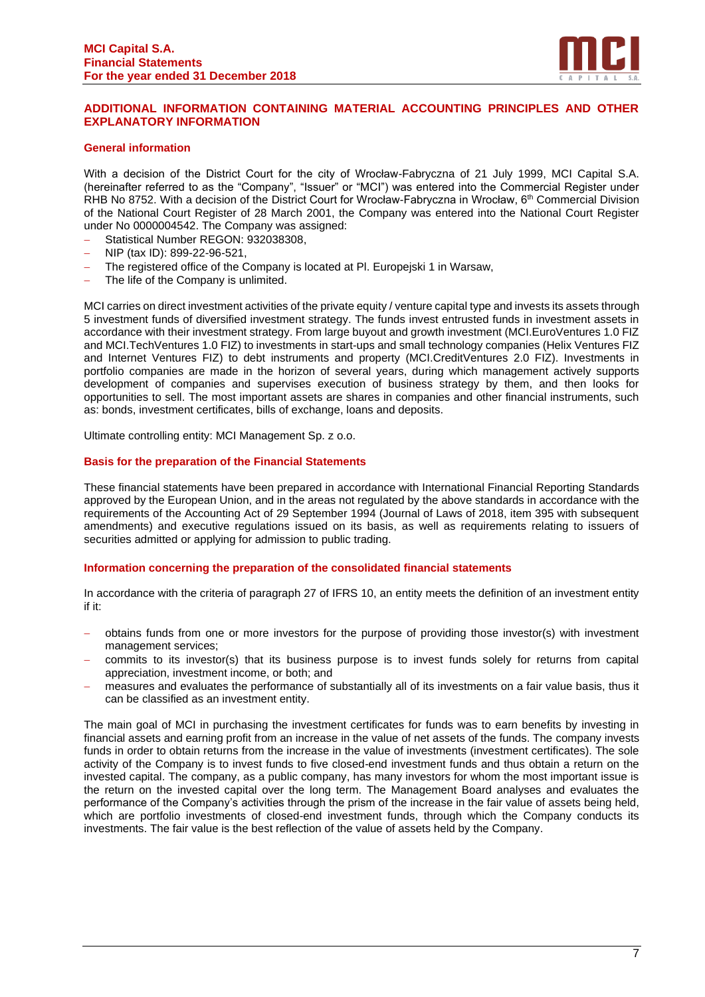

# <span id="page-8-0"></span>**ADDITIONAL INFORMATION CONTAINING MATERIAL ACCOUNTING PRINCIPLES AND OTHER EXPLANATORY INFORMATION**

#### **General information**

With a decision of the District Court for the city of Wrocław-Fabryczna of 21 July 1999, MCI Capital S.A. (hereinafter referred to as the "Company", "Issuer" or "MCI") was entered into the Commercial Register under RHB No 8752. With a decision of the District Court for Wrocław-Fabryczna in Wrocław, 6<sup>th</sup> Commercial Division of the National Court Register of 28 March 2001, the Company was entered into the National Court Register under No 0000004542. The Company was assigned:

- − Statistical Number REGON: 932038308,
- − NIP (tax ID): 899-22-96-521,
- The registered office of the Company is located at Pl. Europejski 1 in Warsaw,
- − The life of the Company is unlimited.

MCI carries on direct investment activities of the private equity / venture capital type and invests its assets through 5 investment funds of diversified investment strategy. The funds invest entrusted funds in investment assets in accordance with their investment strategy. From large buyout and growth investment (MCI.EuroVentures 1.0 FIZ and MCI.TechVentures 1.0 FIZ) to investments in start-ups and small technology companies (Helix Ventures FIZ and Internet Ventures FIZ) to debt instruments and property (MCI.CreditVentures 2.0 FIZ). Investments in portfolio companies are made in the horizon of several years, during which management actively supports development of companies and supervises execution of business strategy by them, and then looks for opportunities to sell. The most important assets are shares in companies and other financial instruments, such as: bonds, investment certificates, bills of exchange, loans and deposits.

Ultimate controlling entity: MCI Management Sp. z o.o.

#### **Basis for the preparation of the Financial Statements**

These financial statements have been prepared in accordance with International Financial Reporting Standards approved by the European Union, and in the areas not regulated by the above standards in accordance with the requirements of the Accounting Act of 29 September 1994 (Journal of Laws of 2018, item 395 with subsequent amendments) and executive regulations issued on its basis, as well as requirements relating to issuers of securities admitted or applying for admission to public trading.

#### **Information concerning the preparation of the consolidated financial statements**

In accordance with the criteria of paragraph 27 of IFRS 10, an entity meets the definition of an investment entity if it:

- − obtains funds from one or more investors for the purpose of providing those investor(s) with investment management services;
- commits to its investor(s) that its business purpose is to invest funds solely for returns from capital appreciation, investment income, or both; and
- − measures and evaluates the performance of substantially all of its investments on a fair value basis, thus it can be classified as an investment entity.

The main goal of MCI in purchasing the investment certificates for funds was to earn benefits by investing in financial assets and earning profit from an increase in the value of net assets of the funds. The company invests funds in order to obtain returns from the increase in the value of investments (investment certificates). The sole activity of the Company is to invest funds to five closed-end investment funds and thus obtain a return on the invested capital. The company, as a public company, has many investors for whom the most important issue is the return on the invested capital over the long term. The Management Board analyses and evaluates the performance of the Company's activities through the prism of the increase in the fair value of assets being held, which are portfolio investments of closed-end investment funds, through which the Company conducts its investments. The fair value is the best reflection of the value of assets held by the Company.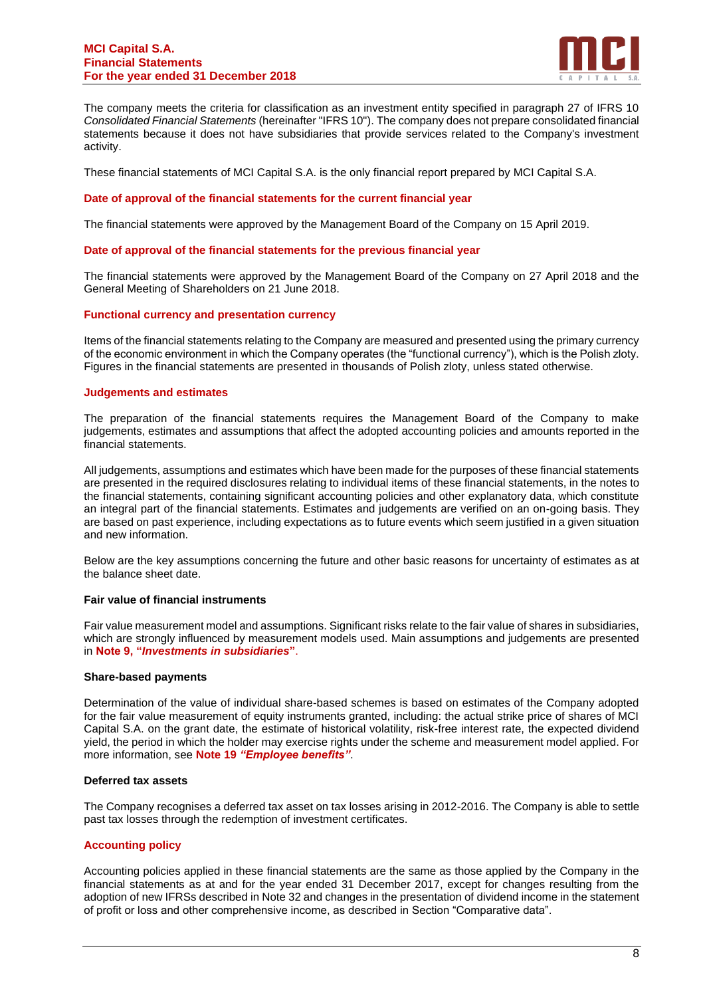

The company meets the criteria for classification as an investment entity specified in paragraph 27 of IFRS 10 *Consolidated Financial Statements* (hereinafter "IFRS 10"). The company does not prepare consolidated financial statements because it does not have subsidiaries that provide services related to the Company's investment activity.

These financial statements of MCI Capital S.A. is the only financial report prepared by MCI Capital S.A.

#### **Date of approval of the financial statements for the current financial year**

The financial statements were approved by the Management Board of the Company on 15 April 2019.

#### **Date of approval of the financial statements for the previous financial year**

The financial statements were approved by the Management Board of the Company on 27 April 2018 and the General Meeting of Shareholders on 21 June 2018.

#### **Functional currency and presentation currency**

Items of the financial statements relating to the Company are measured and presented using the primary currency of the economic environment in which the Company operates (the "functional currency"), which is the Polish zloty. Figures in the financial statements are presented in thousands of Polish zloty, unless stated otherwise.

#### **Judgements and estimates**

The preparation of the financial statements requires the Management Board of the Company to make judgements, estimates and assumptions that affect the adopted accounting policies and amounts reported in the financial statements.

All judgements, assumptions and estimates which have been made for the purposes of these financial statements are presented in the required disclosures relating to individual items of these financial statements, in the notes to the financial statements, containing significant accounting policies and other explanatory data, which constitute an integral part of the financial statements. Estimates and judgements are verified on an on-going basis. They are based on past experience, including expectations as to future events which seem justified in a given situation and new information.

Below are the key assumptions concerning the future and other basic reasons for uncertainty of estimates as at the balance sheet date.

#### **Fair value of financial instruments**

Fair value measurement model and assumptions. Significant risks relate to the fair value of shares in subsidiaries, which are strongly influenced by measurement models used. Main assumptions and judgements are presented in **Note 9, "***Investments in subsidiaries***"**.

#### **Share-based payments**

Determination of the value of individual share-based schemes is based on estimates of the Company adopted for the fair value measurement of equity instruments granted, including: the actual strike price of shares of MCI Capital S.A. on the grant date, the estimate of historical volatility, risk-free interest rate, the expected dividend yield, the period in which the holder may exercise rights under the scheme and measurement model applied. For more information, see **Note 19** *"Employee benefits"*.

#### **Deferred tax assets**

The Company recognises a deferred tax asset on tax losses arising in 2012-2016. The Company is able to settle past tax losses through the redemption of investment certificates.

#### **Accounting policy**

Accounting policies applied in these financial statements are the same as those applied by the Company in the financial statements as at and for the year ended 31 December 2017, except for changes resulting from the adoption of new IFRSs described in Note 32 and changes in the presentation of dividend income in the statement of profit or loss and other comprehensive income, as described in Section "Comparative data".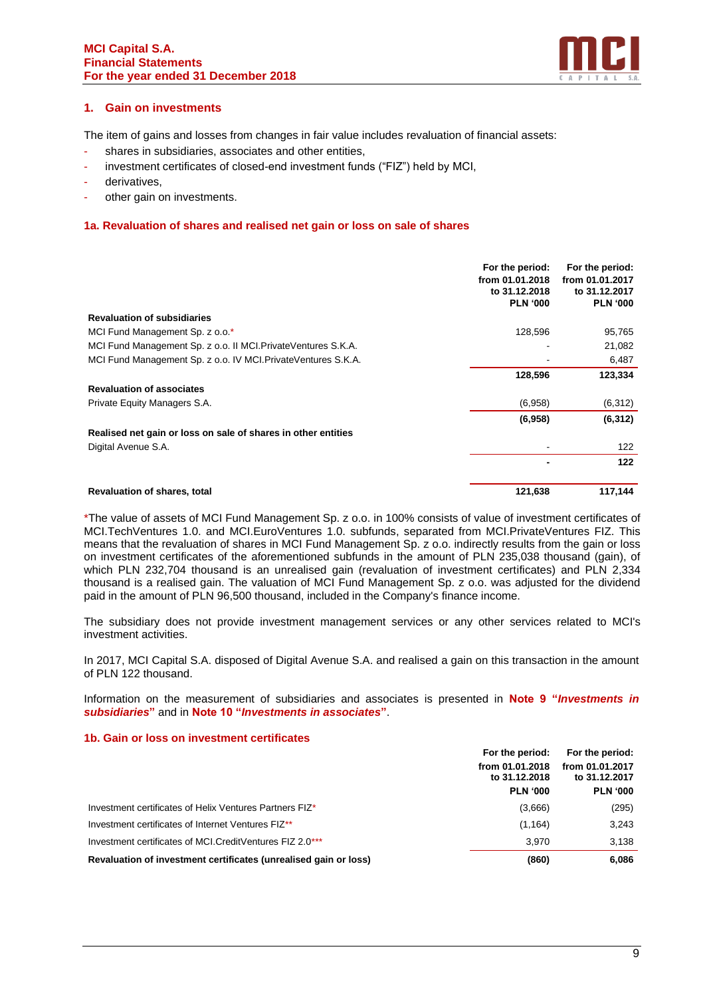

# **1. Gain on investments**

The item of gains and losses from changes in fair value includes revaluation of financial assets:

- shares in subsidiaries, associates and other entities,
- investment certificates of closed-end investment funds ("FIZ") held by MCI,
- derivatives,
- other gain on investments.

## **1a. Revaluation of shares and realised net gain or loss on sale of shares**

|                                                                | For the period:<br>from 01.01.2018<br>to 31.12.2018<br><b>PLN '000</b> | For the period:<br>from 01.01.2017<br>to 31.12.2017<br><b>PLN '000</b> |
|----------------------------------------------------------------|------------------------------------------------------------------------|------------------------------------------------------------------------|
| <b>Revaluation of subsidiaries</b>                             |                                                                        |                                                                        |
|                                                                |                                                                        |                                                                        |
| MCI Fund Management Sp. z o.o.*                                | 128,596                                                                | 95,765                                                                 |
| MCI Fund Management Sp. z o.o. II MCI. Private Ventures S.K.A. |                                                                        | 21,082                                                                 |
| MCI Fund Management Sp. z o.o. IV MCI. Private Ventures S.K.A. |                                                                        | 6,487                                                                  |
|                                                                | 128,596                                                                | 123,334                                                                |
| <b>Revaluation of associates</b>                               |                                                                        |                                                                        |
| Private Equity Managers S.A.                                   | (6,958)                                                                | (6, 312)                                                               |
|                                                                | (6,958)                                                                | (6, 312)                                                               |
| Realised net gain or loss on sale of shares in other entities  |                                                                        |                                                                        |
| Digital Avenue S.A.                                            |                                                                        | 122                                                                    |
|                                                                |                                                                        | 122                                                                    |
| <b>Revaluation of shares, total</b>                            | 121,638                                                                | 117,144                                                                |

\*The value of assets of MCI Fund Management Sp. z o.o. in 100% consists of value of investment certificates of MCI.TechVentures 1.0. and MCI.EuroVentures 1.0. subfunds, separated from MCI.PrivateVentures FIZ. This means that the revaluation of shares in MCI Fund Management Sp. z o.o. indirectly results from the gain or loss on investment certificates of the aforementioned subfunds in the amount of PLN 235,038 thousand (gain), of which PLN 232,704 thousand is an unrealised gain (revaluation of investment certificates) and PLN 2,334 thousand is a realised gain. The valuation of MCI Fund Management Sp. z o.o. was adjusted for the dividend paid in the amount of PLN 96,500 thousand, included in the Company's finance income.

The subsidiary does not provide investment management services or any other services related to MCI's investment activities.

In 2017, MCI Capital S.A. disposed of Digital Avenue S.A. and realised a gain on this transaction in the amount of PLN 122 thousand.

Information on the measurement of subsidiaries and associates is presented in **Note 9 "***Investments in subsidiaries***"** and in **Note 10 "***Investments in associates***"**.

#### **1b. Gain or loss on investment certificates**

|                                                                  | For the period:                  | For the period:                  |  |
|------------------------------------------------------------------|----------------------------------|----------------------------------|--|
|                                                                  | from 01.01.2018<br>to 31.12.2018 | from 01.01.2017<br>to 31.12.2017 |  |
|                                                                  | <b>PLN '000</b>                  | <b>PLN '000</b>                  |  |
| Investment certificates of Helix Ventures Partners FIZ*          | (3,666)                          | (295)                            |  |
| Investment certificates of Internet Ventures FIZ <sup>**</sup>   | (1, 164)                         | 3,243                            |  |
| Investment certificates of MCI. Credit Ventures FIZ 2.0***       | 3.970                            | 3.138                            |  |
| Revaluation of investment certificates (unrealised gain or loss) | (860)                            | 6,086                            |  |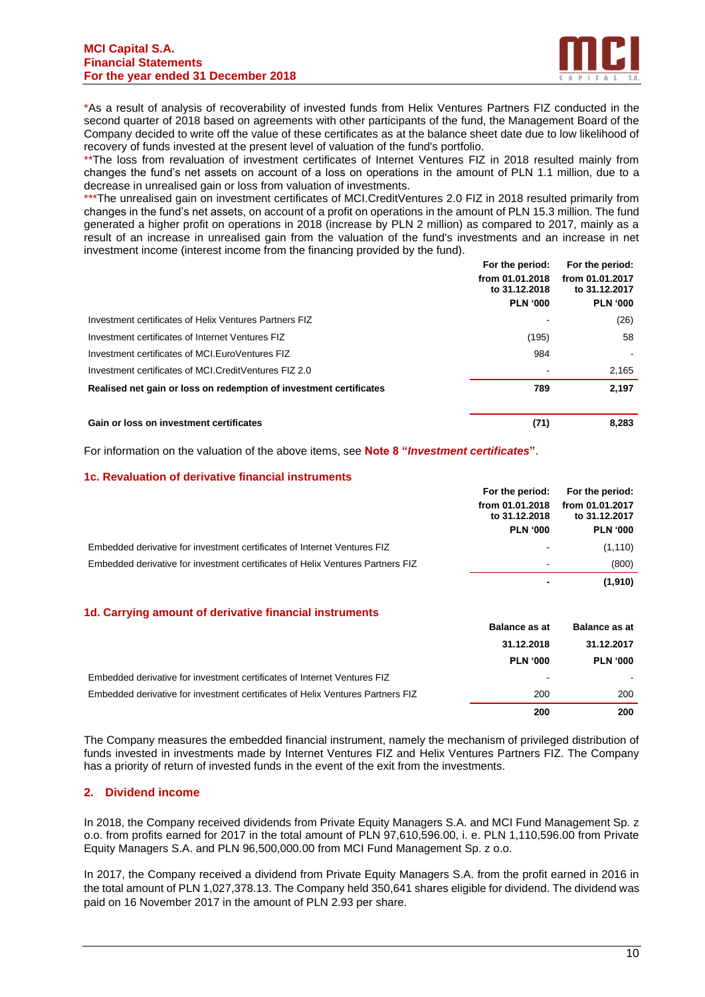

\*As a result of analysis of recoverability of invested funds from Helix Ventures Partners FIZ conducted in the second quarter of 2018 based on agreements with other participants of the fund, the Management Board of the Company decided to write off the value of these certificates as at the balance sheet date due to low likelihood of recovery of funds invested at the present level of valuation of the fund's portfolio.

\*\*The loss from revaluation of investment certificates of Internet Ventures FIZ in 2018 resulted mainly from changes the fund's net assets on account of a loss on operations in the amount of PLN 1.1 million, due to a decrease in unrealised gain or loss from valuation of investments.

\*\*\*The unrealised gain on investment certificates of MCI.CreditVentures 2.0 FIZ in 2018 resulted primarily from changes in the fund's net assets, on account of a profit on operations in the amount of PLN 15.3 million. The fund generated a higher profit on operations in 2018 (increase by PLN 2 million) as compared to 2017, mainly as a result of an increase in unrealised gain from the valuation of the fund's investments and an increase in net investment income (interest income from the financing provided by the fund).

|                                                                    | For the period:                  | For the period:                  |
|--------------------------------------------------------------------|----------------------------------|----------------------------------|
|                                                                    | from 01.01.2018<br>to 31.12.2018 | from 01.01.2017<br>to 31.12.2017 |
|                                                                    | <b>PLN '000</b>                  | <b>PLN '000</b>                  |
| Investment certificates of Helix Ventures Partners FIZ             |                                  | (26)                             |
| Investment certificates of Internet Ventures FIZ                   | (195)                            | 58                               |
| Investment certificates of MCI. Euro Ventures FIZ                  | 984                              |                                  |
| Investment certificates of MCI. Credit Ventures FIZ 2.0            |                                  | 2,165                            |
| Realised net gain or loss on redemption of investment certificates | 789                              | 2.197                            |
| Gain or loss on investment certificates                            | (71)                             | 8.283                            |

For information on the valuation of the above items, see **Note 8 "***Investment certificates***"**.

#### **1c. Revaluation of derivative financial instruments**

|                                                                                | For the period:                  | For the period:                  |
|--------------------------------------------------------------------------------|----------------------------------|----------------------------------|
|                                                                                | from 01.01.2018<br>to 31.12.2018 | from 01.01.2017<br>to 31.12.2017 |
|                                                                                | <b>PLN '000</b>                  | <b>PLN '000</b>                  |
| Embedded derivative for investment certificates of Internet Ventures FIZ       | $\blacksquare$                   | (1, 110)                         |
| Embedded derivative for investment certificates of Helix Ventures Partners FIZ | $\blacksquare$                   | (800)                            |
|                                                                                |                                  | (1,910)                          |

#### **1d. Carrying amount of derivative financial instruments**

|                                                                                | <b>Balance as at</b> | <b>Balance as at</b> |
|--------------------------------------------------------------------------------|----------------------|----------------------|
|                                                                                | 31.12.2018           | 31.12.2017           |
|                                                                                | <b>PLN '000</b>      | <b>PLN '000</b>      |
| Embedded derivative for investment certificates of Internet Ventures FIZ       |                      |                      |
| Embedded derivative for investment certificates of Helix Ventures Partners FIZ | 200                  | 200                  |
|                                                                                | 200                  | 200                  |

The Company measures the embedded financial instrument, namely the mechanism of privileged distribution of funds invested in investments made by Internet Ventures FIZ and Helix Ventures Partners FIZ. The Company has a priority of return of invested funds in the event of the exit from the investments.

#### **2. Dividend income**

In 2018, the Company received dividends from Private Equity Managers S.A. and MCI Fund Management Sp. z o.o. from profits earned for 2017 in the total amount of PLN 97,610,596.00, i. e. PLN 1,110,596.00 from Private Equity Managers S.A. and PLN 96,500,000.00 from MCI Fund Management Sp. z o.o.

In 2017, the Company received a dividend from Private Equity Managers S.A. from the profit earned in 2016 in the total amount of PLN 1,027,378.13. The Company held 350,641 shares eligible for dividend. The dividend was paid on 16 November 2017 in the amount of PLN 2.93 per share.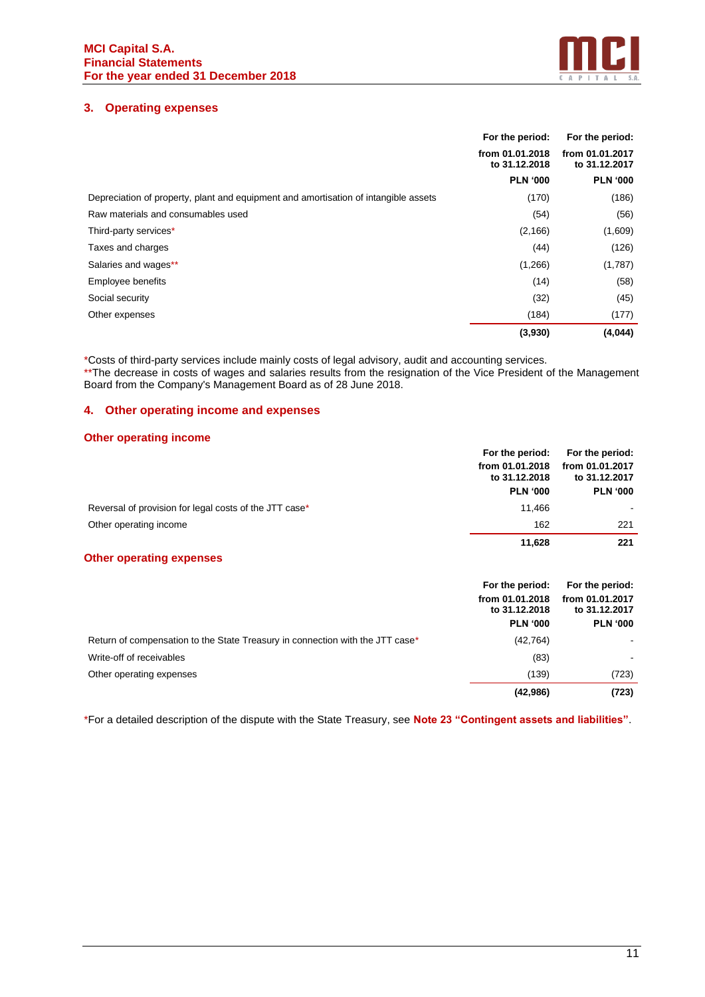

# **3. Operating expenses**

|                                                                                     | For the period:                  | For the period:                  |
|-------------------------------------------------------------------------------------|----------------------------------|----------------------------------|
|                                                                                     | from 01.01.2018<br>to 31.12.2018 | from 01.01.2017<br>to 31.12.2017 |
|                                                                                     | <b>PLN '000</b>                  | <b>PLN '000</b>                  |
| Depreciation of property, plant and equipment and amortisation of intangible assets | (170)                            | (186)                            |
| Raw materials and consumables used                                                  | (54)                             | (56)                             |
| Third-party services*                                                               | (2, 166)                         | (1,609)                          |
| Taxes and charges                                                                   | (44)                             | (126)                            |
| Salaries and wages**                                                                | (1,266)                          | (1,787)                          |
| Employee benefits                                                                   | (14)                             | (58)                             |
| Social security                                                                     | (32)                             | (45)                             |
| Other expenses                                                                      | (184)                            | (177)                            |
|                                                                                     | (3,930)                          | (4,044)                          |

\*Costs of third-party services include mainly costs of legal advisory, audit and accounting services.

\*\*The decrease in costs of wages and salaries results from the resignation of the Vice President of the Management Board from the Company's Management Board as of 28 June 2018.

# **4. Other operating income and expenses**

# **Other operating income**

|                                                        | For the period:                  | For the period:                  |
|--------------------------------------------------------|----------------------------------|----------------------------------|
|                                                        | from 01.01.2018<br>to 31.12.2018 | from 01.01.2017<br>to 31.12.2017 |
|                                                        | <b>PLN '000</b>                  | <b>PLN '000</b>                  |
| Reversal of provision for legal costs of the JTT case* | 11.466                           |                                  |
| Other operating income                                 | 162                              | 221                              |
|                                                        | 11.628                           | 221                              |
| <b>Other operating expenses</b>                        |                                  |                                  |

|                                                                               | For the period:                  | For the period:                  |
|-------------------------------------------------------------------------------|----------------------------------|----------------------------------|
|                                                                               | from 01.01.2018<br>to 31.12.2018 | from 01.01.2017<br>to 31.12.2017 |
|                                                                               | <b>PLN '000</b>                  | <b>PLN '000</b>                  |
| Return of compensation to the State Treasury in connection with the JTT case* | (42, 764)                        |                                  |
| Write-off of receivables                                                      | (83)                             |                                  |
| Other operating expenses                                                      | (139)                            | (723)                            |
|                                                                               | (42, 986)                        | (723)                            |

\*For a detailed description of the dispute with the State Treasury, see **Note 23 "Contingent assets and liabilities"**.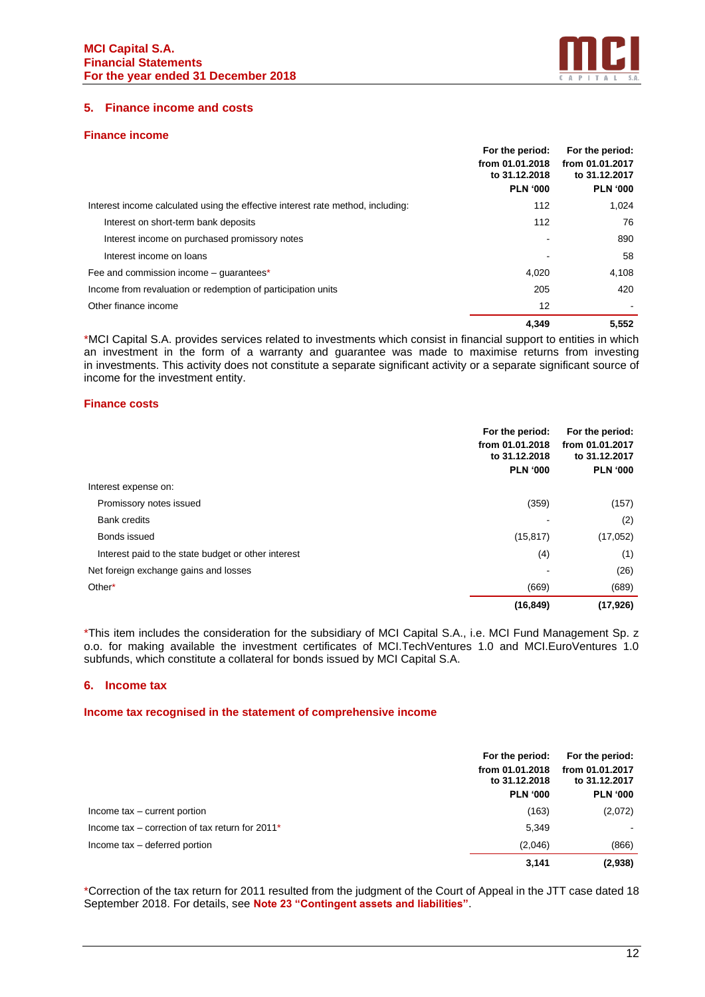

## **5. Finance income and costs**

#### **Finance income**

|                                                                                 | For the period:<br>from 01.01.2018<br>to 31.12.2018<br><b>PLN '000</b> | For the period:<br>from 01.01.2017<br>to 31.12.2017<br><b>PLN '000</b> |
|---------------------------------------------------------------------------------|------------------------------------------------------------------------|------------------------------------------------------------------------|
|                                                                                 |                                                                        |                                                                        |
| Interest income calculated using the effective interest rate method, including: | 112                                                                    | 1,024                                                                  |
| Interest on short-term bank deposits                                            | 112                                                                    | 76                                                                     |
| Interest income on purchased promissory notes                                   |                                                                        | 890                                                                    |
| Interest income on loans                                                        |                                                                        | 58                                                                     |
| Fee and commission income – quarantees*                                         | 4,020                                                                  | 4,108                                                                  |
| Income from revaluation or redemption of participation units                    | 205                                                                    | 420                                                                    |
| Other finance income                                                            | 12                                                                     | $\sim$                                                                 |
|                                                                                 | 4.349                                                                  | 5.552                                                                  |

\*MCI Capital S.A. provides services related to investments which consist in financial support to entities in which an investment in the form of a warranty and guarantee was made to maximise returns from investing in investments. This activity does not constitute a separate significant activity or a separate significant source of income for the investment entity.

#### **Finance costs**

|                                                     | For the period:<br>from 01.01.2018<br>to 31.12.2018<br><b>PLN '000</b> | For the period:<br>from 01.01.2017<br>to 31.12.2017<br><b>PLN '000</b> |
|-----------------------------------------------------|------------------------------------------------------------------------|------------------------------------------------------------------------|
| Interest expense on:                                |                                                                        |                                                                        |
| Promissory notes issued                             | (359)                                                                  | (157)                                                                  |
| <b>Bank credits</b>                                 |                                                                        | (2)                                                                    |
| Bonds issued                                        | (15, 817)                                                              | (17,052)                                                               |
| Interest paid to the state budget or other interest | (4)                                                                    | (1)                                                                    |
| Net foreign exchange gains and losses               |                                                                        | (26)                                                                   |
| Other*                                              | (669)                                                                  | (689)                                                                  |
|                                                     | (16, 849)                                                              | (17, 926)                                                              |

\*This item includes the consideration for the subsidiary of MCI Capital S.A., i.e. MCI Fund Management Sp. z o.o. for making available the investment certificates of MCI.TechVentures 1.0 and MCI.EuroVentures 1.0 subfunds, which constitute a collateral for bonds issued by MCI Capital S.A.

#### **6. Income tax**

#### **Income tax recognised in the statement of comprehensive income**

|                                                    | For the period:<br>from 01.01.2018<br>to 31.12.2018<br><b>PLN '000</b> | For the period:<br>from 01.01.2017<br>to 31.12.2017<br><b>PLN '000</b> |
|----------------------------------------------------|------------------------------------------------------------------------|------------------------------------------------------------------------|
| Income tax – current portion                       | (163)                                                                  | (2,072)                                                                |
| Income tax – correction of tax return for $2011^*$ | 5,349                                                                  |                                                                        |
| Income tax - deferred portion                      | (2,046)                                                                | (866)                                                                  |
|                                                    | 3,141                                                                  | (2,938)                                                                |

\*Correction of the tax return for 2011 resulted from the judgment of the Court of Appeal in the JTT case dated 18 September 2018. For details, see **Note 23 "Contingent assets and liabilities"**.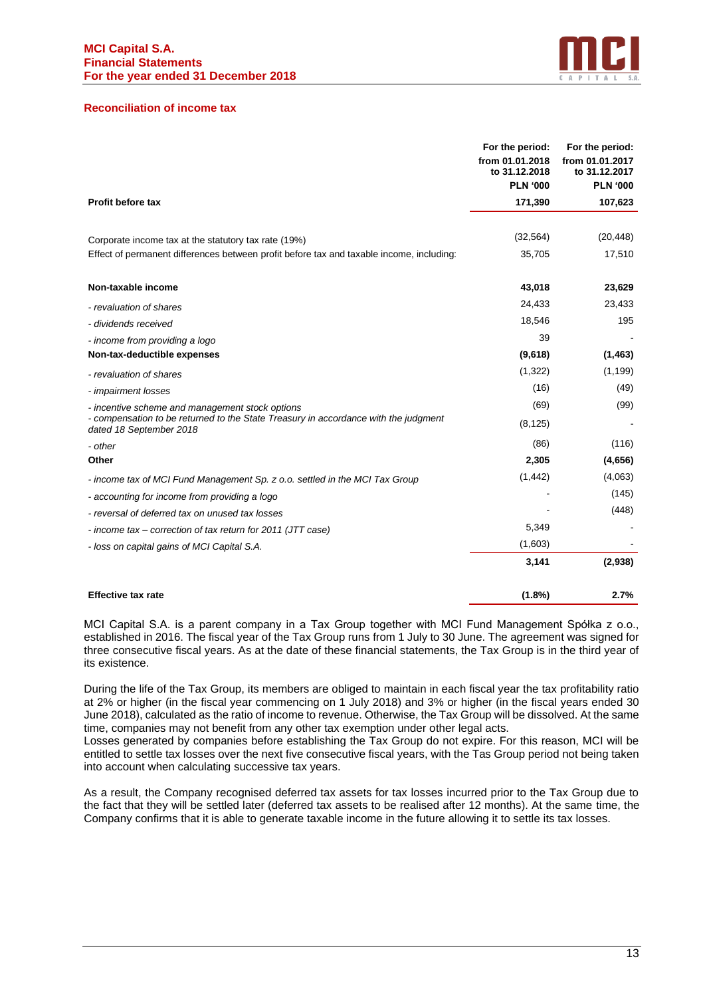

#### **Reconciliation of income tax**

|                                                                                                                | For the period:<br>from 01.01.2018<br>to 31.12.2018<br><b>PLN '000</b> | For the period:<br>from 01.01.2017<br>to 31.12.2017<br><b>PLN '000</b> |
|----------------------------------------------------------------------------------------------------------------|------------------------------------------------------------------------|------------------------------------------------------------------------|
| <b>Profit before tax</b>                                                                                       | 171,390                                                                | 107,623                                                                |
|                                                                                                                |                                                                        |                                                                        |
| Corporate income tax at the statutory tax rate (19%)                                                           | (32, 564)                                                              | (20, 448)                                                              |
| Effect of permanent differences between profit before tax and taxable income, including:                       | 35,705                                                                 | 17,510                                                                 |
| Non-taxable income                                                                                             | 43,018                                                                 | 23,629                                                                 |
| - revaluation of shares                                                                                        | 24,433                                                                 | 23,433                                                                 |
| - dividends received                                                                                           | 18,546                                                                 | 195                                                                    |
| - income from providing a logo                                                                                 | 39                                                                     |                                                                        |
| Non-tax-deductible expenses                                                                                    | (9,618)                                                                | (1, 463)                                                               |
| - revaluation of shares                                                                                        | (1,322)                                                                | (1, 199)                                                               |
| - impairment losses                                                                                            | (16)                                                                   | (49)                                                                   |
| - incentive scheme and management stock options                                                                | (69)                                                                   | (99)                                                                   |
| - compensation to be returned to the State Treasury in accordance with the judgment<br>dated 18 September 2018 | (8, 125)                                                               |                                                                        |
| - other                                                                                                        | (86)                                                                   | (116)                                                                  |
| Other                                                                                                          | 2,305                                                                  | (4,656)                                                                |
| - income tax of MCI Fund Management Sp. z o.o. settled in the MCI Tax Group                                    | (1, 442)                                                               | (4,063)                                                                |
| - accounting for income from providing a logo                                                                  |                                                                        | (145)                                                                  |
| - reversal of deferred tax on unused tax losses                                                                |                                                                        | (448)                                                                  |
| - income tax – correction of tax return for 2011 (JTT case)                                                    | 5,349                                                                  |                                                                        |
| - loss on capital gains of MCI Capital S.A.                                                                    | (1,603)                                                                |                                                                        |
|                                                                                                                | 3,141                                                                  | (2,938)                                                                |
| <b>Effective tax rate</b>                                                                                      | $(1.8\%)$                                                              | 2.7%                                                                   |

MCI Capital S.A. is a parent company in a Tax Group together with MCI Fund Management Spółka z o.o., established in 2016. The fiscal year of the Tax Group runs from 1 July to 30 June. The agreement was signed for three consecutive fiscal years. As at the date of these financial statements, the Tax Group is in the third year of its existence.

During the life of the Tax Group, its members are obliged to maintain in each fiscal year the tax profitability ratio at 2% or higher (in the fiscal year commencing on 1 July 2018) and 3% or higher (in the fiscal years ended 30 June 2018), calculated as the ratio of income to revenue. Otherwise, the Tax Group will be dissolved. At the same time, companies may not benefit from any other tax exemption under other legal acts.

Losses generated by companies before establishing the Tax Group do not expire. For this reason, MCI will be entitled to settle tax losses over the next five consecutive fiscal years, with the Tas Group period not being taken into account when calculating successive tax years.

As a result, the Company recognised deferred tax assets for tax losses incurred prior to the Tax Group due to the fact that they will be settled later (deferred tax assets to be realised after 12 months). At the same time, the Company confirms that it is able to generate taxable income in the future allowing it to settle its tax losses.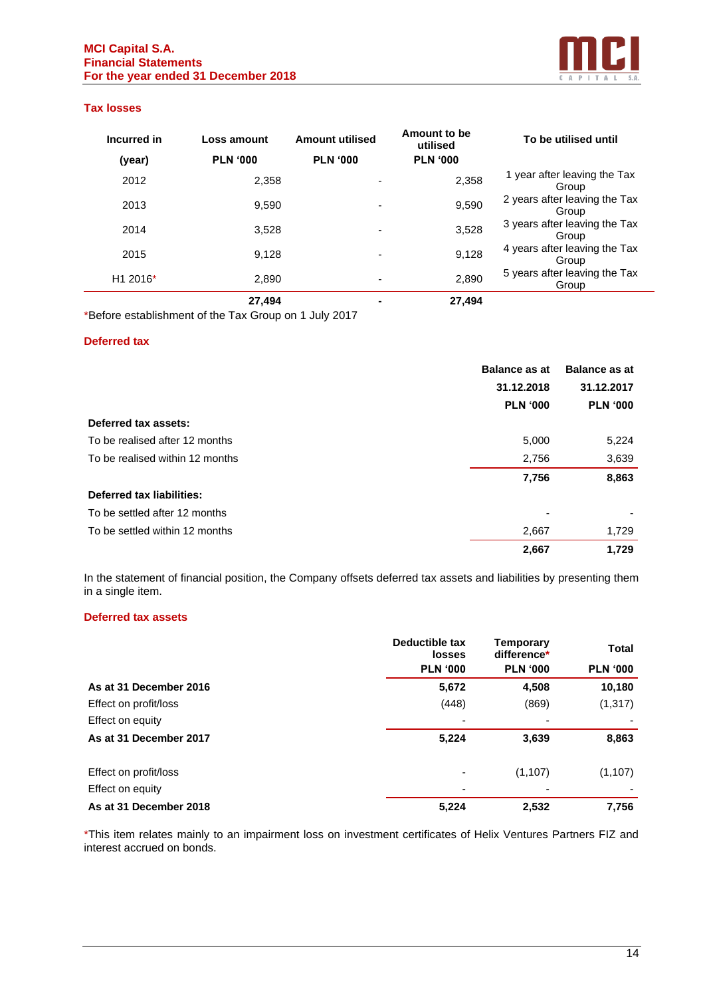

#### **Tax losses**

| Incurred in          | Loss amount     | <b>Amount utilised</b>   | Amount to be<br>utilised | To be utilised until                   |
|----------------------|-----------------|--------------------------|--------------------------|----------------------------------------|
| (year)               | <b>PLN '000</b> | <b>PLN '000</b>          | <b>PLN '000</b>          |                                        |
| 2012                 | 2,358           |                          | 2,358                    | 1 year after leaving the Tax<br>Group  |
| 2013                 | 9.590           | ٠                        | 9,590                    | 2 years after leaving the Tax<br>Group |
| 2014                 | 3.528           |                          | 3,528                    | 3 years after leaving the Tax<br>Group |
| 2015                 | 9.128           | ٠                        | 9,128                    | 4 years after leaving the Tax<br>Group |
| H <sub>1</sub> 2016* | 2,890           | $\overline{\phantom{0}}$ | 2,890                    | 5 years after leaving the Tax<br>Group |
|                      | 27,494          | -                        | 27,494                   |                                        |

\*Before establishment of the Tax Group on 1 July 2017

#### **Deferred tax**

|                                  | <b>Balance as at</b> | <b>Balance as at</b> |
|----------------------------------|----------------------|----------------------|
|                                  | 31.12.2018           | 31.12.2017           |
|                                  | <b>PLN '000</b>      | <b>PLN '000</b>      |
| Deferred tax assets:             |                      |                      |
| To be realised after 12 months   | 5,000                | 5,224                |
| To be realised within 12 months  | 2,756                | 3,639                |
|                                  | 7,756                | 8,863                |
| <b>Deferred tax liabilities:</b> |                      |                      |
| To be settled after 12 months    | ٠                    |                      |
| To be settled within 12 months   | 2,667                | 1,729                |
|                                  | 2,667                | 1.729                |

In the statement of financial position, the Company offsets deferred tax assets and liabilities by presenting them in a single item.

# **Deferred tax assets**

|                        | Deductible tax<br><b>losses</b> | <b>Temporary</b><br>difference* | <b>Total</b>    |
|------------------------|---------------------------------|---------------------------------|-----------------|
|                        | <b>PLN '000</b>                 | <b>PLN '000</b>                 | <b>PLN '000</b> |
| As at 31 December 2016 | 5,672                           | 4,508                           | 10,180          |
| Effect on profit/loss  | (448)                           | (869)                           | (1, 317)        |
| Effect on equity       |                                 | $\overline{\phantom{0}}$        |                 |
| As at 31 December 2017 | 5,224                           | 3,639                           | 8,863           |
| Effect on profit/loss  |                                 | (1, 107)                        | (1, 107)        |
| Effect on equity       | $\overline{\phantom{0}}$        | $\overline{a}$                  |                 |
| As at 31 December 2018 | 5,224                           | 2,532                           | 7,756           |

\*This item relates mainly to an impairment loss on investment certificates of Helix Ventures Partners FIZ and interest accrued on bonds.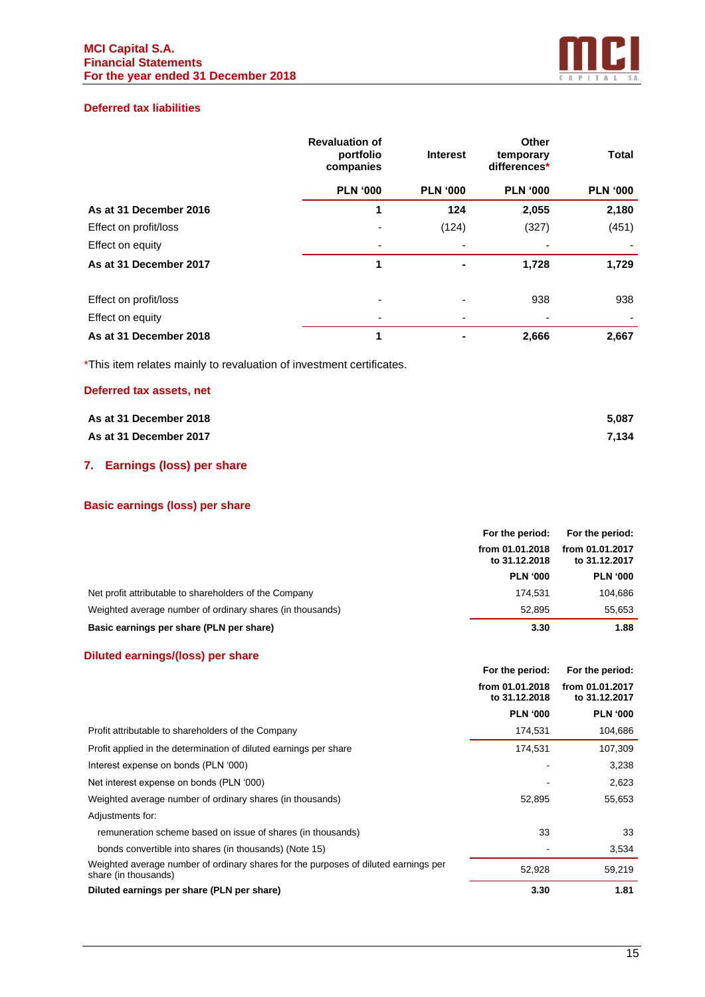

# **Deferred tax liabilities**

|                        | <b>Revaluation of</b><br>portfolio<br>companies | <b>Interest</b> | Other<br>temporary<br>differences* | <b>Total</b>    |
|------------------------|-------------------------------------------------|-----------------|------------------------------------|-----------------|
|                        | <b>PLN '000</b>                                 | <b>PLN '000</b> | <b>PLN '000</b>                    | <b>PLN '000</b> |
| As at 31 December 2016 |                                                 | 124             | 2,055                              | 2,180           |
| Effect on profit/loss  |                                                 | (124)           | (327)                              | (451)           |
| Effect on equity       |                                                 |                 |                                    |                 |
| As at 31 December 2017 | 1                                               | $\blacksquare$  | 1,728                              | 1,729           |
| Effect on profit/loss  |                                                 | ۰               | 938                                | 938             |
| Effect on equity       |                                                 |                 | ٠                                  |                 |
| As at 31 December 2018 | 1                                               |                 | 2,666                              | 2,667           |

\*This item relates mainly to revaluation of investment certificates.

# **Deferred tax assets, net**

| As at 31 December 2018 | 5.087 |
|------------------------|-------|
| As at 31 December 2017 | 7.134 |

# **7. Earnings (loss) per share**

# **Basic earnings (loss) per share**

|                                                           | For the period:                  | For the period:                  |
|-----------------------------------------------------------|----------------------------------|----------------------------------|
|                                                           | from 01.01.2018<br>to 31.12.2018 | from 01.01.2017<br>to 31.12.2017 |
|                                                           | <b>PLN '000</b>                  | <b>PLN '000</b>                  |
| Net profit attributable to shareholders of the Company    | 174.531                          | 104,686                          |
| Weighted average number of ordinary shares (in thousands) | 52.895                           | 55.653                           |
| Basic earnings per share (PLN per share)                  | 3.30                             | 1.88                             |

# **Diluted earnings/(loss) per share**

|                                                                                                             | For the period:                  | For the period:                  |
|-------------------------------------------------------------------------------------------------------------|----------------------------------|----------------------------------|
|                                                                                                             | from 01.01.2018<br>to 31.12.2018 | from 01.01.2017<br>to 31.12.2017 |
|                                                                                                             | <b>PLN '000</b>                  | <b>PLN '000</b>                  |
| Profit attributable to shareholders of the Company                                                          | 174,531                          | 104,686                          |
| Profit applied in the determination of diluted earnings per share                                           | 174,531                          | 107,309                          |
| Interest expense on bonds (PLN '000)                                                                        |                                  | 3,238                            |
| Net interest expense on bonds (PLN '000)                                                                    |                                  | 2,623                            |
| Weighted average number of ordinary shares (in thousands)                                                   | 52,895                           | 55,653                           |
| Adjustments for:                                                                                            |                                  |                                  |
| remuneration scheme based on issue of shares (in thousands)                                                 | 33                               | 33                               |
| bonds convertible into shares (in thousands) (Note 15)                                                      |                                  | 3,534                            |
| Weighted average number of ordinary shares for the purposes of diluted earnings per<br>share (in thousands) | 52,928                           | 59,219                           |
| Diluted earnings per share (PLN per share)                                                                  | 3.30                             | 1.81                             |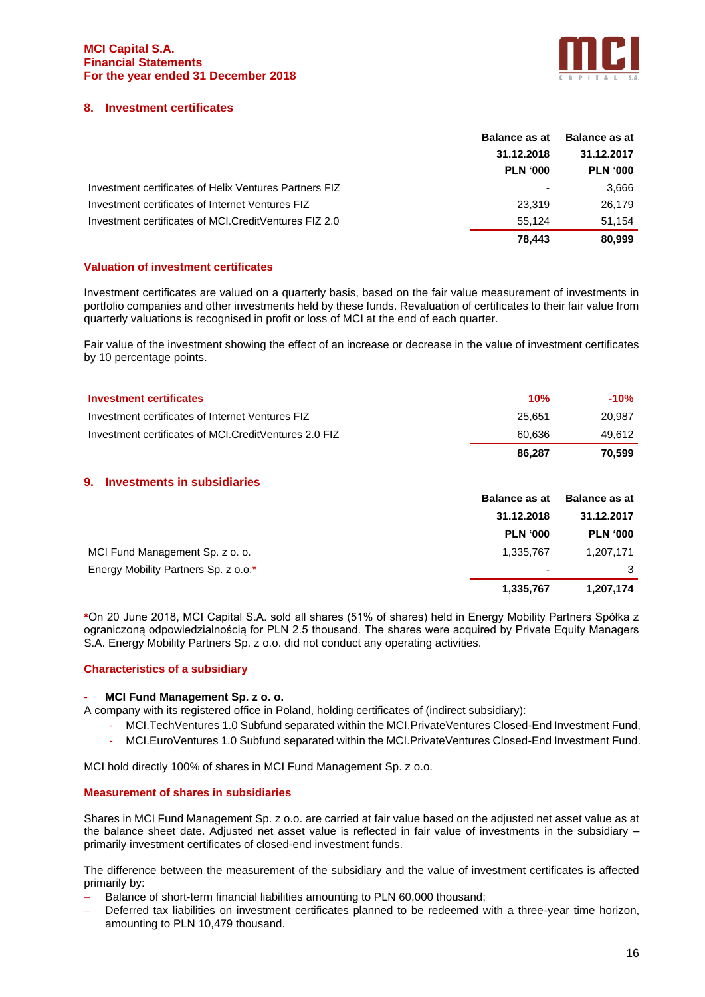

# **8. Investment certificates**

|                                                        | <b>Balance as at</b> | <b>Balance as at</b> |            |
|--------------------------------------------------------|----------------------|----------------------|------------|
|                                                        | 31.12.2018           |                      | 31.12.2017 |
|                                                        | <b>PLN '000</b>      | <b>PLN '000</b>      |            |
| Investment certificates of Helix Ventures Partners FIZ | $\blacksquare$       | 3.666                |            |
| Investment certificates of Internet Ventures FIZ       | 23.319               | 26.179               |            |
| Investment certificates of MCI.CreditVentures FIZ 2.0  | 55.124               | 51.154               |            |
|                                                        | 78.443               | 80,999               |            |

#### **Valuation of investment certificates**

Investment certificates are valued on a quarterly basis, based on the fair value measurement of investments in portfolio companies and other investments held by these funds. Revaluation of certificates to their fair value from quarterly valuations is recognised in profit or loss of MCI at the end of each quarter.

Fair value of the investment showing the effect of an increase or decrease in the value of investment certificates by 10 percentage points.

| <b>Investment certificates</b>                        | 10%    | $-10%$ |
|-------------------------------------------------------|--------|--------|
| Investment certificates of Internet Ventures FIZ      | 25.651 | 20.987 |
| Investment certificates of MCI.CreditVentures 2.0 FIZ | 60.636 | 49.612 |
|                                                       | 86.287 | 70.599 |

# **9. Investments in subsidiaries**

|                                      | <b>Balance as at</b>     | <b>Balance as at</b> |
|--------------------------------------|--------------------------|----------------------|
|                                      | 31.12.2018               | 31.12.2017           |
|                                      | <b>PLN '000</b>          | <b>PLN '000</b>      |
| MCI Fund Management Sp. z o. o.      | 1,335,767                | 1,207,171            |
| Energy Mobility Partners Sp. z o.o.* | $\overline{\phantom{a}}$ | 3                    |
|                                      | 1,335,767                | 1,207,174            |

**\***On 20 June 2018, MCI Capital S.A. sold all shares (51% of shares) held in Energy Mobility Partners Spółka z ograniczoną odpowiedzialnością for PLN 2.5 thousand. The shares were acquired by Private Equity Managers S.A. Energy Mobility Partners Sp. z o.o. did not conduct any operating activities.

#### **Characteristics of a subsidiary**

#### - **MCI Fund Management Sp. z o. o.**

A company with its registered office in Poland, holding certificates of (indirect subsidiary):

- MCI.TechVentures 1.0 Subfund separated within the MCI.PrivateVentures Closed-End Investment Fund,
- MCI.EuroVentures 1.0 Subfund separated within the MCI.PrivateVentures Closed-End Investment Fund.

MCI hold directly 100% of shares in MCI Fund Management Sp. z o.o.

#### **Measurement of shares in subsidiaries**

Shares in MCI Fund Management Sp. z o.o. are carried at fair value based on the adjusted net asset value as at the balance sheet date. Adjusted net asset value is reflected in fair value of investments in the subsidiary – primarily investment certificates of closed-end investment funds.

The difference between the measurement of the subsidiary and the value of investment certificates is affected primarily by:

- Balance of short-term financial liabilities amounting to PLN 60,000 thousand;
- Deferred tax liabilities on investment certificates planned to be redeemed with a three-year time horizon, amounting to PLN 10,479 thousand.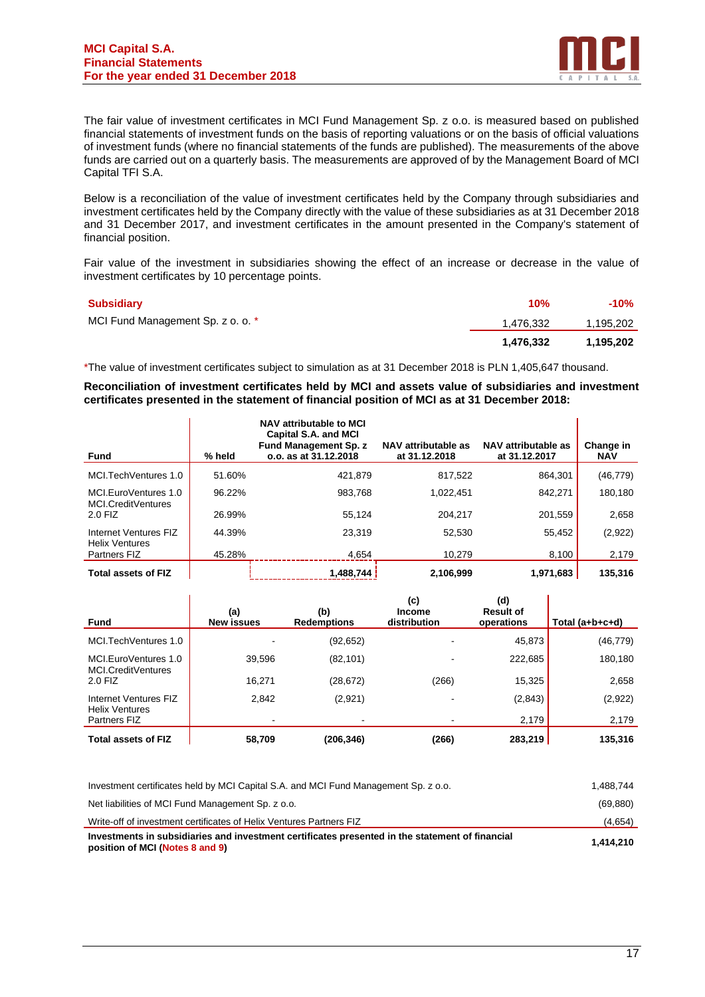

The fair value of investment certificates in MCI Fund Management Sp. z o.o. is measured based on published financial statements of investment funds on the basis of reporting valuations or on the basis of official valuations of investment funds (where no financial statements of the funds are published). The measurements of the above funds are carried out on a quarterly basis. The measurements are approved of by the Management Board of MCI Capital TFI S.A.

Below is a reconciliation of the value of investment certificates held by the Company through subsidiaries and investment certificates held by the Company directly with the value of these subsidiaries as at 31 December 2018 and 31 December 2017, and investment certificates in the amount presented in the Company's statement of financial position.

Fair value of the investment in subsidiaries showing the effect of an increase or decrease in the value of investment certificates by 10 percentage points.

| Subsidiary                        | 10%       | -10%      |
|-----------------------------------|-----------|-----------|
| MCI Fund Management Sp. z o. o. * | 1,476,332 | 1,195,202 |
|                                   | 1.476.332 | 1.195.202 |

\*The value of investment certificates subject to simulation as at 31 December 2018 is PLN 1,405,647 thousand.

**Reconciliation of investment certificates held by MCI and assets value of subsidiaries and investment certificates presented in the statement of financial position of MCI as at 31 December 2018:**

| <b>Fund</b>                                    | % held | NAV attributable to MCI<br>Capital S.A. and MCI<br><b>Fund Management Sp. z</b><br>o.o. as at 31.12.2018 | NAV attributable as<br>at 31.12.2018 | NAV attributable as<br>at 31.12.2017 | Change in<br><b>NAV</b> |
|------------------------------------------------|--------|----------------------------------------------------------------------------------------------------------|--------------------------------------|--------------------------------------|-------------------------|
| MCI.TechVentures 1.0                           | 51.60% | 421.879                                                                                                  | 817.522                              | 864.301                              | (46, 779)               |
| MCI.EuroVentures 1.0<br>MCI.CreditVentures     | 96.22% | 983.768                                                                                                  | 1.022.451                            | 842.271                              | 180,180                 |
| 2.0 FIZ                                        | 26.99% | 55.124                                                                                                   | 204.217                              | 201.559                              | 2,658                   |
| Internet Ventures FIZ<br><b>Helix Ventures</b> | 44.39% | 23.319                                                                                                   | 52,530                               | 55,452                               | (2,922)                 |
| <b>Partners FIZ</b>                            | 45.28% | 4.654                                                                                                    | 10.279                               | 8.100                                | 2,179                   |
| <b>Total assets of FIZ</b>                     |        | 1,488,744                                                                                                | 2.106.999                            | 1,971,683                            | 135,316                 |

| Fund                                              | (a)<br><b>New issues</b> | (b)<br><b>Redemptions</b> | (c)<br><b>Income</b><br>distribution | (d)<br><b>Result of</b><br>operations | Total (a+b+c+d) |
|---------------------------------------------------|--------------------------|---------------------------|--------------------------------------|---------------------------------------|-----------------|
| MCI.TechVentures 1.0                              |                          | (92, 652)                 |                                      | 45,873                                | (46, 779)       |
| MCI.EuroVentures 1.0<br><b>MCI.CreditVentures</b> | 39,596                   | (82, 101)                 |                                      | 222,685                               | 180,180         |
| $2.0$ FIZ                                         | 16,271                   | (28, 672)                 | (266)                                | 15,325                                | 2,658           |
| Internet Ventures FIZ<br><b>Helix Ventures</b>    | 2,842                    | (2,921)                   |                                      | (2, 843)                              | (2,922)         |
| Partners FIZ                                      |                          |                           |                                      | 2,179                                 | 2,179           |
| <b>Total assets of FIZ</b>                        | 58,709                   | (206,346)                 | (266)                                | 283,219                               | 135,316         |

| Investments in subsidiaries and investment certificates presented in the statement of financial<br>position of MCI (Notes 8 and 9) | 1.414.210 |
|------------------------------------------------------------------------------------------------------------------------------------|-----------|
| Write-off of investment certificates of Helix Ventures Partners FIZ                                                                | (4,654)   |
| Net liabilities of MCI Fund Management Sp. z o.o.                                                                                  | (69, 880) |
| Investment certificates held by MCI Capital S.A. and MCI Fund Management Sp. z o.o.                                                | 1.488.744 |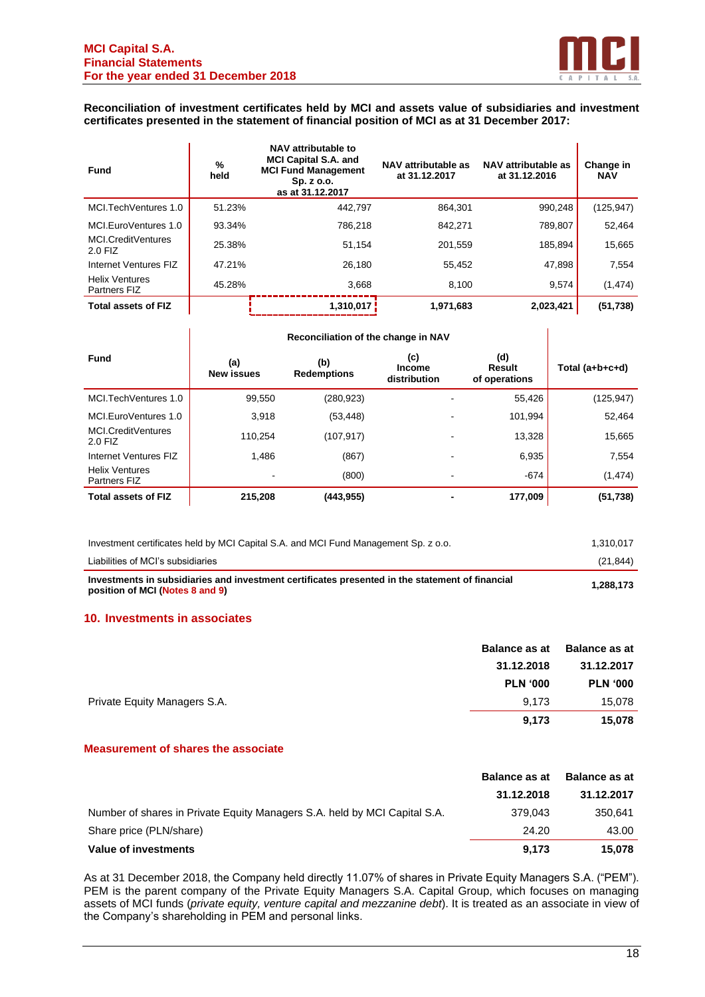

#### **Reconciliation of investment certificates held by MCI and assets value of subsidiaries and investment certificates presented in the statement of financial position of MCI as at 31 December 2017:**

| <b>Fund</b>                           | %<br>held | NAV attributable to<br><b>MCI Capital S.A. and</b><br><b>MCI Fund Management</b><br>Sp. z o.o.<br>as at 31.12.2017 | NAV attributable as<br>at 31.12.2017 | NAV attributable as<br>at 31.12.2016 | Change in<br><b>NAV</b> |
|---------------------------------------|-----------|--------------------------------------------------------------------------------------------------------------------|--------------------------------------|--------------------------------------|-------------------------|
| MCI.TechVentures 1.0                  | 51.23%    | 442.797                                                                                                            | 864,301                              | 990,248                              | (125, 947)              |
| MCI.EuroVentures 1.0                  | 93.34%    | 786,218                                                                                                            | 842.271                              | 789.807                              | 52,464                  |
| MCI.CreditVentures<br>2.0 FIZ         | 25.38%    | 51.154                                                                                                             | 201,559                              | 185,894                              | 15,665                  |
| Internet Ventures FIZ                 | 47.21%    | 26.180                                                                                                             | 55,452                               | 47,898                               | 7,554                   |
| <b>Helix Ventures</b><br>Partners FIZ | 45.28%    | 3.668                                                                                                              | 8.100                                | 9.574                                | (1, 474)                |
| <b>Total assets of FIZ</b>            |           | 1,310,017                                                                                                          | 1,971,683                            | 2,023,421                            | (51, 738)               |

| <b>Fund</b>                           | (a)<br><b>New issues</b> | (b)<br><b>Redemptions</b> | (c)<br><b>Income</b><br>distribution | (d)<br>Result<br>of operations | Total (a+b+c+d) |
|---------------------------------------|--------------------------|---------------------------|--------------------------------------|--------------------------------|-----------------|
| MCI.TechVentures 1.0                  | 99,550                   | (280,923)                 |                                      | 55,426                         | (125, 947)      |
| MCI.EuroVentures 1.0                  | 3,918                    | (53, 448)                 |                                      | 101,994                        | 52,464          |
| <b>MCI.CreditVentures</b><br>2.0 FIZ  | 110.254                  | (107, 917)                |                                      | 13,328                         | 15,665          |
| Internet Ventures FIZ                 | 1.486                    | (867)                     |                                      | 6,935                          | 7,554           |
| <b>Helix Ventures</b><br>Partners FIZ |                          | (800)                     |                                      | $-674$                         | (1, 474)        |
| <b>Total assets of FIZ</b>            | 215,208                  | (443, 955)                |                                      | 177,009                        | (51, 738)       |

| Investments in subsidiaries and investment certificates presented in the statement of financial<br>position of MCI (Notes 8 and 9) | 1.288.173 |
|------------------------------------------------------------------------------------------------------------------------------------|-----------|
| Liabilities of MCI's subsidiaries                                                                                                  | (21.844)  |
| Investment certificates held by MCI Capital S.A. and MCI Fund Management Sp. z o.o.                                                | 1.310.017 |

#### **10. Investments in associates**

|                              | <b>Balance as at</b> | <b>Balance as at</b> |
|------------------------------|----------------------|----------------------|
|                              | 31.12.2018           | 31.12.2017           |
|                              | <b>PLN '000</b>      | <b>PLN '000</b>      |
| Private Equity Managers S.A. | 9.173                | 15,078               |
|                              | 9,173                | 15,078               |

# **Measurement of shares the associate**

|                                                                           | <b>Balance as at</b> | <b>Balance as at</b> |
|---------------------------------------------------------------------------|----------------------|----------------------|
|                                                                           | 31.12.2018           | 31.12.2017           |
| Number of shares in Private Equity Managers S.A. held by MCI Capital S.A. | 379.043              | 350.641              |
| Share price (PLN/share)                                                   | 24.20                | 43.00                |
| Value of investments                                                      | 9.173                | 15.078               |

As at 31 December 2018, the Company held directly 11.07% of shares in Private Equity Managers S.A. ("PEM"). PEM is the parent company of the Private Equity Managers S.A. Capital Group, which focuses on managing assets of MCI funds (*private equity, venture capital and mezzanine debt*). It is treated as an associate in view of the Company's shareholding in PEM and personal links.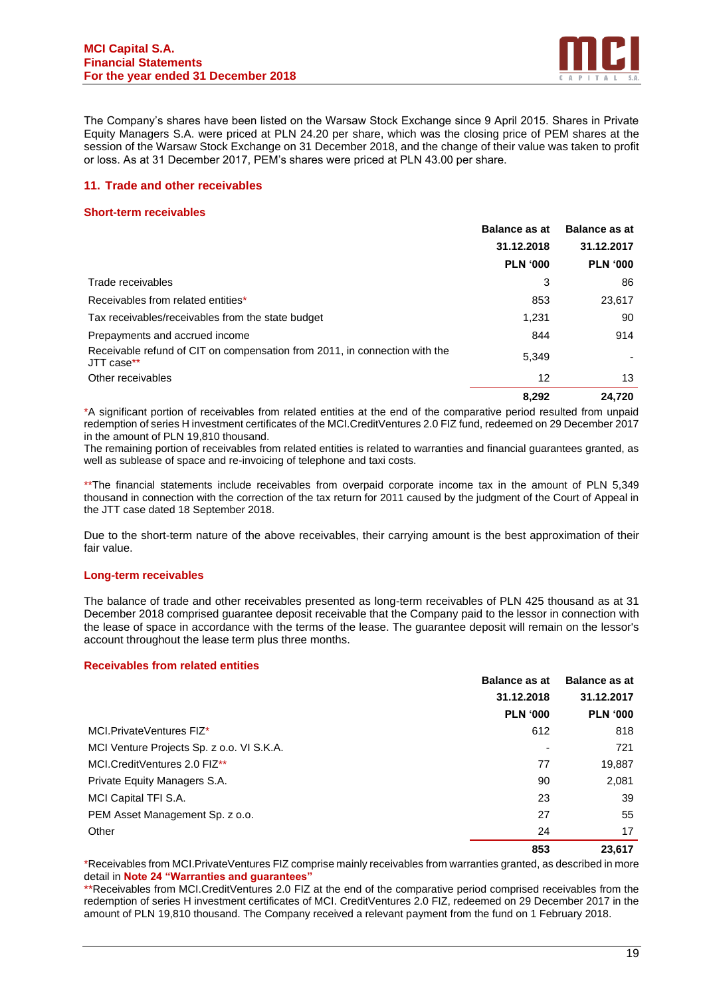

The Company's shares have been listed on the Warsaw Stock Exchange since 9 April 2015. Shares in Private Equity Managers S.A. were priced at PLN 24.20 per share, which was the closing price of PEM shares at the session of the Warsaw Stock Exchange on 31 December 2018, and the change of their value was taken to profit or loss. As at 31 December 2017, PEM's shares were priced at PLN 43.00 per share.

## **11. Trade and other receivables**

#### **Short-term receivables**

|                                                                                          | <b>Balance as at</b> | <b>Balance as at</b> |
|------------------------------------------------------------------------------------------|----------------------|----------------------|
|                                                                                          | 31.12.2018           | 31.12.2017           |
|                                                                                          | <b>PLN '000</b>      | <b>PLN '000</b>      |
| Trade receivables                                                                        | 3                    | 86                   |
| Receivables from related entities*                                                       | 853                  | 23,617               |
| Tax receivables/receivables from the state budget                                        | 1,231                | 90                   |
| Prepayments and accrued income                                                           | 844                  | 914                  |
| Receivable refund of CIT on compensation from 2011, in connection with the<br>JTT case** | 5,349                |                      |
| Other receivables                                                                        | 12                   | 13                   |
|                                                                                          | 8.292                | 24.720               |

\*A significant portion of receivables from related entities at the end of the comparative period resulted from unpaid redemption of series H investment certificates of the MCI.CreditVentures 2.0 FIZ fund, redeemed on 29 December 2017 in the amount of PLN 19,810 thousand.

The remaining portion of receivables from related entities is related to warranties and financial guarantees granted, as well as sublease of space and re-invoicing of telephone and taxi costs.

\*\*The financial statements include receivables from overpaid corporate income tax in the amount of PLN 5,349 thousand in connection with the correction of the tax return for 2011 caused by the judgment of the Court of Appeal in the JTT case dated 18 September 2018.

Due to the short-term nature of the above receivables, their carrying amount is the best approximation of their fair value.

#### **Long-term receivables**

The balance of trade and other receivables presented as long-term receivables of PLN 425 thousand as at 31 December 2018 comprised guarantee deposit receivable that the Company paid to the lessor in connection with the lease of space in accordance with the terms of the lease. The guarantee deposit will remain on the lessor's account throughout the lease term plus three months.

#### **Receivables from related entities**

|                                           | <b>Balance as at</b> | <b>Balance as at</b> |
|-------------------------------------------|----------------------|----------------------|
|                                           | 31.12.2018           | 31.12.2017           |
|                                           | <b>PLN '000</b>      | <b>PLN '000</b>      |
| MCI.PrivateVentures FIZ*                  | 612                  | 818                  |
| MCI Venture Projects Sp. z o.o. VI S.K.A. | ۰                    | 721                  |
| MCI.CreditVentures 2.0 FIZ**              | 77                   | 19,887               |
| Private Equity Managers S.A.              | 90                   | 2,081                |
| MCI Capital TFI S.A.                      | 23                   | 39                   |
| PEM Asset Management Sp. z o.o.           | 27                   | 55                   |
| Other                                     | 24                   | 17                   |
|                                           | 853                  | 23,617               |

\*Receivables from MCI.PrivateVentures FIZ comprise mainly receivables from warranties granted, as described in more detail in **Note 24 "Warranties and guarantees"**

\*\*Receivables from MCI.CreditVentures 2.0 FIZ at the end of the comparative period comprised receivables from the redemption of series H investment certificates of MCI. CreditVentures 2.0 FIZ, redeemed on 29 December 2017 in the amount of PLN 19,810 thousand. The Company received a relevant payment from the fund on 1 February 2018.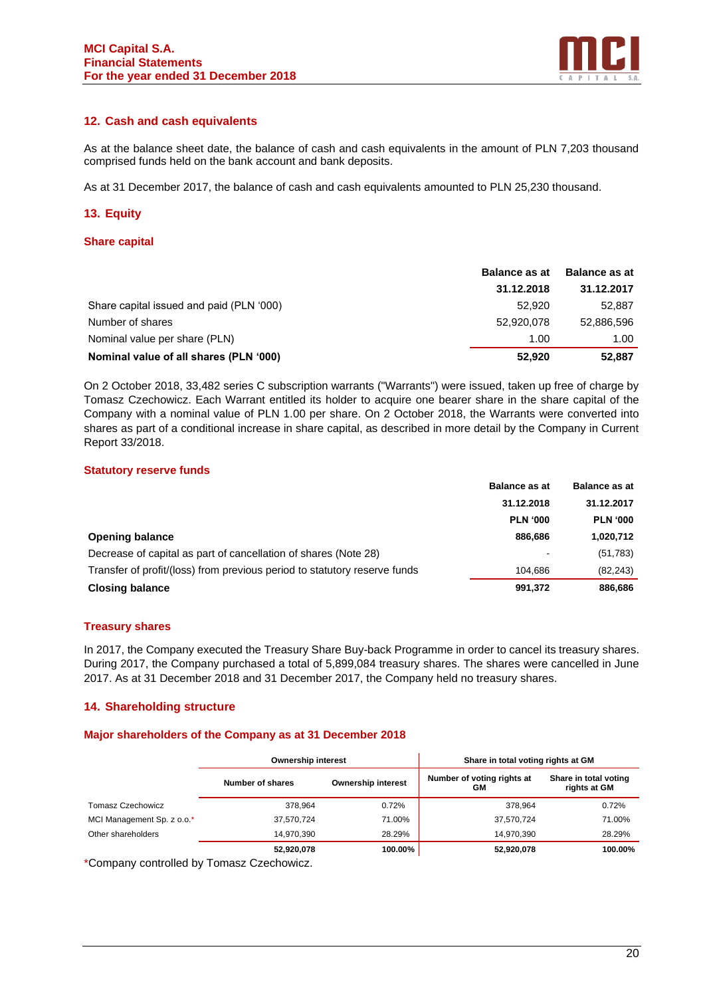

# **12. Cash and cash equivalents**

As at the balance sheet date, the balance of cash and cash equivalents in the amount of PLN 7,203 thousand comprised funds held on the bank account and bank deposits.

As at 31 December 2017, the balance of cash and cash equivalents amounted to PLN 25,230 thousand.

# **13. Equity**

## **Share capital**

|                                          | <b>Balance as at</b> | <b>Balance as at</b> |
|------------------------------------------|----------------------|----------------------|
|                                          | 31.12.2018           | 31.12.2017           |
| Share capital issued and paid (PLN '000) | 52,920               | 52.887               |
| Number of shares                         | 52.920.078           | 52,886,596           |
| Nominal value per share (PLN)            | 1.00                 | 1.00                 |
| Nominal value of all shares (PLN '000)   | 52.920               | 52.887               |

On 2 October 2018, 33,482 series C subscription warrants ("Warrants") were issued, taken up free of charge by Tomasz Czechowicz. Each Warrant entitled its holder to acquire one bearer share in the share capital of the Company with a nominal value of PLN 1.00 per share. On 2 October 2018, the Warrants were converted into shares as part of a conditional increase in share capital, as described in more detail by the Company in Current Report 33/2018.

#### **Statutory reserve funds**

|                                                                           | <b>Balance as at</b>     | <b>Balance as at</b> |
|---------------------------------------------------------------------------|--------------------------|----------------------|
|                                                                           | 31.12.2018               | 31.12.2017           |
|                                                                           | <b>PLN '000</b>          | <b>PLN '000</b>      |
| <b>Opening balance</b>                                                    | 886.686                  | 1,020,712            |
| Decrease of capital as part of cancellation of shares (Note 28)           | $\overline{\phantom{a}}$ | (51, 783)            |
| Transfer of profit/(loss) from previous period to statutory reserve funds | 104.686                  | (82, 243)            |
| <b>Closing balance</b>                                                    | 991,372                  | 886,686              |

#### **Treasury shares**

In 2017, the Company executed the Treasury Share Buy-back Programme in order to cancel its treasury shares. During 2017, the Company purchased a total of 5,899,084 treasury shares. The shares were cancelled in June 2017. As at 31 December 2018 and 31 December 2017, the Company held no treasury shares.

#### **14. Shareholding structure**

#### **Major shareholders of the Company as at 31 December 2018**

|                            | <b>Ownership interest</b><br><b>Ownership interest</b><br>Number of shares |         | Share in total voting rights at GM |                                       |
|----------------------------|----------------------------------------------------------------------------|---------|------------------------------------|---------------------------------------|
|                            |                                                                            |         | Number of voting rights at<br>GМ   | Share in total voting<br>rights at GM |
| Tomasz Czechowicz          | 378.964                                                                    | 0.72%   | 378.964                            | 0.72%                                 |
| MCI Management Sp. z o.o.* | 37,570,724                                                                 | 71.00%  | 37,570,724                         | 71.00%                                |
| Other shareholders         | 14.970.390                                                                 | 28.29%  | 14.970.390                         | 28.29%                                |
|                            | 52,920,078                                                                 | 100.00% | 52,920,078                         | 100.00%                               |

\*Company controlled by Tomasz Czechowicz.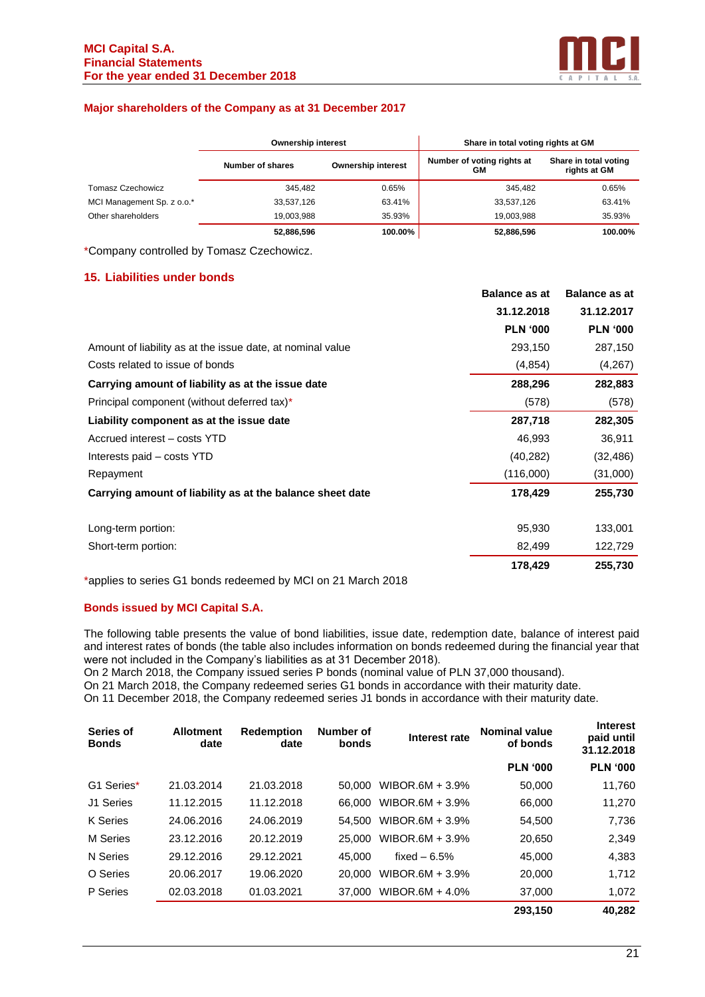

#### **Major shareholders of the Company as at 31 December 2017**

|                            | <b>Ownership interest</b> |                           | Share in total voting rights at GM |                                       |
|----------------------------|---------------------------|---------------------------|------------------------------------|---------------------------------------|
|                            | Number of shares          | <b>Ownership interest</b> | Number of voting rights at<br>GМ   | Share in total voting<br>rights at GM |
| Tomasz Czechowicz          | 345.482                   | 0.65%                     | 345.482                            | 0.65%                                 |
| MCI Management Sp. z o.o.* | 33,537,126                | 63.41%                    | 33,537,126                         | 63.41%                                |
| Other shareholders         | 19.003.988                | 35.93%                    | 19.003.988                         | 35.93%                                |
|                            | 52.886.596                | 100.00%                   | 52.886.596                         | 100.00%                               |

\*Company controlled by Tomasz Czechowicz.

# **15. Liabilities under bonds**

|                                                            | <b>Balance as at</b> | <b>Balance as at</b> |
|------------------------------------------------------------|----------------------|----------------------|
|                                                            | 31.12.2018           | 31.12.2017           |
|                                                            | <b>PLN '000</b>      | <b>PLN '000</b>      |
| Amount of liability as at the issue date, at nominal value | 293,150              | 287,150              |
| Costs related to issue of bonds                            | (4, 854)             | (4,267)              |
| Carrying amount of liability as at the issue date          | 288,296              | 282,883              |
| Principal component (without deferred tax)*                | (578)                | (578)                |
| Liability component as at the issue date                   | 287,718              | 282,305              |
| Accrued interest - costs YTD                               | 46,993               | 36,911               |
| Interests paid - costs YTD                                 | (40, 282)            | (32, 486)            |
| Repayment                                                  | (116,000)            | (31,000)             |
| Carrying amount of liability as at the balance sheet date  | 178,429              | 255,730              |
| Long-term portion:                                         | 95,930               | 133,001              |
| Short-term portion:                                        | 82,499               | 122,729              |
|                                                            | 178,429              | 255,730              |

\*applies to series G1 bonds redeemed by MCI on 21 March 2018

#### **Bonds issued by MCI Capital S.A.**

The following table presents the value of bond liabilities, issue date, redemption date, balance of interest paid and interest rates of bonds (the table also includes information on bonds redeemed during the financial year that were not included in the Company's liabilities as at 31 December 2018).

On 2 March 2018, the Company issued series P bonds (nominal value of PLN 37,000 thousand).

On 21 March 2018, the Company redeemed series G1 bonds in accordance with their maturity date.

On 11 December 2018, the Company redeemed series J1 bonds in accordance with their maturity date.

| Series of<br><b>Bonds</b> | <b>Allotment</b><br>date | <b>Redemption</b><br>date | Number of<br>bonds | Interest rate   | <b>Nominal value</b><br>of bonds | <b>Interest</b><br>paid until<br>31.12.2018 |
|---------------------------|--------------------------|---------------------------|--------------------|-----------------|----------------------------------|---------------------------------------------|
|                           |                          |                           |                    |                 | <b>PLN '000</b>                  | <b>PLN '000</b>                             |
| G1 Series*                | 21.03.2014               | 21.03.2018                | 50,000             | WIBOR.6M + 3.9% | 50,000                           | 11,760                                      |
| J1 Series                 | 11.12.2015               | 11.12.2018                | 66,000             | WIBOR.6M + 3.9% | 66,000                           | 11,270                                      |
| K Series                  | 24.06.2016               | 24.06.2019                | 54.500             | WIBOR.6M + 3.9% | 54,500                           | 7,736                                       |
| M Series                  | 23.12.2016               | 20.12.2019                | 25,000             | WIBOR.6M + 3.9% | 20.650                           | 2,349                                       |
| N Series                  | 29.12.2016               | 29.12.2021                | 45,000             | fixed $-6.5%$   | 45.000                           | 4,383                                       |
| O Series                  | 20.06.2017               | 19.06.2020                | 20,000             | WIBOR.6M + 3.9% | 20,000                           | 1,712                                       |
| P Series                  | 02.03.2018               | 01.03.2021                | 37,000             | WIBOR.6M + 4.0% | 37,000                           | 1,072                                       |
|                           |                          |                           |                    |                 | 293.150                          | 40.282                                      |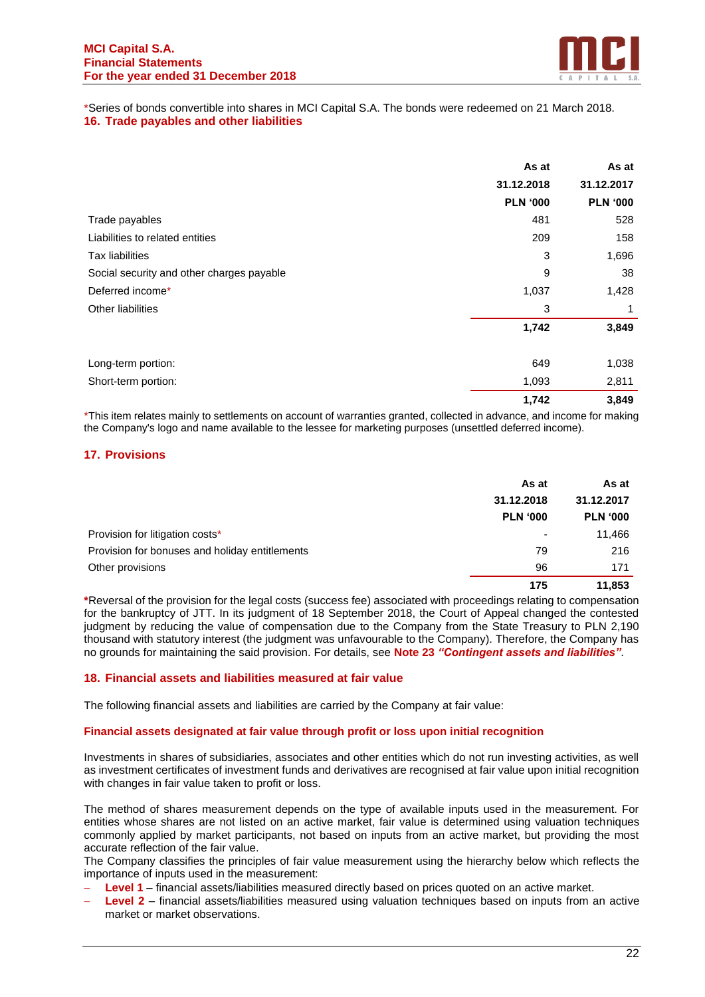

\*Series of bonds convertible into shares in MCI Capital S.A. The bonds were redeemed on 21 March 2018. **16. Trade payables and other liabilities**

|                                           | As at           | As at           |
|-------------------------------------------|-----------------|-----------------|
|                                           | 31.12.2018      | 31.12.2017      |
|                                           | <b>PLN '000</b> | <b>PLN '000</b> |
| Trade payables                            | 481             | 528             |
| Liabilities to related entities           | 209             | 158             |
| <b>Tax liabilities</b>                    | 3               | 1,696           |
| Social security and other charges payable | 9               | 38              |
| Deferred income*                          | 1,037           | 1,428           |
| Other liabilities                         | 3               | 1               |
|                                           | 1,742           | 3,849           |
| Long-term portion:                        | 649             | 1,038           |
| Short-term portion:                       | 1,093           | 2,811           |
|                                           | 1,742           | 3,849           |

\*This item relates mainly to settlements on account of warranties granted, collected in advance, and income for making the Company's logo and name available to the lessee for marketing purposes (unsettled deferred income).

# **17. Provisions**

|                                                | As at                    | As at           |
|------------------------------------------------|--------------------------|-----------------|
|                                                | 31.12.2018               | 31.12.2017      |
|                                                | <b>PLN '000</b>          | <b>PLN '000</b> |
| Provision for litigation costs*                | $\overline{\phantom{a}}$ | 11,466          |
| Provision for bonuses and holiday entitlements | 79                       | 216             |
| Other provisions                               | 96                       | 171             |
|                                                | 175                      | 11,853          |

**\***Reversal of the provision for the legal costs (success fee) associated with proceedings relating to compensation for the bankruptcy of JTT. In its judgment of 18 September 2018, the Court of Appeal changed the contested judgment by reducing the value of compensation due to the Company from the State Treasury to PLN 2,190 thousand with statutory interest (the judgment was unfavourable to the Company). Therefore, the Company has no grounds for maintaining the said provision. For details, see **Note 23** *"Contingent assets and liabilities"*.

#### **18. Financial assets and liabilities measured at fair value**

The following financial assets and liabilities are carried by the Company at fair value:

#### **Financial assets designated at fair value through profit or loss upon initial recognition**

Investments in shares of subsidiaries, associates and other entities which do not run investing activities, as well as investment certificates of investment funds and derivatives are recognised at fair value upon initial recognition with changes in fair value taken to profit or loss.

The method of shares measurement depends on the type of available inputs used in the measurement. For entities whose shares are not listed on an active market, fair value is determined using valuation techniques commonly applied by market participants, not based on inputs from an active market, but providing the most accurate reflection of the fair value.

The Company classifies the principles of fair value measurement using the hierarchy below which reflects the importance of inputs used in the measurement:

- − **Level 1** financial assets/liabilities measured directly based on prices quoted on an active market.
- − **Level 2** financial assets/liabilities measured using valuation techniques based on inputs from an active market or market observations.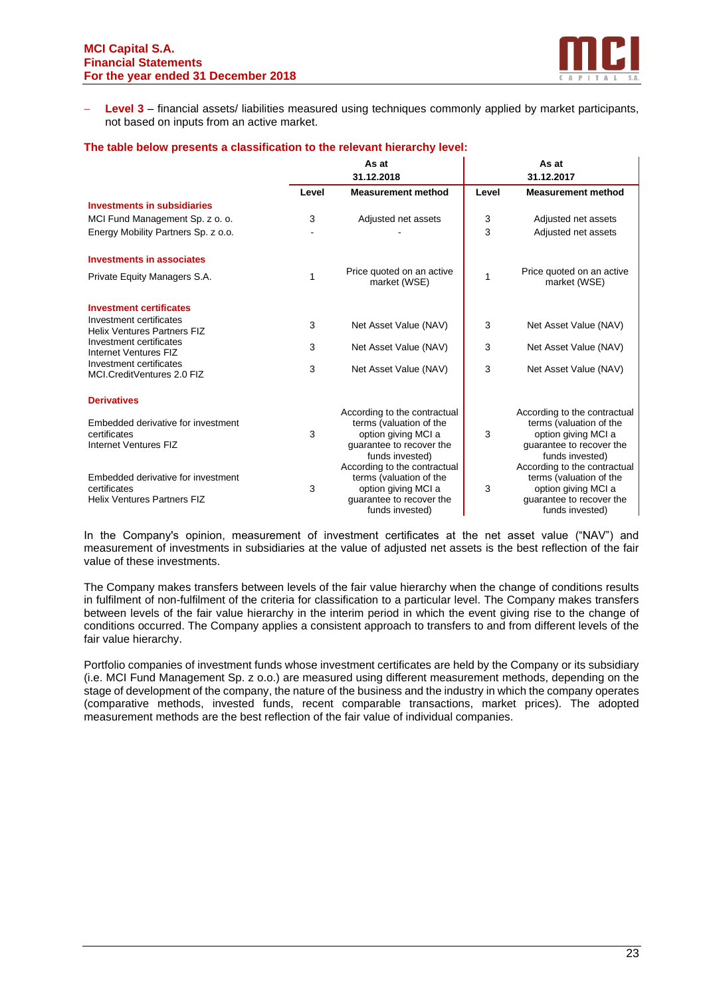

− **Level 3** – financial assets/ liabilities measured using techniques commonly applied by market participants, not based on inputs from an active market.

|                                                                                          |       | As at                                                                                                                         |       | As at                                                                                                                         |
|------------------------------------------------------------------------------------------|-------|-------------------------------------------------------------------------------------------------------------------------------|-------|-------------------------------------------------------------------------------------------------------------------------------|
|                                                                                          |       | 31.12.2018                                                                                                                    |       | 31.12.2017                                                                                                                    |
|                                                                                          | Level | <b>Measurement method</b>                                                                                                     | Level | <b>Measurement method</b>                                                                                                     |
| <b>Investments in subsidiaries</b>                                                       |       |                                                                                                                               |       |                                                                                                                               |
| MCI Fund Management Sp. z o. o.                                                          | 3     | Adjusted net assets                                                                                                           | 3     | Adjusted net assets                                                                                                           |
| Energy Mobility Partners Sp. z o.o.                                                      |       |                                                                                                                               | 3     | Adjusted net assets                                                                                                           |
| <b>Investments in associates</b>                                                         |       |                                                                                                                               |       |                                                                                                                               |
| Private Equity Managers S.A.                                                             | 1     | Price quoted on an active<br>market (WSE)                                                                                     | 1     | Price quoted on an active<br>market (WSE)                                                                                     |
| <b>Investment certificates</b>                                                           |       |                                                                                                                               |       |                                                                                                                               |
| Investment certificates<br><b>Helix Ventures Partners FIZ</b>                            | 3     | Net Asset Value (NAV)                                                                                                         | 3     | Net Asset Value (NAV)                                                                                                         |
| Investment certificates<br>Internet Ventures FIZ                                         | 3     | Net Asset Value (NAV)                                                                                                         | 3     | Net Asset Value (NAV)                                                                                                         |
| Investment certificates<br>MCI.CreditVentures 2.0 FIZ                                    | 3     | Net Asset Value (NAV)                                                                                                         | 3     | Net Asset Value (NAV)                                                                                                         |
| <b>Derivatives</b>                                                                       |       |                                                                                                                               |       |                                                                                                                               |
| Embedded derivative for investment<br>certificates<br>Internet Ventures FIZ              | 3     | According to the contractual<br>terms (valuation of the<br>option giving MCI a<br>quarantee to recover the<br>funds invested) | 3     | According to the contractual<br>terms (valuation of the<br>option giving MCI a<br>quarantee to recover the<br>funds invested) |
| Embedded derivative for investment<br>certificates<br><b>Helix Ventures Partners FIZ</b> | 3     | According to the contractual<br>terms (valuation of the<br>option giving MCI a<br>quarantee to recover the<br>funds invested) | 3     | According to the contractual<br>terms (valuation of the<br>option giving MCI a<br>quarantee to recover the<br>funds invested) |

#### **The table below presents a classification to the relevant hierarchy level:**

In the Company's opinion, measurement of investment certificates at the net asset value ("NAV") and measurement of investments in subsidiaries at the value of adjusted net assets is the best reflection of the fair value of these investments.

The Company makes transfers between levels of the fair value hierarchy when the change of conditions results in fulfilment of non-fulfilment of the criteria for classification to a particular level. The Company makes transfers between levels of the fair value hierarchy in the interim period in which the event giving rise to the change of conditions occurred. The Company applies a consistent approach to transfers to and from different levels of the fair value hierarchy.

Portfolio companies of investment funds whose investment certificates are held by the Company or its subsidiary (i.e. MCI Fund Management Sp. z o.o.) are measured using different measurement methods, depending on the stage of development of the company, the nature of the business and the industry in which the company operates (comparative methods, invested funds, recent comparable transactions, market prices). The adopted measurement methods are the best reflection of the fair value of individual companies.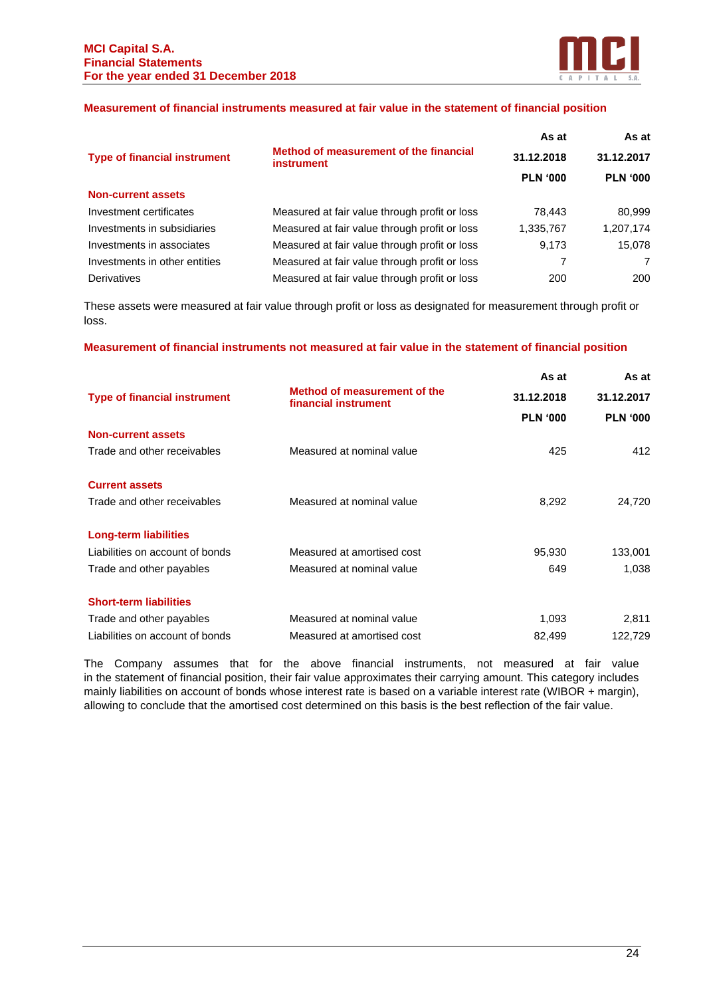

#### **Measurement of financial instruments measured at fair value in the statement of financial position**

|                                     |                                                             | As at           | As at           |
|-------------------------------------|-------------------------------------------------------------|-----------------|-----------------|
| <b>Type of financial instrument</b> | Method of measurement of the financial<br><i>instrument</i> | 31.12.2018      | 31.12.2017      |
|                                     |                                                             | <b>PLN '000</b> | <b>PLN '000</b> |
| <b>Non-current assets</b>           |                                                             |                 |                 |
| Investment certificates             | Measured at fair value through profit or loss               | 78.443          | 80.999          |
| Investments in subsidiaries         | Measured at fair value through profit or loss               | 1,335,767       | 1,207,174       |
| Investments in associates           | Measured at fair value through profit or loss               | 9,173           | 15.078          |
| Investments in other entities       | Measured at fair value through profit or loss               |                 | 7               |
| Derivatives                         | Measured at fair value through profit or loss               | 200             | 200             |

These assets were measured at fair value through profit or loss as designated for measurement through profit or loss.

# **Measurement of financial instruments not measured at fair value in the statement of financial position**

|                                     |                                                      | As at           | As at           |
|-------------------------------------|------------------------------------------------------|-----------------|-----------------|
| <b>Type of financial instrument</b> | Method of measurement of the<br>financial instrument | 31.12.2018      | 31.12.2017      |
|                                     |                                                      | <b>PLN '000</b> | <b>PLN '000</b> |
| <b>Non-current assets</b>           |                                                      |                 |                 |
| Trade and other receivables         | Measured at nominal value                            | 425             | 412             |
| <b>Current assets</b>               |                                                      |                 |                 |
| Trade and other receivables         | Measured at nominal value                            | 8,292           | 24,720          |
| Long-term liabilities               |                                                      |                 |                 |
| Liabilities on account of bonds     | Measured at amortised cost                           | 95,930          | 133,001         |
| Trade and other payables            | Measured at nominal value                            | 649             | 1,038           |
| <b>Short-term liabilities</b>       |                                                      |                 |                 |
| Trade and other payables            | Measured at nominal value                            | 1,093           | 2,811           |
| Liabilities on account of bonds     | Measured at amortised cost                           | 82,499          | 122,729         |
|                                     |                                                      |                 |                 |

The Company assumes that for the above financial instruments, not measured at fair value in the statement of financial position, their fair value approximates their carrying amount. This category includes mainly liabilities on account of bonds whose interest rate is based on a variable interest rate (WIBOR + margin), allowing to conclude that the amortised cost determined on this basis is the best reflection of the fair value.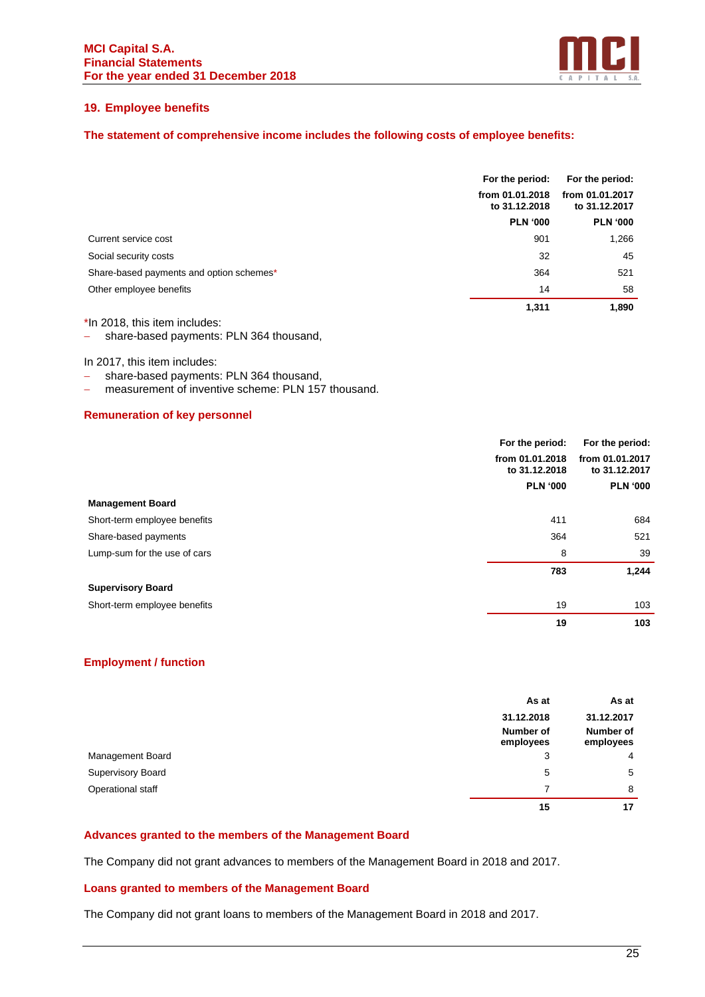

# **19. Employee benefits**

# **The statement of comprehensive income includes the following costs of employee benefits:**

|                                          | For the period:                  | For the period:                  |  |
|------------------------------------------|----------------------------------|----------------------------------|--|
|                                          | from 01.01.2018<br>to 31.12.2018 | from 01.01.2017<br>to 31.12.2017 |  |
|                                          | <b>PLN '000</b>                  | <b>PLN '000</b>                  |  |
| Current service cost                     | 901                              | 1,266                            |  |
| Social security costs                    | 32                               | 45                               |  |
| Share-based payments and option schemes* | 364                              | 521                              |  |
| Other employee benefits                  | 14                               | 58                               |  |
|                                          | 1.311                            | 1.890                            |  |

\*In 2018, this item includes:

− share-based payments: PLN 364 thousand,

In 2017, this item includes:

- share-based payments: PLN 364 thousand,
- − measurement of inventive scheme: PLN 157 thousand.

# **Remuneration of key personnel**

|                              | For the period:                  | For the period: |  |
|------------------------------|----------------------------------|-----------------|--|
|                              | from 01.01.2018<br>to 31.12.2018 |                 |  |
|                              | <b>PLN '000</b>                  | <b>PLN '000</b> |  |
| <b>Management Board</b>      |                                  |                 |  |
| Short-term employee benefits | 411                              | 684             |  |
| Share-based payments         | 364                              | 521             |  |
| Lump-sum for the use of cars | 8                                | 39              |  |
|                              | 783                              | 1,244           |  |
| <b>Supervisory Board</b>     |                                  |                 |  |
| Short-term employee benefits | 19                               | 103             |  |
|                              | 19                               | 103             |  |

#### **Employment / function**

|                          | As at                  | As at                  |
|--------------------------|------------------------|------------------------|
|                          | 31.12.2018             | 31.12.2017             |
|                          | Number of<br>employees | Number of<br>employees |
| Management Board         | 3                      | $\overline{4}$         |
| <b>Supervisory Board</b> | 5                      | 5                      |
| Operational staff        | 7                      | 8                      |
|                          | 15                     | 17                     |

# **Advances granted to the members of the Management Board**

The Company did not grant advances to members of the Management Board in 2018 and 2017.

#### **Loans granted to members of the Management Board**

The Company did not grant loans to members of the Management Board in 2018 and 2017.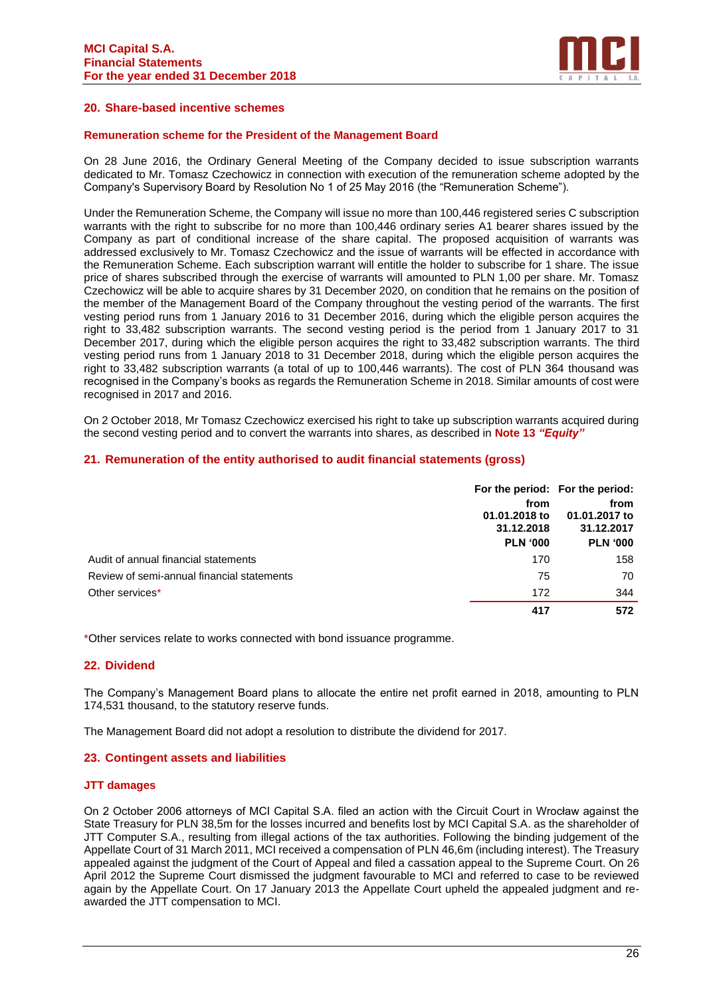

# **20. Share-based incentive schemes**

#### **Remuneration scheme for the President of the Management Board**

On 28 June 2016, the Ordinary General Meeting of the Company decided to issue subscription warrants dedicated to Mr. Tomasz Czechowicz in connection with execution of the remuneration scheme adopted by the Company's Supervisory Board by Resolution No 1 of 25 May 2016 (the "Remuneration Scheme").

Under the Remuneration Scheme, the Company will issue no more than 100,446 registered series C subscription warrants with the right to subscribe for no more than 100,446 ordinary series A1 bearer shares issued by the Company as part of conditional increase of the share capital. The proposed acquisition of warrants was addressed exclusively to Mr. Tomasz Czechowicz and the issue of warrants will be effected in accordance with the Remuneration Scheme. Each subscription warrant will entitle the holder to subscribe for 1 share. The issue price of shares subscribed through the exercise of warrants will amounted to PLN 1,00 per share. Mr. Tomasz Czechowicz will be able to acquire shares by 31 December 2020, on condition that he remains on the position of the member of the Management Board of the Company throughout the vesting period of the warrants. The first vesting period runs from 1 January 2016 to 31 December 2016, during which the eligible person acquires the right to 33,482 subscription warrants. The second vesting period is the period from 1 January 2017 to 31 December 2017, during which the eligible person acquires the right to 33,482 subscription warrants. The third vesting period runs from 1 January 2018 to 31 December 2018, during which the eligible person acquires the right to 33,482 subscription warrants (a total of up to 100,446 warrants). The cost of PLN 364 thousand was recognised in the Company's books as regards the Remuneration Scheme in 2018. Similar amounts of cost were recognised in 2017 and 2016.

On 2 October 2018, Mr Tomasz Czechowicz exercised his right to take up subscription warrants acquired during the second vesting period and to convert the warrants into shares, as described in **Note 13** *"Equity"*

#### **21. Remuneration of the entity authorised to audit financial statements (gross)**

|                                            | from<br>01.01.2018 to<br>31.12.2018<br><b>PLN '000</b> | For the period: For the period:<br>from<br>01.01.2017 to<br>31.12.2017<br><b>PLN '000</b> |
|--------------------------------------------|--------------------------------------------------------|-------------------------------------------------------------------------------------------|
| Audit of annual financial statements       | 170                                                    | 158                                                                                       |
| Review of semi-annual financial statements | 75                                                     | 70                                                                                        |
| Other services*                            | 172                                                    | 344                                                                                       |
|                                            | 417                                                    | 572                                                                                       |

\*Other services relate to works connected with bond issuance programme.

#### **22. Dividend**

The Company's Management Board plans to allocate the entire net profit earned in 2018, amounting to PLN 174,531 thousand, to the statutory reserve funds.

The Management Board did not adopt a resolution to distribute the dividend for 2017.

#### **23. Contingent assets and liabilities**

#### **JTT damages**

On 2 October 2006 attorneys of MCI Capital S.A. filed an action with the Circuit Court in Wrocław against the State Treasury for PLN 38,5m for the losses incurred and benefits lost by MCI Capital S.A. as the shareholder of JTT Computer S.A., resulting from illegal actions of the tax authorities. Following the binding judgement of the Appellate Court of 31 March 2011, MCI received a compensation of PLN 46,6m (including interest). The Treasury appealed against the judgment of the Court of Appeal and filed a cassation appeal to the Supreme Court. On 26 April 2012 the Supreme Court dismissed the judgment favourable to MCI and referred to case to be reviewed again by the Appellate Court. On 17 January 2013 the Appellate Court upheld the appealed judgment and reawarded the JTT compensation to MCI.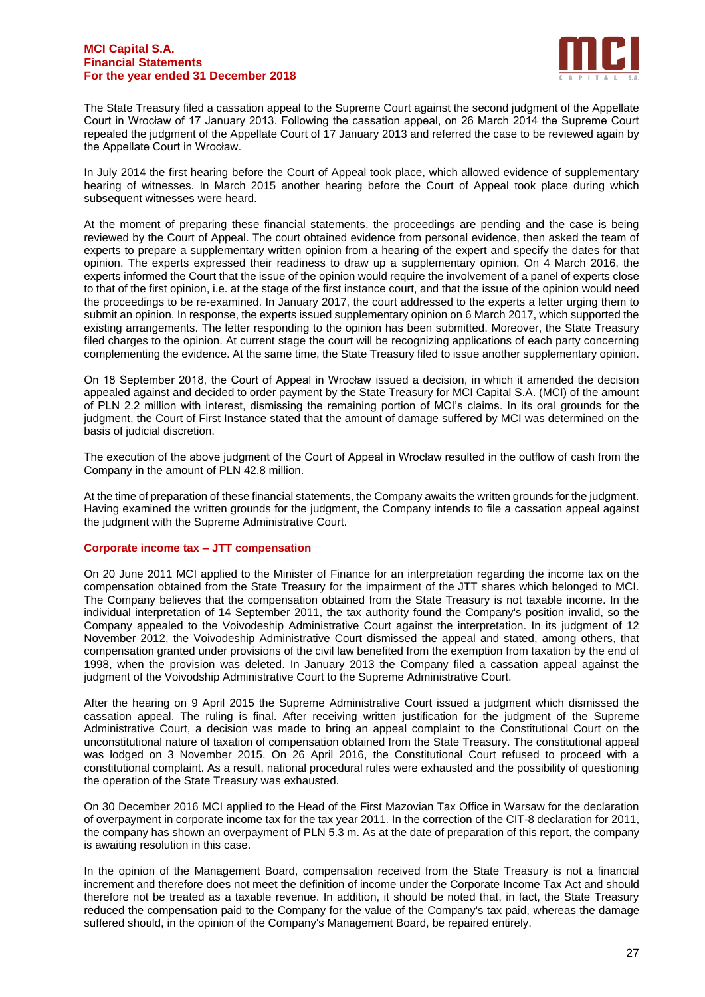

The State Treasury filed a cassation appeal to the Supreme Court against the second judgment of the Appellate Court in Wrocław of 17 January 2013. Following the cassation appeal, on 26 March 2014 the Supreme Court repealed the judgment of the Appellate Court of 17 January 2013 and referred the case to be reviewed again by the Appellate Court in Wrocław.

In July 2014 the first hearing before the Court of Appeal took place, which allowed evidence of supplementary hearing of witnesses. In March 2015 another hearing before the Court of Appeal took place during which subsequent witnesses were heard.

At the moment of preparing these financial statements, the proceedings are pending and the case is being reviewed by the Court of Appeal. The court obtained evidence from personal evidence, then asked the team of experts to prepare a supplementary written opinion from a hearing of the expert and specify the dates for that opinion. The experts expressed their readiness to draw up a supplementary opinion. On 4 March 2016, the experts informed the Court that the issue of the opinion would require the involvement of a panel of experts close to that of the first opinion, i.e. at the stage of the first instance court, and that the issue of the opinion would need the proceedings to be re-examined. In January 2017, the court addressed to the experts a letter urging them to submit an opinion. In response, the experts issued supplementary opinion on 6 March 2017, which supported the existing arrangements. The letter responding to the opinion has been submitted. Moreover, the State Treasury filed charges to the opinion. At current stage the court will be recognizing applications of each party concerning complementing the evidence. At the same time, the State Treasury filed to issue another supplementary opinion.

On 18 September 2018, the Court of Appeal in Wrocław issued a decision, in which it amended the decision appealed against and decided to order payment by the State Treasury for MCI Capital S.A. (MCI) of the amount of PLN 2.2 million with interest, dismissing the remaining portion of MCI's claims. In its oral grounds for the judgment, the Court of First Instance stated that the amount of damage suffered by MCI was determined on the basis of judicial discretion.

The execution of the above judgment of the Court of Appeal in Wrocław resulted in the outflow of cash from the Company in the amount of PLN 42.8 million.

At the time of preparation of these financial statements, the Company awaits the written grounds for the judgment. Having examined the written grounds for the judgment, the Company intends to file a cassation appeal against the judgment with the Supreme Administrative Court.

#### **Corporate income tax – JTT compensation**

On 20 June 2011 MCI applied to the Minister of Finance for an interpretation regarding the income tax on the compensation obtained from the State Treasury for the impairment of the JTT shares which belonged to MCI. The Company believes that the compensation obtained from the State Treasury is not taxable income. In the individual interpretation of 14 September 2011, the tax authority found the Company's position invalid, so the Company appealed to the Voivodeship Administrative Court against the interpretation. In its judgment of 12 November 2012, the Voivodeship Administrative Court dismissed the appeal and stated, among others, that compensation granted under provisions of the civil law benefited from the exemption from taxation by the end of 1998, when the provision was deleted. In January 2013 the Company filed a cassation appeal against the judgment of the Voivodship Administrative Court to the Supreme Administrative Court.

After the hearing on 9 April 2015 the Supreme Administrative Court issued a judgment which dismissed the cassation appeal. The ruling is final. After receiving written justification for the judgment of the Supreme Administrative Court, a decision was made to bring an appeal complaint to the Constitutional Court on the unconstitutional nature of taxation of compensation obtained from the State Treasury. The constitutional appeal was lodged on 3 November 2015. On 26 April 2016, the Constitutional Court refused to proceed with a constitutional complaint. As a result, national procedural rules were exhausted and the possibility of questioning the operation of the State Treasury was exhausted.

On 30 December 2016 MCI applied to the Head of the First Mazovian Tax Office in Warsaw for the declaration of overpayment in corporate income tax for the tax year 2011. In the correction of the CIT-8 declaration for 2011, the company has shown an overpayment of PLN 5.3 m. As at the date of preparation of this report, the company is awaiting resolution in this case.

In the opinion of the Management Board, compensation received from the State Treasury is not a financial increment and therefore does not meet the definition of income under the Corporate Income Tax Act and should therefore not be treated as a taxable revenue. In addition, it should be noted that, in fact, the State Treasury reduced the compensation paid to the Company for the value of the Company's tax paid, whereas the damage suffered should, in the opinion of the Company's Management Board, be repaired entirely.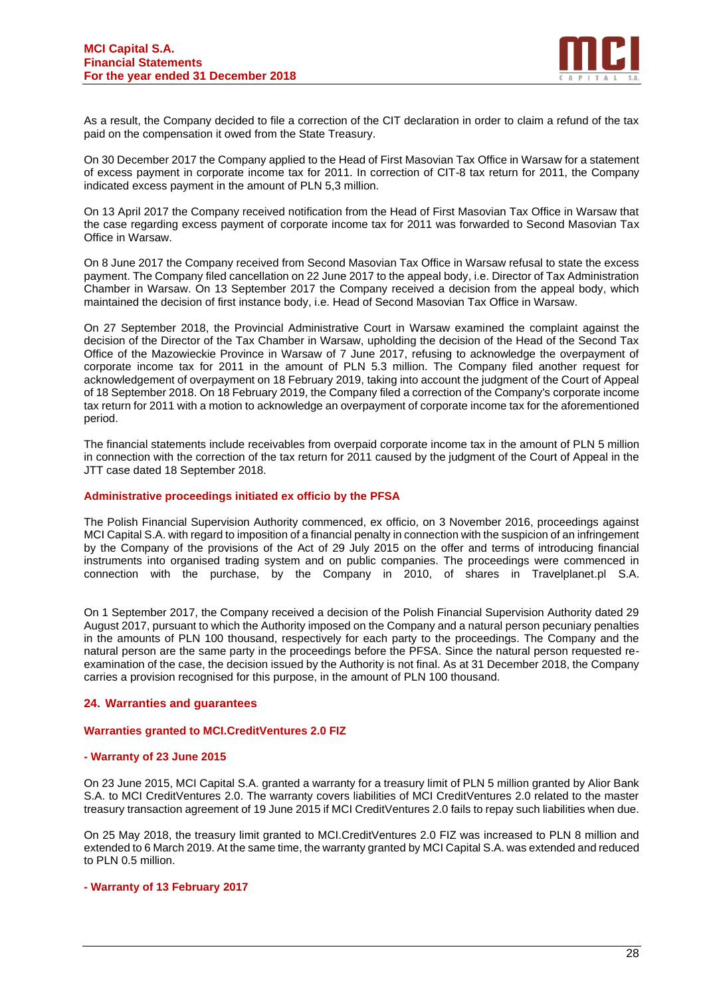

As a result, the Company decided to file a correction of the CIT declaration in order to claim a refund of the tax paid on the compensation it owed from the State Treasury.

On 30 December 2017 the Company applied to the Head of First Masovian Tax Office in Warsaw for a statement of excess payment in corporate income tax for 2011. In correction of CIT-8 tax return for 2011, the Company indicated excess payment in the amount of PLN 5,3 million.

On 13 April 2017 the Company received notification from the Head of First Masovian Tax Office in Warsaw that the case regarding excess payment of corporate income tax for 2011 was forwarded to Second Masovian Tax Office in Warsaw.

On 8 June 2017 the Company received from Second Masovian Tax Office in Warsaw refusal to state the excess payment. The Company filed cancellation on 22 June 2017 to the appeal body, i.e. Director of Tax Administration Chamber in Warsaw. On 13 September 2017 the Company received a decision from the appeal body, which maintained the decision of first instance body, i.e. Head of Second Masovian Tax Office in Warsaw.

On 27 September 2018, the Provincial Administrative Court in Warsaw examined the complaint against the decision of the Director of the Tax Chamber in Warsaw, upholding the decision of the Head of the Second Tax Office of the Mazowieckie Province in Warsaw of 7 June 2017, refusing to acknowledge the overpayment of corporate income tax for 2011 in the amount of PLN 5.3 million. The Company filed another request for acknowledgement of overpayment on 18 February 2019, taking into account the judgment of the Court of Appeal of 18 September 2018. On 18 February 2019, the Company filed a correction of the Company's corporate income tax return for 2011 with a motion to acknowledge an overpayment of corporate income tax for the aforementioned period.

The financial statements include receivables from overpaid corporate income tax in the amount of PLN 5 million in connection with the correction of the tax return for 2011 caused by the judgment of the Court of Appeal in the JTT case dated 18 September 2018.

#### **Administrative proceedings initiated ex officio by the PFSA**

The Polish Financial Supervision Authority commenced, ex officio, on 3 November 2016, proceedings against MCI Capital S.A. with regard to imposition of a financial penalty in connection with the suspicion of an infringement by the Company of the provisions of the Act of 29 July 2015 on the offer and terms of introducing financial instruments into organised trading system and on public companies. The proceedings were commenced in connection with the purchase, by the Company in 2010, of shares in Travelplanet.pl S.A.

On 1 September 2017, the Company received a decision of the Polish Financial Supervision Authority dated 29 August 2017, pursuant to which the Authority imposed on the Company and a natural person pecuniary penalties in the amounts of PLN 100 thousand, respectively for each party to the proceedings. The Company and the natural person are the same party in the proceedings before the PFSA. Since the natural person requested reexamination of the case, the decision issued by the Authority is not final. As at 31 December 2018, the Company carries a provision recognised for this purpose, in the amount of PLN 100 thousand.

#### **24. Warranties and guarantees**

#### **Warranties granted to MCI.CreditVentures 2.0 FIZ**

#### **- Warranty of 23 June 2015**

On 23 June 2015, MCI Capital S.A. granted a warranty for a treasury limit of PLN 5 million granted by Alior Bank S.A. to MCI CreditVentures 2.0. The warranty covers liabilities of MCI CreditVentures 2.0 related to the master treasury transaction agreement of 19 June 2015 if MCI CreditVentures 2.0 fails to repay such liabilities when due.

On 25 May 2018, the treasury limit granted to MCI.CreditVentures 2.0 FIZ was increased to PLN 8 million and extended to 6 March 2019. At the same time, the warranty granted by MCI Capital S.A. was extended and reduced to PLN 0.5 million.

#### **- Warranty of 13 February 2017**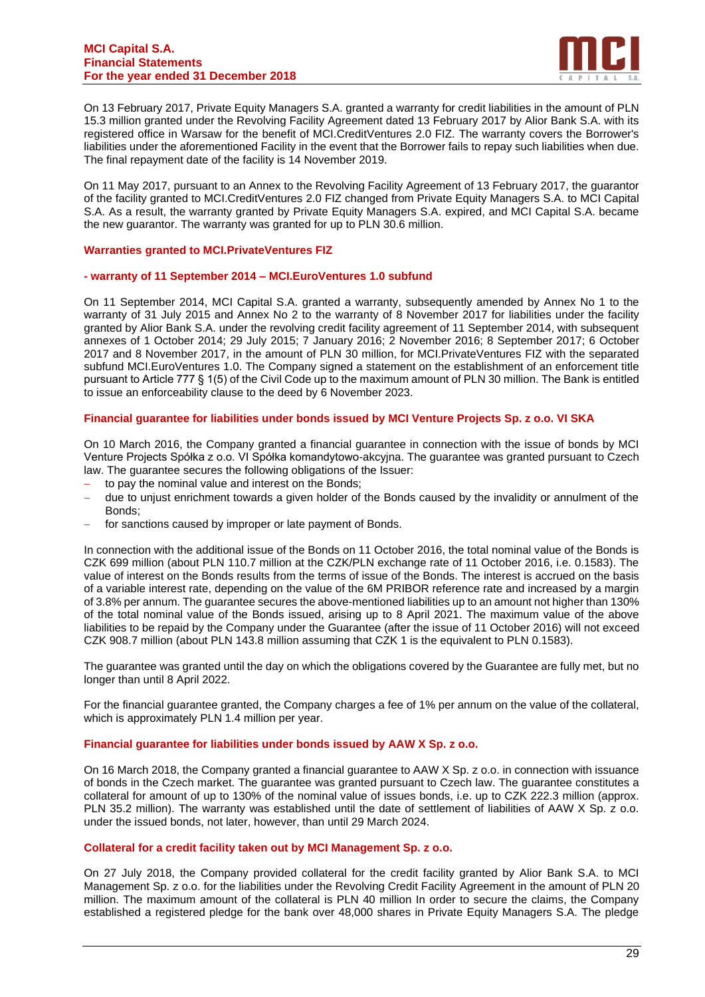

On 13 February 2017, Private Equity Managers S.A. granted a warranty for credit liabilities in the amount of PLN 15.3 million granted under the Revolving Facility Agreement dated 13 February 2017 by Alior Bank S.A. with its registered office in Warsaw for the benefit of MCI.CreditVentures 2.0 FIZ. The warranty covers the Borrower's liabilities under the aforementioned Facility in the event that the Borrower fails to repay such liabilities when due. The final repayment date of the facility is 14 November 2019.

On 11 May 2017, pursuant to an Annex to the Revolving Facility Agreement of 13 February 2017, the guarantor of the facility granted to MCI.CreditVentures 2.0 FIZ changed from Private Equity Managers S.A. to MCI Capital S.A. As a result, the warranty granted by Private Equity Managers S.A. expired, and MCI Capital S.A. became the new guarantor. The warranty was granted for up to PLN 30.6 million.

#### **Warranties granted to MCI.PrivateVentures FIZ**

#### **- warranty of 11 September 2014 – MCI.EuroVentures 1.0 subfund**

On 11 September 2014, MCI Capital S.A. granted a warranty, subsequently amended by Annex No 1 to the warranty of 31 July 2015 and Annex No 2 to the warranty of 8 November 2017 for liabilities under the facility granted by Alior Bank S.A. under the revolving credit facility agreement of 11 September 2014, with subsequent annexes of 1 October 2014; 29 July 2015; 7 January 2016; 2 November 2016; 8 September 2017; 6 October 2017 and 8 November 2017, in the amount of PLN 30 million, for MCI.PrivateVentures FIZ with the separated subfund MCI.EuroVentures 1.0. The Company signed a statement on the establishment of an enforcement title pursuant to Article 777 § 1(5) of the Civil Code up to the maximum amount of PLN 30 million. The Bank is entitled to issue an enforceability clause to the deed by 6 November 2023.

#### **Financial guarantee for liabilities under bonds issued by MCI Venture Projects Sp. z o.o. VI SKA**

On 10 March 2016, the Company granted a financial guarantee in connection with the issue of bonds by MCI Venture Projects Spółka z o.o. VI Spółka komandytowo-akcyjna. The guarantee was granted pursuant to Czech law. The guarantee secures the following obligations of the Issuer:

- to pay the nominal value and interest on the Bonds;
- due to unjust enrichment towards a given holder of the Bonds caused by the invalidity or annulment of the Bonds;
- for sanctions caused by improper or late payment of Bonds.

In connection with the additional issue of the Bonds on 11 October 2016, the total nominal value of the Bonds is CZK 699 million (about PLN 110.7 million at the CZK/PLN exchange rate of 11 October 2016, i.e. 0.1583). The value of interest on the Bonds results from the terms of issue of the Bonds. The interest is accrued on the basis of a variable interest rate, depending on the value of the 6M PRIBOR reference rate and increased by a margin of 3.8% per annum. The guarantee secures the above-mentioned liabilities up to an amount not higher than 130% of the total nominal value of the Bonds issued, arising up to 8 April 2021. The maximum value of the above liabilities to be repaid by the Company under the Guarantee (after the issue of 11 October 2016) will not exceed CZK 908.7 million (about PLN 143.8 million assuming that CZK 1 is the equivalent to PLN 0.1583).

The guarantee was granted until the day on which the obligations covered by the Guarantee are fully met, but no longer than until 8 April 2022.

For the financial guarantee granted, the Company charges a fee of 1% per annum on the value of the collateral, which is approximately PLN 1.4 million per year.

#### **Financial guarantee for liabilities under bonds issued by AAW X Sp. z o.o.**

On 16 March 2018, the Company granted a financial guarantee to AAW X Sp. z o.o. in connection with issuance of bonds in the Czech market. The guarantee was granted pursuant to Czech law. The guarantee constitutes a collateral for amount of up to 130% of the nominal value of issues bonds, i.e. up to CZK 222.3 million (approx. PLN 35.2 million). The warranty was established until the date of settlement of liabilities of AAW X Sp. z o.o. under the issued bonds, not later, however, than until 29 March 2024.

#### **Collateral for a credit facility taken out by MCI Management Sp. z o.o.**

On 27 July 2018, the Company provided collateral for the credit facility granted by Alior Bank S.A. to MCI Management Sp. z o.o. for the liabilities under the Revolving Credit Facility Agreement in the amount of PLN 20 million. The maximum amount of the collateral is PLN 40 million In order to secure the claims, the Company established a registered pledge for the bank over 48,000 shares in Private Equity Managers S.A. The pledge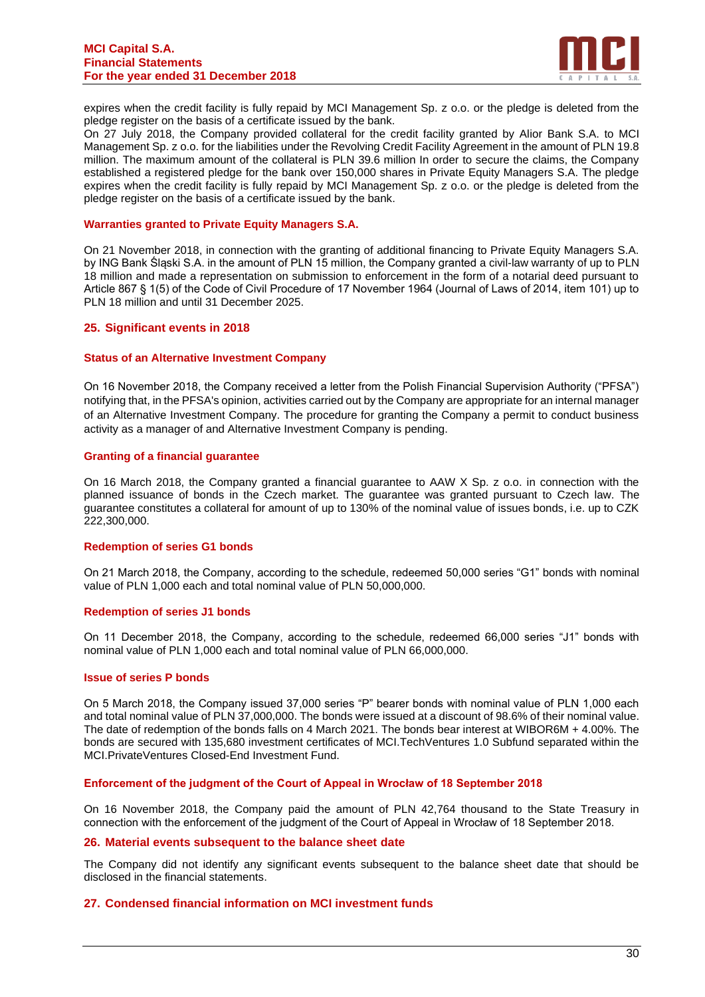#### **MCI Capital S.A. Financial Statements For the year ended 31 December 2018**



expires when the credit facility is fully repaid by MCI Management Sp. z o.o. or the pledge is deleted from the pledge register on the basis of a certificate issued by the bank.

On 27 July 2018, the Company provided collateral for the credit facility granted by Alior Bank S.A. to MCI Management Sp. z o.o. for the liabilities under the Revolving Credit Facility Agreement in the amount of PLN 19.8 million. The maximum amount of the collateral is PLN 39.6 million In order to secure the claims, the Company established a registered pledge for the bank over 150,000 shares in Private Equity Managers S.A. The pledge expires when the credit facility is fully repaid by MCI Management Sp. z o.o. or the pledge is deleted from the pledge register on the basis of a certificate issued by the bank.

#### **Warranties granted to Private Equity Managers S.A.**

On 21 November 2018, in connection with the granting of additional financing to Private Equity Managers S.A. by ING Bank Śląski S.A. in the amount of PLN 15 million, the Company granted a civil-law warranty of up to PLN 18 million and made a representation on submission to enforcement in the form of a notarial deed pursuant to Article 867 § 1(5) of the Code of Civil Procedure of 17 November 1964 (Journal of Laws of 2014, item 101) up to PLN 18 million and until 31 December 2025.

#### **25. Significant events in 2018**

#### **Status of an Alternative Investment Company**

On 16 November 2018, the Company received a letter from the Polish Financial Supervision Authority ("PFSA") notifying that, in the PFSA's opinion, activities carried out by the Company are appropriate for an internal manager of an Alternative Investment Company. The procedure for granting the Company a permit to conduct business activity as a manager of and Alternative Investment Company is pending.

#### **Granting of a financial guarantee**

On 16 March 2018, the Company granted a financial guarantee to AAW X Sp. z o.o. in connection with the planned issuance of bonds in the Czech market. The guarantee was granted pursuant to Czech law. The guarantee constitutes a collateral for amount of up to 130% of the nominal value of issues bonds, i.e. up to CZK 222,300,000.

#### **Redemption of series G1 bonds**

On 21 March 2018, the Company, according to the schedule, redeemed 50,000 series "G1" bonds with nominal value of PLN 1,000 each and total nominal value of PLN 50,000,000.

#### **Redemption of series J1 bonds**

On 11 December 2018, the Company, according to the schedule, redeemed 66,000 series "J1" bonds with nominal value of PLN 1,000 each and total nominal value of PLN 66,000,000.

#### **Issue of series P bonds**

On 5 March 2018, the Company issued 37,000 series "P" bearer bonds with nominal value of PLN 1,000 each and total nominal value of PLN 37,000,000. The bonds were issued at a discount of 98.6% of their nominal value. The date of redemption of the bonds falls on 4 March 2021. The bonds bear interest at WIBOR6M + 4.00%. The bonds are secured with 135,680 investment certificates of MCI.TechVentures 1.0 Subfund separated within the MCI.PrivateVentures Closed-End Investment Fund.

#### **Enforcement of the judgment of the Court of Appeal in Wrocław of 18 September 2018**

On 16 November 2018, the Company paid the amount of PLN 42,764 thousand to the State Treasury in connection with the enforcement of the judgment of the Court of Appeal in Wrocław of 18 September 2018.

#### **26. Material events subsequent to the balance sheet date**

The Company did not identify any significant events subsequent to the balance sheet date that should be disclosed in the financial statements.

#### **27. Condensed financial information on MCI investment funds**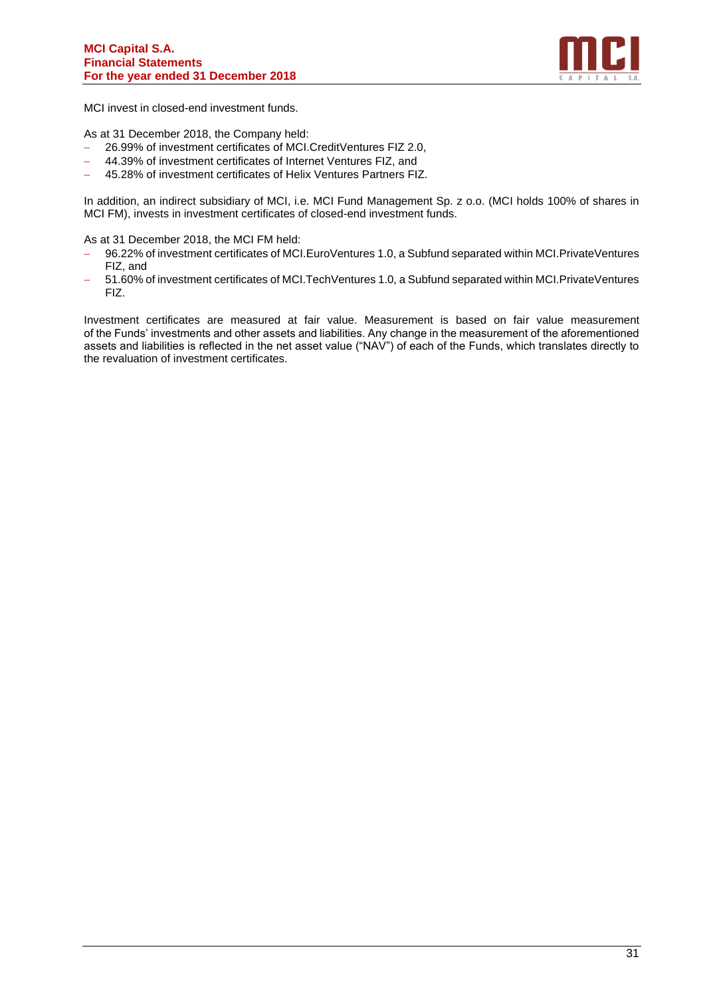

MCI invest in closed-end investment funds.

As at 31 December 2018, the Company held:

- − 26.99% of investment certificates of MCI.CreditVentures FIZ 2.0,
- − 44.39% of investment certificates of Internet Ventures FIZ, and
- − 45.28% of investment certificates of Helix Ventures Partners FIZ.

In addition, an indirect subsidiary of MCI, i.e. MCI Fund Management Sp. z o.o. (MCI holds 100% of shares in MCI FM), invests in investment certificates of closed-end investment funds.

As at 31 December 2018, the MCI FM held:

- − 96.22% of investment certificates of MCI.EuroVentures 1.0, a Subfund separated within MCI.PrivateVentures FIZ, and
- − 51.60% of investment certificates of MCI.TechVentures 1.0, a Subfund separated within MCI.PrivateVentures FIZ.

Investment certificates are measured at fair value. Measurement is based on fair value measurement of the Funds' investments and other assets and liabilities. Any change in the measurement of the aforementioned assets and liabilities is reflected in the net asset value ("NAV") of each of the Funds, which translates directly to the revaluation of investment certificates.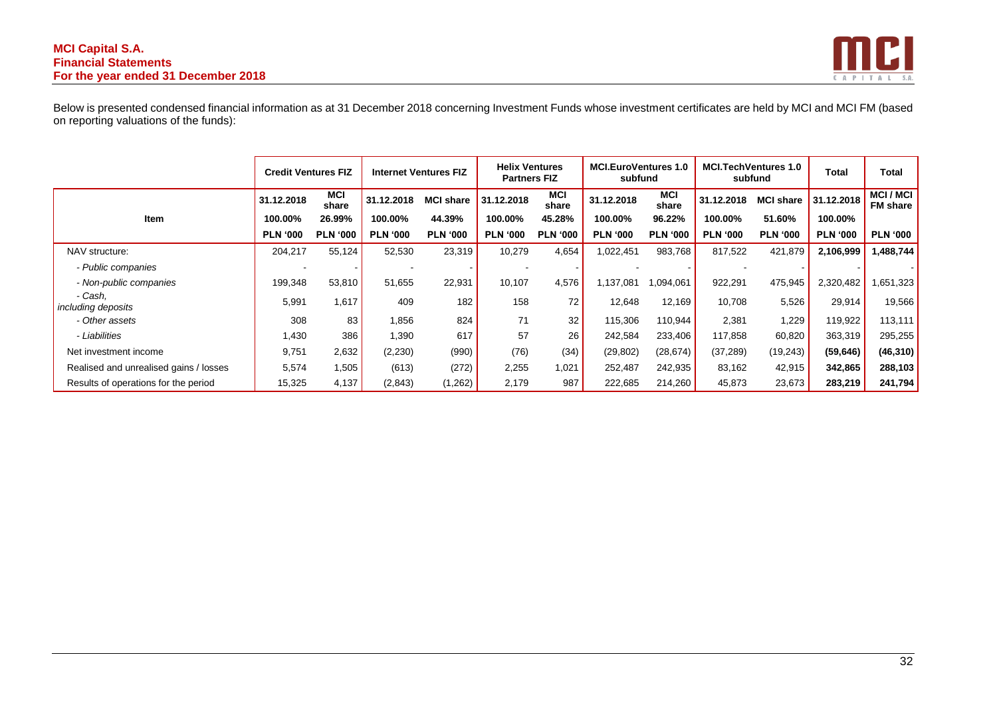#### **MCI Capital S.A. Financial Statements For the year ended 31 December 2018**



Below is presented condensed financial information as at 31 December 2018 concerning Investment Funds whose investment certificates are held by MCI and MCI FM (based on reporting valuations of the funds):

|                                        | <b>Credit Ventures FIZ</b> |                     |                 | <b>Internet Ventures FIZ</b> |                 | <b>Helix Ventures</b><br><b>Partners FIZ</b> |                 | <b>MCI.EuroVentures 1.0</b><br>subfund |                 | <b>MCI.TechVentures 1.0</b><br>subfund |                 | Total                             |
|----------------------------------------|----------------------------|---------------------|-----------------|------------------------------|-----------------|----------------------------------------------|-----------------|----------------------------------------|-----------------|----------------------------------------|-----------------|-----------------------------------|
|                                        | 31.12.2018                 | <b>MCI</b><br>share | 31.12.2018      | <b>MCI share</b>             | 31.12.2018      | <b>MCI</b><br>share                          | 31.12.2018      | <b>MCI</b><br>share                    | 31.12.2018      | <b>MCI share</b>                       | 31.12.2018      | <b>MCI/MCI</b><br><b>FM</b> share |
| <b>Item</b>                            | 100.00%                    | 26.99%              | 100.00%         | 44.39%                       | 100.00%         | 45.28%                                       | 100.00%         | 96.22%                                 | 100.00%         | 51.60%                                 | 100.00%         |                                   |
|                                        | <b>PLN '000</b>            | <b>PLN '000</b>     | <b>PLN '000</b> | <b>PLN '000</b>              | <b>PLN '000</b> | <b>PLN '000</b>                              | <b>PLN '000</b> | <b>PLN '000</b>                        | <b>PLN '000</b> | <b>PLN '000</b>                        | <b>PLN '000</b> | <b>PLN '000</b>                   |
| NAV structure:                         | 204,217                    | 55,124              | 52,530          | 23,319                       | 10,279          | 4,654                                        | 1,022,451       | 983,768                                | 817,522         | 421,879                                | 2,106,999       | 1,488,744                         |
| - Public companies                     |                            |                     |                 |                              |                 |                                              |                 |                                        |                 |                                        |                 |                                   |
| - Non-public companies                 | 199,348                    | 53,810              | 51,655          | 22,931                       | 10,107          | 4,576                                        | 1,137,081       | 1,094,061                              | 922,291         | 475,945                                | 2,320,482       | 1,651,323                         |
| - Cash.<br>including deposits          | 5,991                      | 1,617               | 409             | 182                          | 158             | 72                                           | 12,648          | 12,169                                 | 10,708          | 5,526                                  | 29,914          | 19,566                            |
| - Other assets                         | 308                        | 83                  | 1,856           | 824                          | 71              | 32                                           | 115,306         | 110,944                                | 2,381           | 1,229                                  | 119,922         | 113,111                           |
| - Liabilities                          | 1,430                      | 386                 | 1,390           | 617                          | 57              | 26                                           | 242,584         | 233,406                                | 117,858         | 60,820                                 | 363,319         | 295,255                           |
| Net investment income                  | 9,751                      | 2,632               | (2,230)         | (990)                        | (76)            | (34)                                         | (29, 802)       | (28, 674)                              | (37, 289)       | (19, 243)                              | (59, 646)       | (46, 310)                         |
| Realised and unrealised gains / losses | 5,574                      | 1,505               | (613)           | (272)                        | 2,255           | 1,021                                        | 252,487         | 242,935                                | 83,162          | 42,915                                 | 342,865         | 288,103                           |
| Results of operations for the period   | 15,325                     | 4,137               | (2,843)         | (1,262)                      | 2,179           | 987                                          | 222,685         | 214,260                                | 45,873          | 23,673                                 | 283,219         | 241,794                           |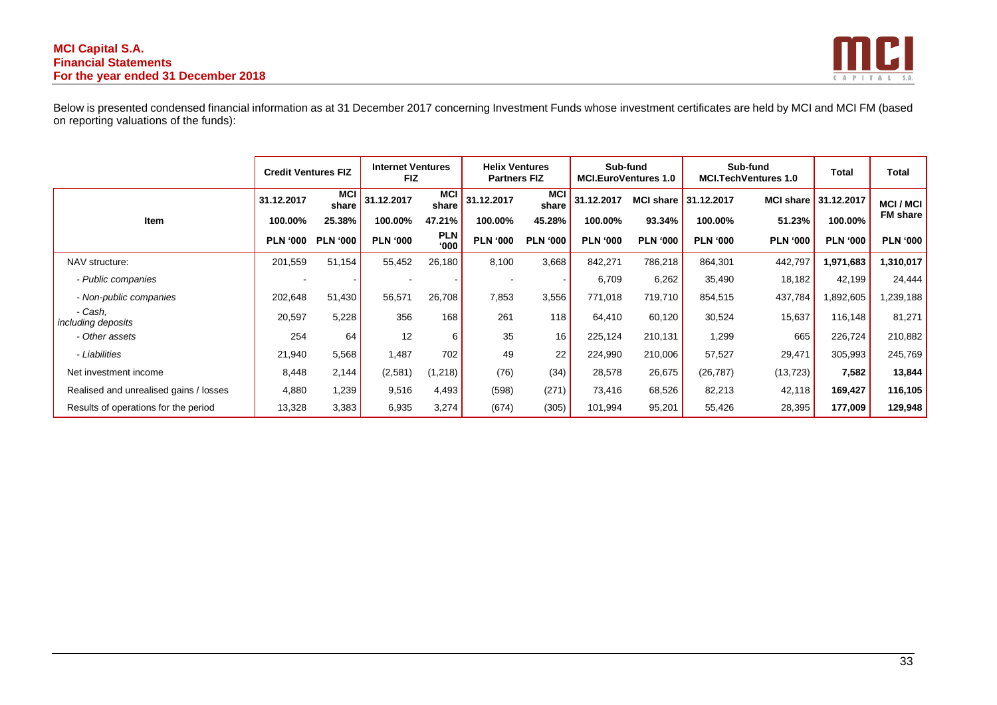#### **MCI Capital S.A. Financial Statements For the year ended 31 December 2018**



Below is presented condensed financial information as at 31 December 2017 concerning Investment Funds whose investment certificates are held by MCI and MCI FM (based on reporting valuations of the funds):

|                                        | <b>Credit Ventures FIZ</b> |                     | <b>Internet Ventures</b><br><b>FIZ</b> |                     | <b>Helix Ventures</b><br><b>Partners FIZ</b> |                     |                 | Sub-fund<br><b>MCI.EuroVentures 1.0</b> |                      | Sub-fund<br><b>MCI.TechVentures 1.0</b> | <b>Total</b>         | <b>Total</b>    |
|----------------------------------------|----------------------------|---------------------|----------------------------------------|---------------------|----------------------------------------------|---------------------|-----------------|-----------------------------------------|----------------------|-----------------------------------------|----------------------|-----------------|
|                                        | 31.12.2017                 | <b>MCI</b><br>share | 31.12.2017                             | <b>MCI</b><br>share | 31.12.2017                                   | <b>MCI</b><br>share | 31.12.2017      |                                         | MCI share 31.12.2017 |                                         | MCI share 31.12.2017 | <b>MCI/MCI</b>  |
| Item                                   | 100.00%                    | 25.38%              | 100.00%                                | 47.21%              | 100.00%                                      | 45.28%              | 100.00%         | 93.34%                                  | 100.00%              | 51.23%                                  | 100.00%              | <b>FM</b> share |
|                                        | <b>PLN '000</b>            | <b>PLN '000</b>     | <b>PLN '000</b>                        | <b>PLN</b><br>000'  | <b>PLN '000</b>                              | <b>PLN '000</b>     | <b>PLN '000</b> | <b>PLN '000</b>                         | <b>PLN '000</b>      | <b>PLN '000</b>                         | <b>PLN '000</b>      | <b>PLN '000</b> |
| NAV structure:                         | 201,559                    | 51,154              | 55,452                                 | 26,180              | 8,100                                        | 3,668               | 842,271         | 786,218                                 | 864,301              | 442,797                                 | 1,971,683            | 1,310,017       |
| - Public companies                     |                            |                     |                                        |                     |                                              |                     | 6,709           | 6,262                                   | 35,490               | 18,182                                  | 42,199               | 24,444          |
| - Non-public companies                 | 202,648                    | 51,430              | 56,571                                 | 26,708              | 7,853                                        | 3,556               | 771,018         | 719,710                                 | 854,515              | 437,784                                 | 892,605              | 1,239,188       |
| - Cash,<br>including deposits          | 20,597                     | 5,228               | 356                                    | 168                 | 261                                          | 118                 | 64,410          | 60,120                                  | 30,524               | 15,637                                  | 116,148              | 81,271          |
| - Other assets                         | 254                        | 64                  | 12                                     | 6                   | 35                                           | 16                  | 225,124         | 210,131                                 | 1,299                | 665                                     | 226,724              | 210,882         |
| - Liabilities                          | 21,940                     | 5,568               | 1,487                                  | 702                 | 49                                           | 22                  | 224,990         | 210,006                                 | 57,527               | 29,471                                  | 305,993              | 245,769         |
| Net investment income                  | 8,448                      | 2,144               | (2,581)                                | (1, 218)            | (76)                                         | (34)                | 28,578          | 26,675                                  | (26, 787)            | (13, 723)                               | 7,582                | 13,844          |
| Realised and unrealised gains / losses | 4,880                      | 1,239               | 9,516                                  | 4,493               | (598)                                        | (271)               | 73,416          | 68,526                                  | 82,213               | 42,118                                  | 169,427              | 116,105         |
| Results of operations for the period   | 13,328                     | 3,383               | 6,935                                  | 3,274               | (674)                                        | (305)               | 101,994         | 95,201                                  | 55,426               | 28,395                                  | 177,009              | 129,948         |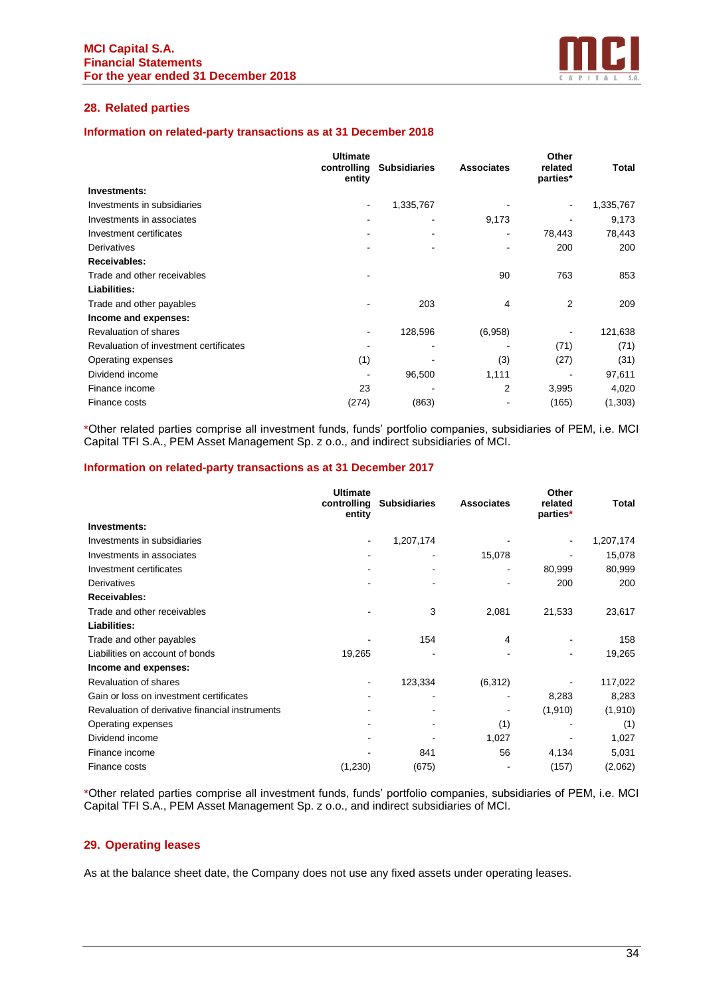

# **28. Related parties**

#### **Information on related-party transactions as at 31 December 2018**

|                                        | <b>Ultimate</b><br>controlling<br>entity | <b>Subsidiaries</b> | <b>Associates</b> | Other<br>related<br>parties* | Total     |
|----------------------------------------|------------------------------------------|---------------------|-------------------|------------------------------|-----------|
| Investments:                           |                                          |                     |                   |                              |           |
| Investments in subsidiaries            | ۰                                        | 1,335,767           |                   |                              | 1,335,767 |
| Investments in associates              | ۰                                        | ۰                   | 9,173             |                              | 9,173     |
| Investment certificates                |                                          |                     | ۰                 | 78,443                       | 78,443    |
| Derivatives                            |                                          |                     |                   | 200                          | 200       |
| Receivables:                           |                                          |                     |                   |                              |           |
| Trade and other receivables            |                                          |                     | 90                | 763                          | 853       |
| Liabilities:                           |                                          |                     |                   |                              |           |
| Trade and other payables               |                                          | 203                 | 4                 | 2                            | 209       |
| Income and expenses:                   |                                          |                     |                   |                              |           |
| Revaluation of shares                  | ۰                                        | 128,596             | (6,958)           |                              | 121,638   |
| Revaluation of investment certificates |                                          |                     |                   | (71)                         | (71)      |
| Operating expenses                     | (1)                                      |                     | (3)               | (27)                         | (31)      |
| Dividend income                        |                                          | 96,500              | 1,111             |                              | 97,611    |
| Finance income                         | 23                                       |                     | 2                 | 3,995                        | 4,020     |
| Finance costs                          | (274)                                    | (863)               |                   | (165)                        | (1,303)   |

\*Other related parties comprise all investment funds, funds' portfolio companies, subsidiaries of PEM, i.e. MCI Capital TFI S.A., PEM Asset Management Sp. z o.o., and indirect subsidiaries of MCI.

#### **Information on related-party transactions as at 31 December 2017**

| <b>Ultimate</b><br>controlling<br>entity        | <b>Subsidiaries</b> | <b>Associates</b> | Other<br>related<br>parties* | <b>Total</b> |
|-------------------------------------------------|---------------------|-------------------|------------------------------|--------------|
| Investments:                                    |                     |                   |                              |              |
| Investments in subsidiaries<br>$\blacksquare$   | 1,207,174           |                   |                              | 1,207,174    |
| Investments in associates                       |                     | 15,078            |                              | 15,078       |
| Investment certificates                         |                     |                   | 80,999                       | 80,999       |
| Derivatives                                     |                     |                   | 200                          | 200          |
| <b>Receivables:</b>                             |                     |                   |                              |              |
| Trade and other receivables                     | 3                   | 2,081             | 21,533                       | 23,617       |
| Liabilities:                                    |                     |                   |                              |              |
| Trade and other payables                        | 154                 | 4                 |                              | 158          |
| Liabilities on account of bonds<br>19,265       |                     |                   |                              | 19,265       |
| Income and expenses:                            |                     |                   |                              |              |
| Revaluation of shares                           | 123,334             | (6, 312)          |                              | 117,022      |
| Gain or loss on investment certificates         |                     |                   | 8,283                        | 8,283        |
| Revaluation of derivative financial instruments |                     |                   | (1,910)                      | (1,910)      |
| Operating expenses                              |                     | (1)               |                              | (1)          |
| Dividend income                                 |                     | 1,027             |                              | 1,027        |
| Finance income                                  | 841                 | 56                | 4,134                        | 5,031        |
| (1,230)<br>Finance costs                        | (675)               |                   | (157)                        | (2,062)      |

\*Other related parties comprise all investment funds, funds' portfolio companies, subsidiaries of PEM, i.e. MCI Capital TFI S.A., PEM Asset Management Sp. z o.o., and indirect subsidiaries of MCI.

# **29. Operating leases**

As at the balance sheet date, the Company does not use any fixed assets under operating leases.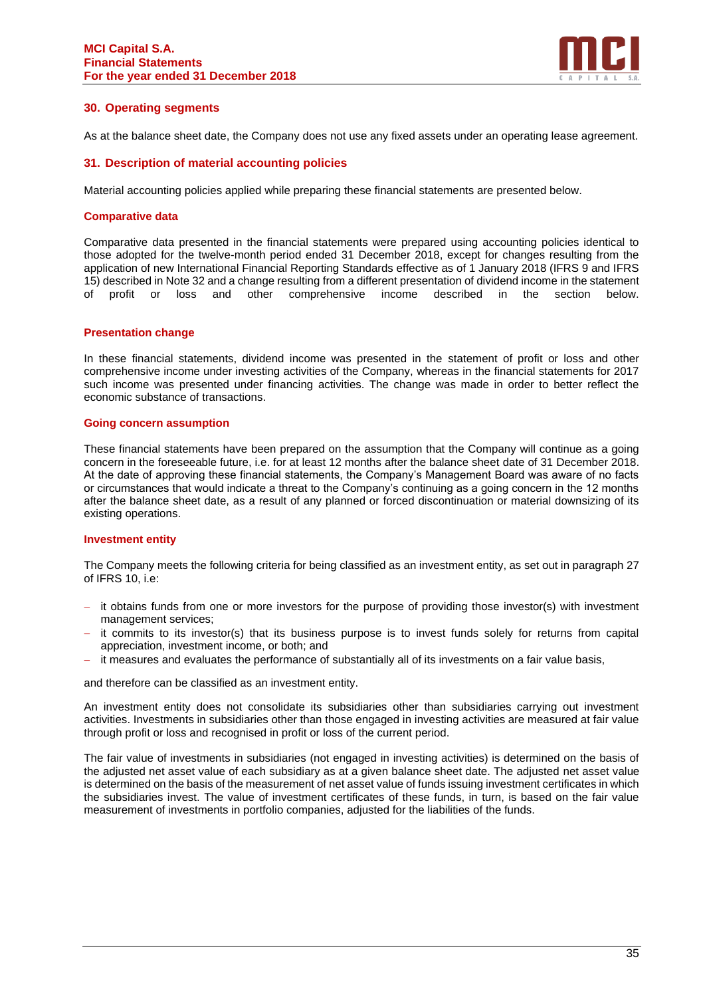

# **30. Operating segments**

As at the balance sheet date, the Company does not use any fixed assets under an operating lease agreement.

#### **31. Description of material accounting policies**

Material accounting policies applied while preparing these financial statements are presented below.

#### **Comparative data**

Comparative data presented in the financial statements were prepared using accounting policies identical to those adopted for the twelve-month period ended 31 December 2018, except for changes resulting from the application of new International Financial Reporting Standards effective as of 1 January 2018 (IFRS 9 and IFRS 15) described in Note 32 and a change resulting from a different presentation of dividend income in the statement of profit or loss and other comprehensive income described in the section below.

#### **Presentation change**

In these financial statements, dividend income was presented in the statement of profit or loss and other comprehensive income under investing activities of the Company, whereas in the financial statements for 2017 such income was presented under financing activities. The change was made in order to better reflect the economic substance of transactions.

#### **Going concern assumption**

These financial statements have been prepared on the assumption that the Company will continue as a going concern in the foreseeable future, i.e. for at least 12 months after the balance sheet date of 31 December 2018. At the date of approving these financial statements, the Company's Management Board was aware of no facts or circumstances that would indicate a threat to the Company's continuing as a going concern in the 12 months after the balance sheet date, as a result of any planned or forced discontinuation or material downsizing of its existing operations.

# **Investment entity**

The Company meets the following criteria for being classified as an investment entity, as set out in paragraph 27 of IFRS 10, i.e:

- it obtains funds from one or more investors for the purpose of providing those investor(s) with investment management services;
- it commits to its investor(s) that its business purpose is to invest funds solely for returns from capital appreciation, investment income, or both; and
- − it measures and evaluates the performance of substantially all of its investments on a fair value basis,

and therefore can be classified as an investment entity.

An investment entity does not consolidate its subsidiaries other than subsidiaries carrying out investment activities. Investments in subsidiaries other than those engaged in investing activities are measured at fair value through profit or loss and recognised in profit or loss of the current period.

The fair value of investments in subsidiaries (not engaged in investing activities) is determined on the basis of the adjusted net asset value of each subsidiary as at a given balance sheet date. The adjusted net asset value is determined on the basis of the measurement of net asset value of funds issuing investment certificates in which the subsidiaries invest. The value of investment certificates of these funds, in turn, is based on the fair value measurement of investments in portfolio companies, adjusted for the liabilities of the funds.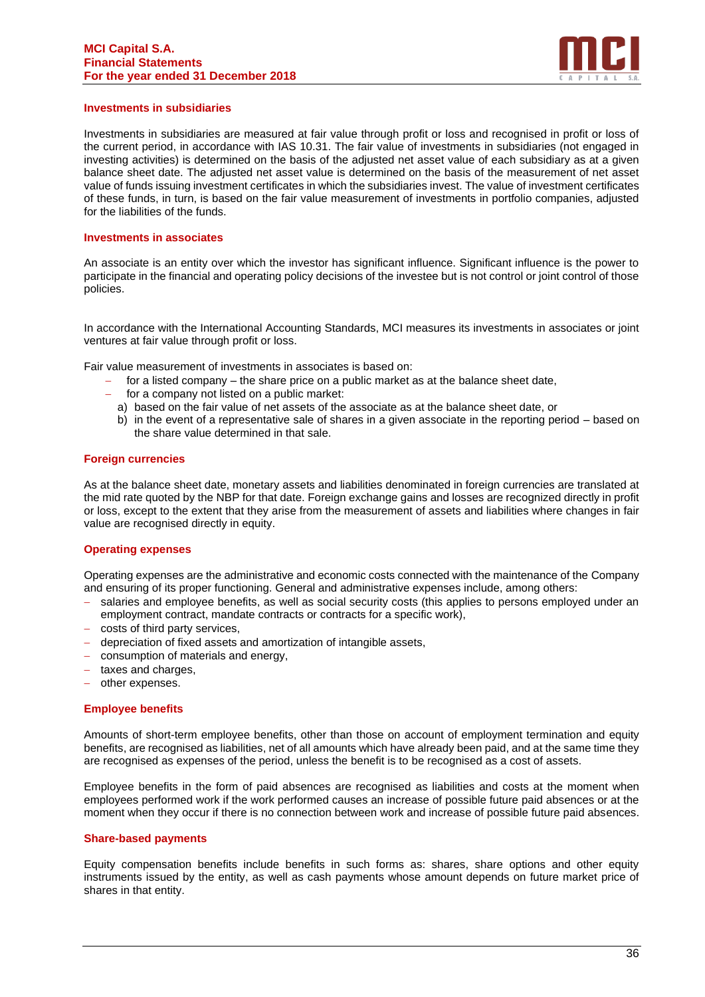#### **MCI Capital S.A. Financial Statements For the year ended 31 December 2018**



#### **Investments in subsidiaries**

Investments in subsidiaries are measured at fair value through profit or loss and recognised in profit or loss of the current period, in accordance with IAS 10.31. The fair value of investments in subsidiaries (not engaged in investing activities) is determined on the basis of the adjusted net asset value of each subsidiary as at a given balance sheet date. The adjusted net asset value is determined on the basis of the measurement of net asset value of funds issuing investment certificates in which the subsidiaries invest. The value of investment certificates of these funds, in turn, is based on the fair value measurement of investments in portfolio companies, adjusted for the liabilities of the funds.

#### **Investments in associates**

An associate is an entity over which the investor has significant influence. Significant influence is the power to participate in the financial and operating policy decisions of the investee but is not control or joint control of those policies.

In accordance with the International Accounting Standards, MCI measures its investments in associates or joint ventures at fair value through profit or loss.

Fair value measurement of investments in associates is based on:

- − for a listed company the share price on a public market as at the balance sheet date,
- − for a company not listed on a public market:
	- a) based on the fair value of net assets of the associate as at the balance sheet date, or
	- b) in the event of a representative sale of shares in a given associate in the reporting period based on the share value determined in that sale.

#### **Foreign currencies**

As at the balance sheet date, monetary assets and liabilities denominated in foreign currencies are translated at the mid rate quoted by the NBP for that date. Foreign exchange gains and losses are recognized directly in profit or loss, except to the extent that they arise from the measurement of assets and liabilities where changes in fair value are recognised directly in equity.

#### **Operating expenses**

Operating expenses are the administrative and economic costs connected with the maintenance of the Company and ensuring of its proper functioning. General and administrative expenses include, among others:

- salaries and employee benefits, as well as social security costs (this applies to persons employed under an employment contract, mandate contracts or contracts for a specific work),
- − costs of third party services,
- − depreciation of fixed assets and amortization of intangible assets,
- − consumption of materials and energy,
- − taxes and charges,
- − other expenses.

#### **Employee benefits**

Amounts of short-term employee benefits, other than those on account of employment termination and equity benefits, are recognised as liabilities, net of all amounts which have already been paid, and at the same time they are recognised as expenses of the period, unless the benefit is to be recognised as a cost of assets.

Employee benefits in the form of paid absences are recognised as liabilities and costs at the moment when employees performed work if the work performed causes an increase of possible future paid absences or at the moment when they occur if there is no connection between work and increase of possible future paid absences.

#### **Share-based payments**

Equity compensation benefits include benefits in such forms as: shares, share options and other equity instruments issued by the entity, as well as cash payments whose amount depends on future market price of shares in that entity.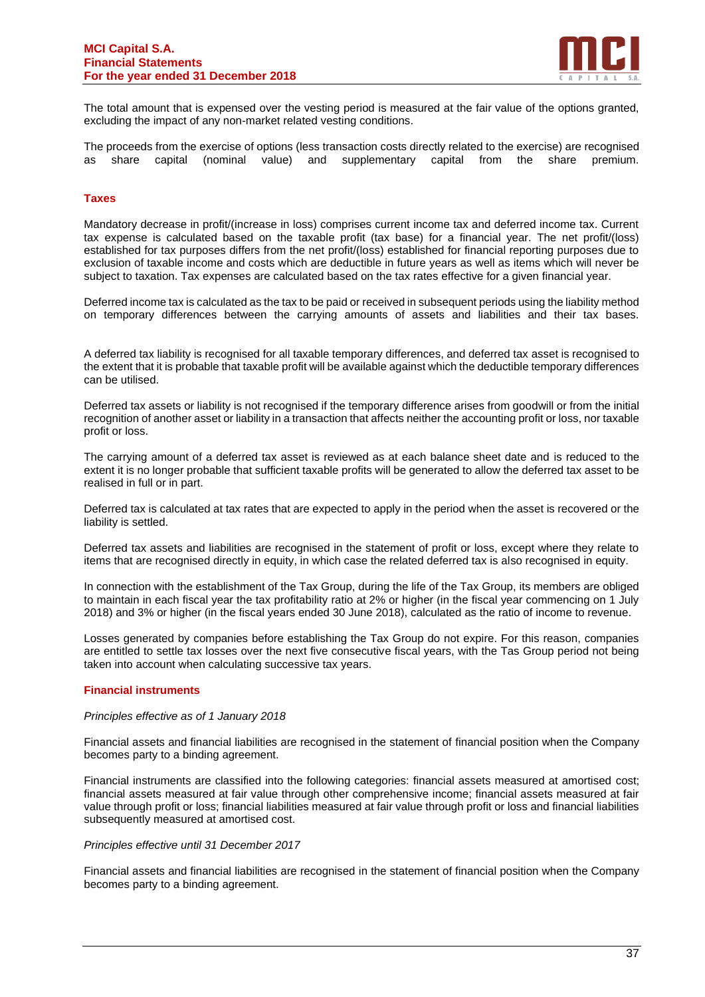

The total amount that is expensed over the vesting period is measured at the fair value of the options granted, excluding the impact of any non-market related vesting conditions.

The proceeds from the exercise of options (less transaction costs directly related to the exercise) are recognised as share capital (nominal value) and supplementary capital from the share premium.

#### **Taxes**

Mandatory decrease in profit/(increase in loss) comprises current income tax and deferred income tax. Current tax expense is calculated based on the taxable profit (tax base) for a financial year. The net profit/(loss) established for tax purposes differs from the net profit/(loss) established for financial reporting purposes due to exclusion of taxable income and costs which are deductible in future years as well as items which will never be subject to taxation. Tax expenses are calculated based on the tax rates effective for a given financial year.

Deferred income tax is calculated as the tax to be paid or received in subsequent periods using the liability method on temporary differences between the carrying amounts of assets and liabilities and their tax bases.

A deferred tax liability is recognised for all taxable temporary differences, and deferred tax asset is recognised to the extent that it is probable that taxable profit will be available against which the deductible temporary differences can be utilised.

Deferred tax assets or liability is not recognised if the temporary difference arises from goodwill or from the initial recognition of another asset or liability in a transaction that affects neither the accounting profit or loss, nor taxable profit or loss.

The carrying amount of a deferred tax asset is reviewed as at each balance sheet date and is reduced to the extent it is no longer probable that sufficient taxable profits will be generated to allow the deferred tax asset to be realised in full or in part.

Deferred tax is calculated at tax rates that are expected to apply in the period when the asset is recovered or the liability is settled.

Deferred tax assets and liabilities are recognised in the statement of profit or loss, except where they relate to items that are recognised directly in equity, in which case the related deferred tax is also recognised in equity.

In connection with the establishment of the Tax Group, during the life of the Tax Group, its members are obliged to maintain in each fiscal year the tax profitability ratio at 2% or higher (in the fiscal year commencing on 1 July 2018) and 3% or higher (in the fiscal years ended 30 June 2018), calculated as the ratio of income to revenue.

Losses generated by companies before establishing the Tax Group do not expire. For this reason, companies are entitled to settle tax losses over the next five consecutive fiscal years, with the Tas Group period not being taken into account when calculating successive tax years.

#### **Financial instruments**

#### *Principles effective as of 1 January 2018*

Financial assets and financial liabilities are recognised in the statement of financial position when the Company becomes party to a binding agreement.

Financial instruments are classified into the following categories: financial assets measured at amortised cost; financial assets measured at fair value through other comprehensive income; financial assets measured at fair value through profit or loss; financial liabilities measured at fair value through profit or loss and financial liabilities subsequently measured at amortised cost.

#### *Principles effective until 31 December 2017*

Financial assets and financial liabilities are recognised in the statement of financial position when the Company becomes party to a binding agreement.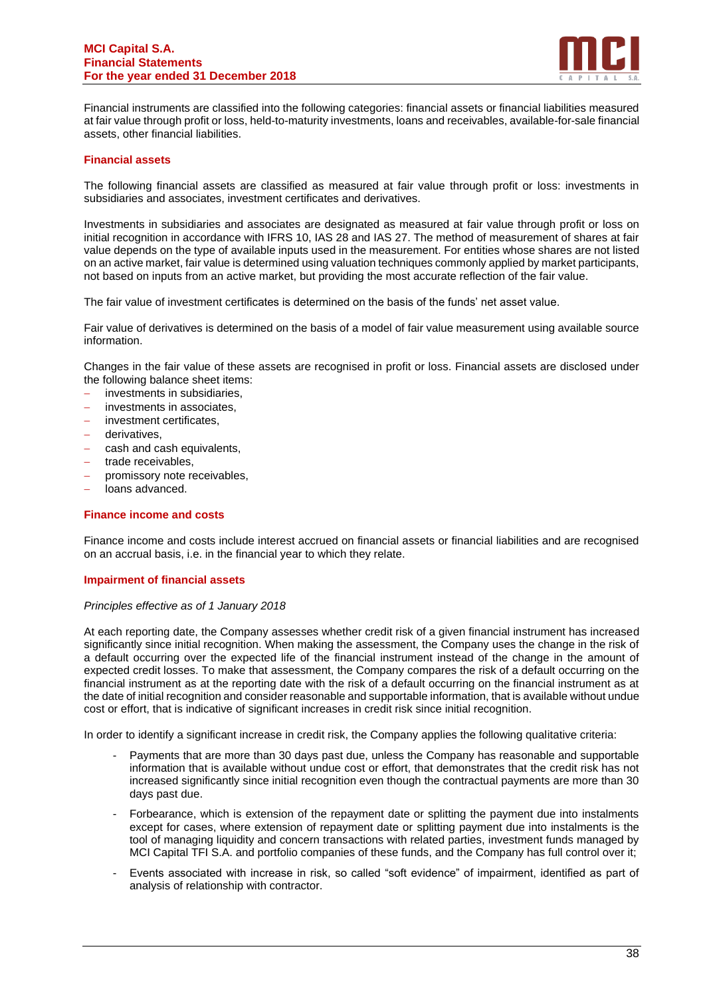#### **MCI Capital S.A. Financial Statements For the year ended 31 December 2018**



Financial instruments are classified into the following categories: financial assets or financial liabilities measured at fair value through profit or loss, held-to-maturity investments, loans and receivables, available-for-sale financial assets, other financial liabilities.

## **Financial assets**

The following financial assets are classified as measured at fair value through profit or loss: investments in subsidiaries and associates, investment certificates and derivatives.

Investments in subsidiaries and associates are designated as measured at fair value through profit or loss on initial recognition in accordance with IFRS 10, IAS 28 and IAS 27. The method of measurement of shares at fair value depends on the type of available inputs used in the measurement. For entities whose shares are not listed on an active market, fair value is determined using valuation techniques commonly applied by market participants, not based on inputs from an active market, but providing the most accurate reflection of the fair value.

The fair value of investment certificates is determined on the basis of the funds' net asset value.

Fair value of derivatives is determined on the basis of a model of fair value measurement using available source information.

Changes in the fair value of these assets are recognised in profit or loss. Financial assets are disclosed under the following balance sheet items:

- − investments in subsidiaries,
- − investments in associates,
- − investment certificates,
- − derivatives,
- − cash and cash equivalents,
- trade receivables.
- − promissory note receivables,
- − loans advanced.

#### **Finance income and costs**

Finance income and costs include interest accrued on financial assets or financial liabilities and are recognised on an accrual basis, i.e. in the financial year to which they relate.

#### **Impairment of financial assets**

#### *Principles effective as of 1 January 2018*

At each reporting date, the Company assesses whether credit risk of a given financial instrument has increased significantly since initial recognition. When making the assessment, the Company uses the change in the risk of a default occurring over the expected life of the financial instrument instead of the change in the amount of expected credit losses. To make that assessment, the Company compares the risk of a default occurring on the financial instrument as at the reporting date with the risk of a default occurring on the financial instrument as at the date of initial recognition and consider reasonable and supportable information, that is available without undue cost or effort, that is indicative of significant increases in credit risk since initial recognition.

In order to identify a significant increase in credit risk, the Company applies the following qualitative criteria:

- Payments that are more than 30 days past due, unless the Company has reasonable and supportable information that is available without undue cost or effort, that demonstrates that the credit risk has not increased significantly since initial recognition even though the contractual payments are more than 30 days past due.
- Forbearance, which is extension of the repayment date or splitting the payment due into instalments except for cases, where extension of repayment date or splitting payment due into instalments is the tool of managing liquidity and concern transactions with related parties, investment funds managed by MCI Capital TFI S.A. and portfolio companies of these funds, and the Company has full control over it;
- Events associated with increase in risk, so called "soft evidence" of impairment, identified as part of analysis of relationship with contractor.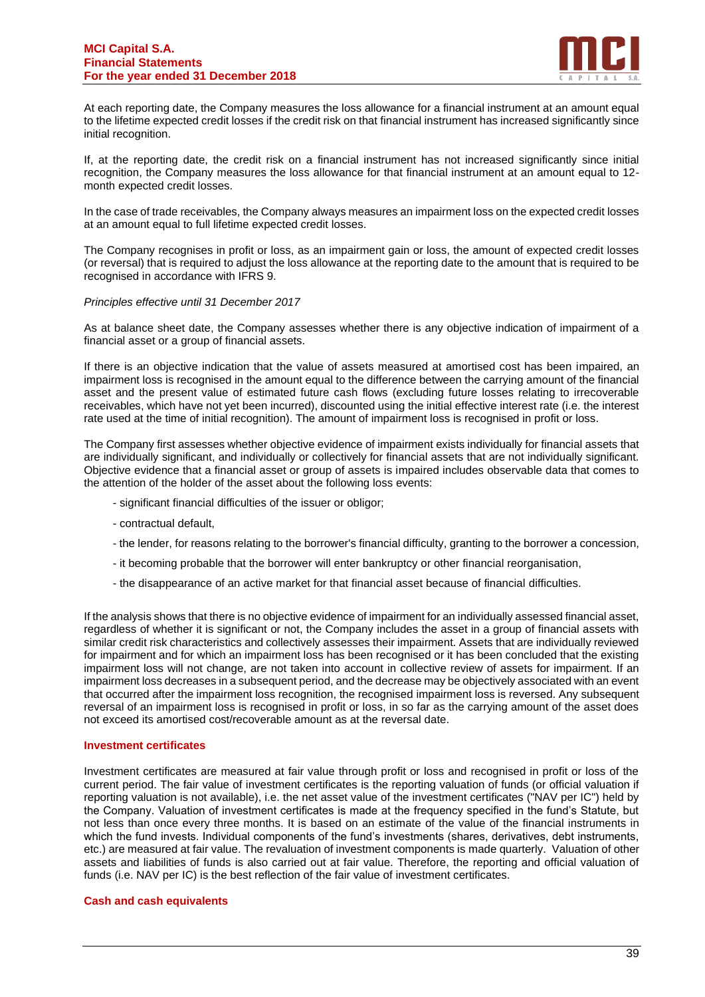

At each reporting date, the Company measures the loss allowance for a financial instrument at an amount equal to the lifetime expected credit losses if the credit risk on that financial instrument has increased significantly since initial recognition.

If, at the reporting date, the credit risk on a financial instrument has not increased significantly since initial recognition, the Company measures the loss allowance for that financial instrument at an amount equal to 12 month expected credit losses.

In the case of trade receivables, the Company always measures an impairment loss on the expected credit losses at an amount equal to full lifetime expected credit losses.

The Company recognises in profit or loss, as an impairment gain or loss, the amount of expected credit losses (or reversal) that is required to adjust the loss allowance at the reporting date to the amount that is required to be recognised in accordance with IFRS 9.

#### *Principles effective until 31 December 2017*

As at balance sheet date, the Company assesses whether there is any objective indication of impairment of a financial asset or a group of financial assets.

If there is an objective indication that the value of assets measured at amortised cost has been impaired, an impairment loss is recognised in the amount equal to the difference between the carrying amount of the financial asset and the present value of estimated future cash flows (excluding future losses relating to irrecoverable receivables, which have not yet been incurred), discounted using the initial effective interest rate (i.e. the interest rate used at the time of initial recognition). The amount of impairment loss is recognised in profit or loss.

The Company first assesses whether objective evidence of impairment exists individually for financial assets that are individually significant, and individually or collectively for financial assets that are not individually significant. Objective evidence that a financial asset or group of assets is impaired includes observable data that comes to the attention of the holder of the asset about the following loss events:

- significant financial difficulties of the issuer or obligor;
- contractual default,
- the lender, for reasons relating to the borrower's financial difficulty, granting to the borrower a concession,
- it becoming probable that the borrower will enter bankruptcy or other financial reorganisation,
- the disappearance of an active market for that financial asset because of financial difficulties.

If the analysis shows that there is no objective evidence of impairment for an individually assessed financial asset, regardless of whether it is significant or not, the Company includes the asset in a group of financial assets with similar credit risk characteristics and collectively assesses their impairment. Assets that are individually reviewed for impairment and for which an impairment loss has been recognised or it has been concluded that the existing impairment loss will not change, are not taken into account in collective review of assets for impairment. If an impairment loss decreases in a subsequent period, and the decrease may be objectively associated with an event that occurred after the impairment loss recognition, the recognised impairment loss is reversed. Any subsequent reversal of an impairment loss is recognised in profit or loss, in so far as the carrying amount of the asset does not exceed its amortised cost/recoverable amount as at the reversal date.

#### **Investment certificates**

Investment certificates are measured at fair value through profit or loss and recognised in profit or loss of the current period. The fair value of investment certificates is the reporting valuation of funds (or official valuation if reporting valuation is not available), i.e. the net asset value of the investment certificates ("NAV per IC") held by the Company. Valuation of investment certificates is made at the frequency specified in the fund's Statute, but not less than once every three months. It is based on an estimate of the value of the financial instruments in which the fund invests. Individual components of the fund's investments (shares, derivatives, debt instruments, etc.) are measured at fair value. The revaluation of investment components is made quarterly. Valuation of other assets and liabilities of funds is also carried out at fair value. Therefore, the reporting and official valuation of funds (i.e. NAV per IC) is the best reflection of the fair value of investment certificates.

#### **Cash and cash equivalents**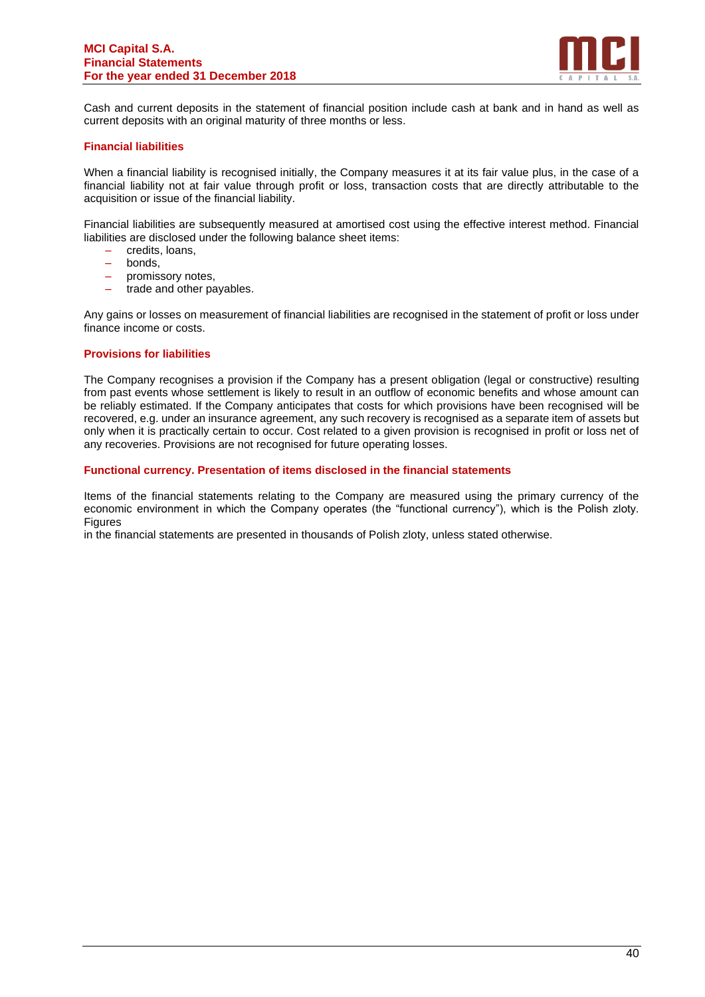

Cash and current deposits in the statement of financial position include cash at bank and in hand as well as current deposits with an original maturity of three months or less.

#### **Financial liabilities**

When a financial liability is recognised initially, the Company measures it at its fair value plus, in the case of a financial liability not at fair value through profit or loss, transaction costs that are directly attributable to the acquisition or issue of the financial liability.

Financial liabilities are subsequently measured at amortised cost using the effective interest method. Financial liabilities are disclosed under the following balance sheet items:

- credits, loans,
- bonds,
- promissory notes,
- trade and other payables.

Any gains or losses on measurement of financial liabilities are recognised in the statement of profit or loss under finance income or costs.

#### **Provisions for liabilities**

The Company recognises a provision if the Company has a present obligation (legal or constructive) resulting from past events whose settlement is likely to result in an outflow of economic benefits and whose amount can be reliably estimated. If the Company anticipates that costs for which provisions have been recognised will be recovered, e.g. under an insurance agreement, any such recovery is recognised as a separate item of assets but only when it is practically certain to occur. Cost related to a given provision is recognised in profit or loss net of any recoveries. Provisions are not recognised for future operating losses.

#### **Functional currency. Presentation of items disclosed in the financial statements**

Items of the financial statements relating to the Company are measured using the primary currency of the economic environment in which the Company operates (the "functional currency"), which is the Polish zloty. **Figures** 

in the financial statements are presented in thousands of Polish zloty, unless stated otherwise.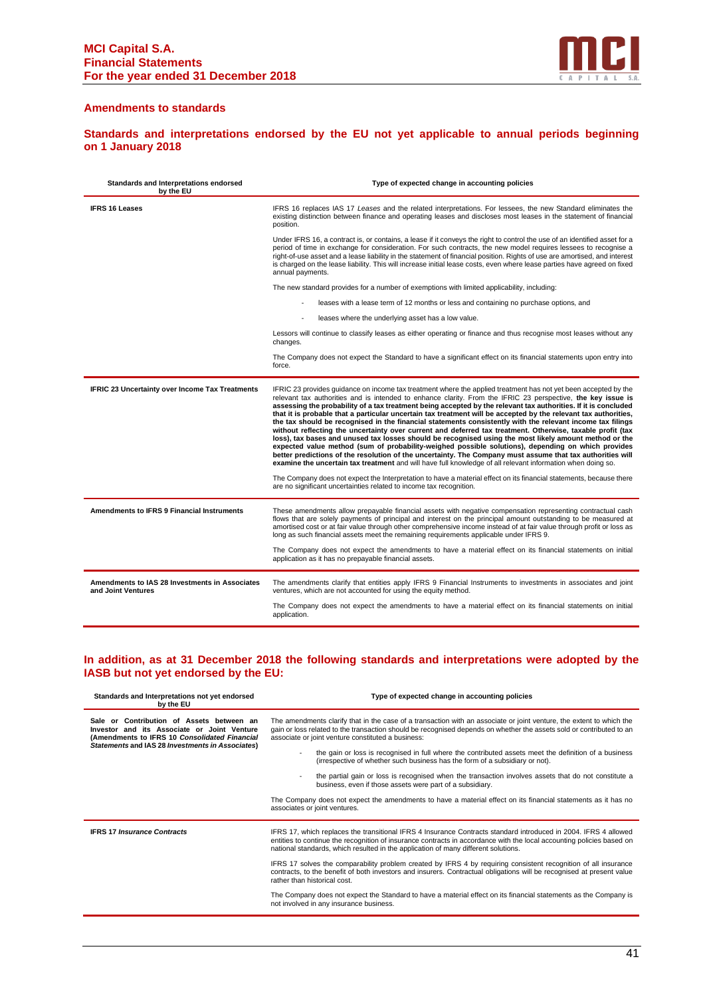

#### **Amendments to standards**

**Standards and interpretations endorsed by the EU not yet applicable to annual periods beginning on 1 January 2018**

| Standards and Interpretations endorsed<br>by the EU                  | Type of expected change in accounting policies                                                                                                                                                                                                                                                                                                                                                                                                                                                                                                                                                                                                                                                                                                                                                                                                                                                                                                                                                                                                                                                                                                                                                                                                                                                                                               |
|----------------------------------------------------------------------|----------------------------------------------------------------------------------------------------------------------------------------------------------------------------------------------------------------------------------------------------------------------------------------------------------------------------------------------------------------------------------------------------------------------------------------------------------------------------------------------------------------------------------------------------------------------------------------------------------------------------------------------------------------------------------------------------------------------------------------------------------------------------------------------------------------------------------------------------------------------------------------------------------------------------------------------------------------------------------------------------------------------------------------------------------------------------------------------------------------------------------------------------------------------------------------------------------------------------------------------------------------------------------------------------------------------------------------------|
| <b>IFRS 16 Leases</b>                                                | IFRS 16 replaces IAS 17 Leases and the related interpretations. For lessees, the new Standard eliminates the<br>existing distinction between finance and operating leases and discloses most leases in the statement of financial<br>position.                                                                                                                                                                                                                                                                                                                                                                                                                                                                                                                                                                                                                                                                                                                                                                                                                                                                                                                                                                                                                                                                                               |
|                                                                      | Under IFRS 16, a contract is, or contains, a lease if it conveys the right to control the use of an identified asset for a<br>period of time in exchange for consideration. For such contracts, the new model requires lessees to recognise a<br>right-of-use asset and a lease liability in the statement of financial position. Rights of use are amortised, and interest<br>is charged on the lease liability. This will increase initial lease costs, even where lease parties have agreed on fixed<br>annual payments.                                                                                                                                                                                                                                                                                                                                                                                                                                                                                                                                                                                                                                                                                                                                                                                                                  |
|                                                                      | The new standard provides for a number of exemptions with limited applicability, including:                                                                                                                                                                                                                                                                                                                                                                                                                                                                                                                                                                                                                                                                                                                                                                                                                                                                                                                                                                                                                                                                                                                                                                                                                                                  |
|                                                                      | leases with a lease term of 12 months or less and containing no purchase options, and                                                                                                                                                                                                                                                                                                                                                                                                                                                                                                                                                                                                                                                                                                                                                                                                                                                                                                                                                                                                                                                                                                                                                                                                                                                        |
|                                                                      | leases where the underlying asset has a low value.                                                                                                                                                                                                                                                                                                                                                                                                                                                                                                                                                                                                                                                                                                                                                                                                                                                                                                                                                                                                                                                                                                                                                                                                                                                                                           |
|                                                                      | Lessors will continue to classify leases as either operating or finance and thus recognise most leases without any<br>changes.                                                                                                                                                                                                                                                                                                                                                                                                                                                                                                                                                                                                                                                                                                                                                                                                                                                                                                                                                                                                                                                                                                                                                                                                               |
|                                                                      | The Company does not expect the Standard to have a significant effect on its financial statements upon entry into<br>force.                                                                                                                                                                                                                                                                                                                                                                                                                                                                                                                                                                                                                                                                                                                                                                                                                                                                                                                                                                                                                                                                                                                                                                                                                  |
| IFRIC 23 Uncertainty over Income Tax Treatments                      | IFRIC 23 provides guidance on income tax treatment where the applied treatment has not yet been accepted by the<br>relevant tax authorities and is intended to enhance clarity. From the IFRIC 23 perspective, the key issue is<br>assessing the probability of a tax treatment being accepted by the relevant tax authorities. If it is concluded<br>that it is probable that a particular uncertain tax treatment will be accepted by the relevant tax authorities,<br>the tax should be recognised in the financial statements consistently with the relevant income tax filings<br>without reflecting the uncertainty over current and deferred tax treatment. Otherwise, taxable profit (tax<br>loss), tax bases and unused tax losses should be recognised using the most likely amount method or the<br>expected value method (sum of probability-weighed possible solutions), depending on which provides<br>better predictions of the resolution of the uncertainty. The Company must assume that tax authorities will<br>examine the uncertain tax treatment and will have full knowledge of all relevant information when doing so.<br>The Company does not expect the Interpretation to have a material effect on its financial statements, because there<br>are no significant uncertainties related to income tax recognition. |
| <b>Amendments to IFRS 9 Financial Instruments</b>                    | These amendments allow prepayable financial assets with negative compensation representing contractual cash<br>flows that are solely payments of principal and interest on the principal amount outstanding to be measured at<br>amortised cost or at fair value through other comprehensive income instead of at fair value through profit or loss as<br>long as such financial assets meet the remaining requirements applicable under IFRS 9.                                                                                                                                                                                                                                                                                                                                                                                                                                                                                                                                                                                                                                                                                                                                                                                                                                                                                             |
|                                                                      | The Company does not expect the amendments to have a material effect on its financial statements on initial<br>application as it has no prepayable financial assets.                                                                                                                                                                                                                                                                                                                                                                                                                                                                                                                                                                                                                                                                                                                                                                                                                                                                                                                                                                                                                                                                                                                                                                         |
| Amendments to IAS 28 Investments in Associates<br>and Joint Ventures | The amendments clarify that entities apply IFRS 9 Financial Instruments to investments in associates and joint<br>ventures, which are not accounted for using the equity method.                                                                                                                                                                                                                                                                                                                                                                                                                                                                                                                                                                                                                                                                                                                                                                                                                                                                                                                                                                                                                                                                                                                                                             |
|                                                                      | The Company does not expect the amendments to have a material effect on its financial statements on initial<br>application.                                                                                                                                                                                                                                                                                                                                                                                                                                                                                                                                                                                                                                                                                                                                                                                                                                                                                                                                                                                                                                                                                                                                                                                                                  |

# **In addition, as at 31 December 2018 the following standards and interpretations were adopted by the IASB but not yet endorsed by the EU:**

| Standards and Interpretations not yet endorsed<br>by the EU                                                                                                                                      | Type of expected change in accounting policies                                                                                                                                                                                                                                                                                                                                                                                                                                                                                                                                                                                                                                                                                                                                                                     |  |  |  |
|--------------------------------------------------------------------------------------------------------------------------------------------------------------------------------------------------|--------------------------------------------------------------------------------------------------------------------------------------------------------------------------------------------------------------------------------------------------------------------------------------------------------------------------------------------------------------------------------------------------------------------------------------------------------------------------------------------------------------------------------------------------------------------------------------------------------------------------------------------------------------------------------------------------------------------------------------------------------------------------------------------------------------------|--|--|--|
| Contribution of Assets between an<br>Sale or<br>Investor and its Associate or Joint Venture<br>(Amendments to IFRS 10 Consolidated Financial<br>Statements and IAS 28 Investments in Associates) | The amendments clarify that in the case of a transaction with an associate or joint venture, the extent to which the<br>gain or loss related to the transaction should be recognised depends on whether the assets sold or contributed to an<br>associate or joint venture constituted a business:<br>the gain or loss is recognised in full where the contributed assets meet the definition of a business<br>(irrespective of whether such business has the form of a subsidiary or not).<br>the partial gain or loss is recognised when the transaction involves assets that do not constitute a<br>business, even if those assets were part of a subsidiary.<br>The Company does not expect the amendments to have a material effect on its financial statements as it has no<br>associates or joint ventures. |  |  |  |
| <b>IFRS 17 Insurance Contracts</b>                                                                                                                                                               | IFRS 17, which replaces the transitional IFRS 4 Insurance Contracts standard introduced in 2004. IFRS 4 allowed<br>entities to continue the recognition of insurance contracts in accordance with the local accounting policies based on<br>national standards, which resulted in the application of many different solutions.<br>IFRS 17 solves the comparability problem created by IFRS 4 by requiring consistent recognition of all insurance<br>contracts, to the benefit of both investors and insurers. Contractual obligations will be recognised at present value<br>rather than historical cost.<br>The Company does not expect the Standard to have a material effect on its financial statements as the Company is<br>not involved in any insurance business.                                          |  |  |  |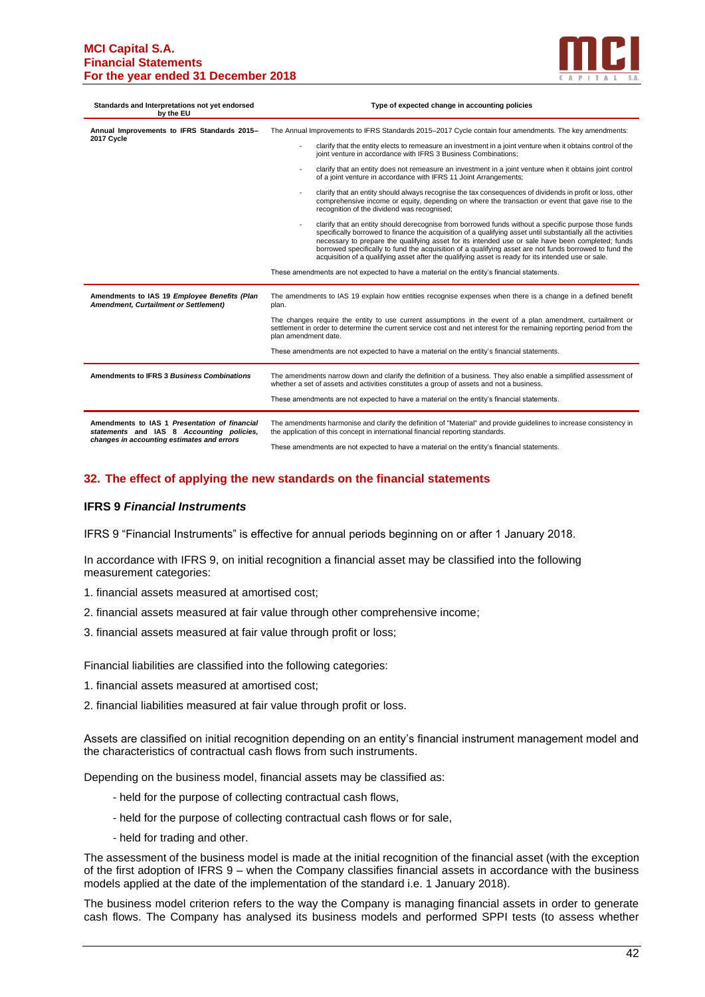#### **MCI Capital S.A. Financial Statements For the year ended 31 December 2018**



| Standards and Interpretations not yet endorsed<br>by the EU                                                                              | Type of expected change in accounting policies                                                                                                                                                                                                                                                                                                                                                                                                                                                                                              |  |  |  |  |
|------------------------------------------------------------------------------------------------------------------------------------------|---------------------------------------------------------------------------------------------------------------------------------------------------------------------------------------------------------------------------------------------------------------------------------------------------------------------------------------------------------------------------------------------------------------------------------------------------------------------------------------------------------------------------------------------|--|--|--|--|
| Annual Improvements to IFRS Standards 2015-<br>2017 Cycle                                                                                | The Annual Improvements to IFRS Standards 2015-2017 Cycle contain four amendments. The key amendments:                                                                                                                                                                                                                                                                                                                                                                                                                                      |  |  |  |  |
|                                                                                                                                          | clarify that the entity elects to remeasure an investment in a joint venture when it obtains control of the<br>joint venture in accordance with IFRS 3 Business Combinations;                                                                                                                                                                                                                                                                                                                                                               |  |  |  |  |
|                                                                                                                                          | clarify that an entity does not remeasure an investment in a joint venture when it obtains joint control<br>of a joint venture in accordance with IFRS 11 Joint Arrangements;                                                                                                                                                                                                                                                                                                                                                               |  |  |  |  |
|                                                                                                                                          | clarify that an entity should always recognise the tax consequences of dividends in profit or loss, other<br>comprehensive income or equity, depending on where the transaction or event that gave rise to the<br>recognition of the dividend was recognised;                                                                                                                                                                                                                                                                               |  |  |  |  |
|                                                                                                                                          | clarify that an entity should derecognise from borrowed funds without a specific purpose those funds<br>specifically borrowed to finance the acquisition of a qualifying asset until substantially all the activities<br>necessary to prepare the qualifying asset for its intended use or sale have been completed; funds<br>borrowed specifically to fund the acquisition of a qualifying asset are not funds borrowed to fund the<br>acquisition of a qualifying asset after the qualifying asset is ready for its intended use or sale. |  |  |  |  |
|                                                                                                                                          | These amendments are not expected to have a material on the entity's financial statements.                                                                                                                                                                                                                                                                                                                                                                                                                                                  |  |  |  |  |
| Amendments to IAS 19 Employee Benefits (Plan<br>Amendment, Curtailment or Settlement)                                                    | The amendments to IAS 19 explain how entities recognise expenses when there is a change in a defined benefit<br>plan.                                                                                                                                                                                                                                                                                                                                                                                                                       |  |  |  |  |
|                                                                                                                                          | The changes require the entity to use current assumptions in the event of a plan amendment, curtailment or<br>settlement in order to determine the current service cost and net interest for the remaining reporting period from the<br>plan amendment date.<br>These amendments are not expected to have a material on the entity's financial statements.                                                                                                                                                                                  |  |  |  |  |
|                                                                                                                                          |                                                                                                                                                                                                                                                                                                                                                                                                                                                                                                                                             |  |  |  |  |
| Amendments to IFRS 3 Business Combinations                                                                                               | The amendments narrow down and clarify the definition of a business. They also enable a simplified assessment of<br>whether a set of assets and activities constitutes a group of assets and not a business.                                                                                                                                                                                                                                                                                                                                |  |  |  |  |
|                                                                                                                                          | These amendments are not expected to have a material on the entity's financial statements.                                                                                                                                                                                                                                                                                                                                                                                                                                                  |  |  |  |  |
| Amendments to IAS 1 Presentation of financial<br>statements and IAS 8 Accounting policies,<br>changes in accounting estimates and errors | The amendments harmonise and clarify the definition of "Material" and provide quidelines to increase consistency in<br>the application of this concept in international financial reporting standards.                                                                                                                                                                                                                                                                                                                                      |  |  |  |  |
|                                                                                                                                          | These amendments are not expected to have a material on the entity's financial statements.                                                                                                                                                                                                                                                                                                                                                                                                                                                  |  |  |  |  |

# **32. The effect of applying the new standards on the financial statements**

#### **IFRS 9** *Financial Instruments*

IFRS 9 "Financial Instruments" is effective for annual periods beginning on or after 1 January 2018.

In accordance with IFRS 9, on initial recognition a financial asset may be classified into the following measurement categories:

- 1. financial assets measured at amortised cost;
- 2. financial assets measured at fair value through other comprehensive income;
- 3. financial assets measured at fair value through profit or loss;

Financial liabilities are classified into the following categories:

- 1. financial assets measured at amortised cost;
- 2. financial liabilities measured at fair value through profit or loss.

Assets are classified on initial recognition depending on an entity's financial instrument management model and the characteristics of contractual cash flows from such instruments.

Depending on the business model, financial assets may be classified as:

- held for the purpose of collecting contractual cash flows,
- held for the purpose of collecting contractual cash flows or for sale,
- held for trading and other.

The assessment of the business model is made at the initial recognition of the financial asset (with the exception of the first adoption of IFRS 9 – when the Company classifies financial assets in accordance with the business models applied at the date of the implementation of the standard i.e. 1 January 2018).

The business model criterion refers to the way the Company is managing financial assets in order to generate cash flows. The Company has analysed its business models and performed SPPI tests (to assess whether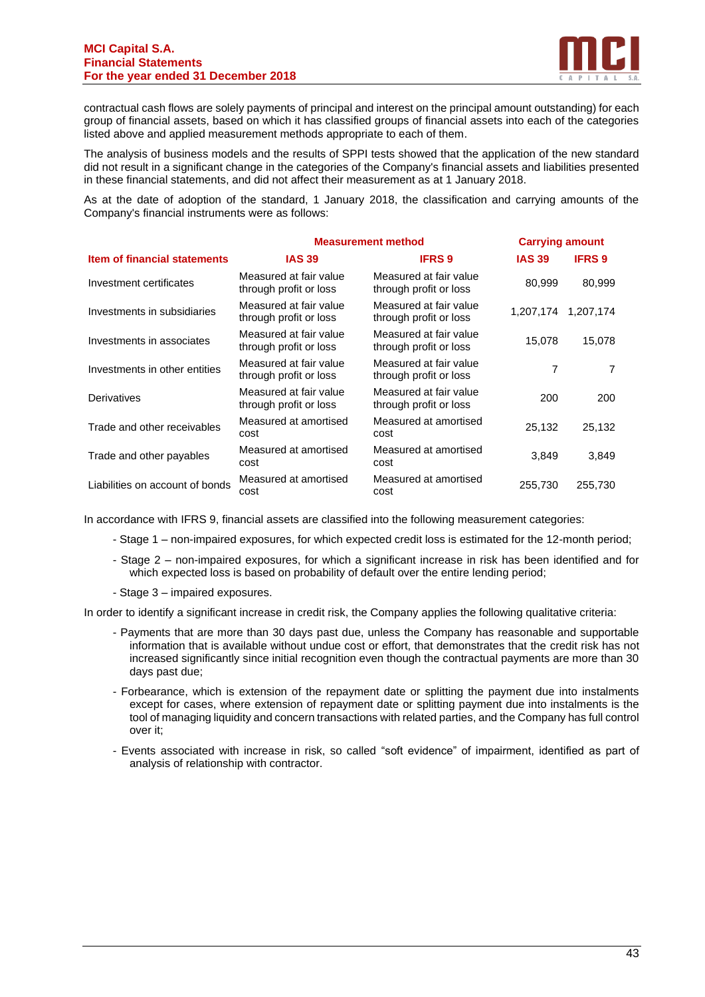#### **MCI Capital S.A. Financial Statements For the year ended 31 December 2018**



contractual cash flows are solely payments of principal and interest on the principal amount outstanding) for each group of financial assets, based on which it has classified groups of financial assets into each of the categories listed above and applied measurement methods appropriate to each of them.

The analysis of business models and the results of SPPI tests showed that the application of the new standard did not result in a significant change in the categories of the Company's financial assets and liabilities presented in these financial statements, and did not affect their measurement as at 1 January 2018.

As at the date of adoption of the standard, 1 January 2018, the classification and carrying amounts of the Company's financial instruments were as follows:

|                                     | <b>Measurement method</b>                        |                                                  | <b>Carrying amount</b> |               |
|-------------------------------------|--------------------------------------------------|--------------------------------------------------|------------------------|---------------|
| <b>Item of financial statements</b> | <b>IAS 39</b>                                    | <b>IFRS 9</b>                                    | <b>IAS 39</b>          | <b>IFRS 9</b> |
| Investment certificates             | Measured at fair value<br>through profit or loss | Measured at fair value<br>through profit or loss | 80,999                 | 80,999        |
| Investments in subsidiaries         | Measured at fair value<br>through profit or loss | Measured at fair value<br>through profit or loss | 1.207.174              | 1.207.174     |
| Investments in associates           | Measured at fair value<br>through profit or loss | Measured at fair value<br>through profit or loss | 15.078                 | 15,078        |
| Investments in other entities       | Measured at fair value<br>through profit or loss | Measured at fair value<br>through profit or loss | 7                      | 7             |
| Derivatives                         | Measured at fair value<br>through profit or loss | Measured at fair value<br>through profit or loss | 200                    | 200           |
| Trade and other receivables         | Measured at amortised<br>cost                    | Measured at amortised<br>cost                    | 25,132                 | 25,132        |
| Trade and other payables            | Measured at amortised<br>cost                    | Measured at amortised<br>cost                    | 3,849                  | 3,849         |
| Liabilities on account of bonds     | Measured at amortised<br>cost                    | Measured at amortised<br>cost                    | 255,730                | 255,730       |

In accordance with IFRS 9, financial assets are classified into the following measurement categories:

- Stage 1 non-impaired exposures, for which expected credit loss is estimated for the 12-month period;
- Stage 2 non-impaired exposures, for which a significant increase in risk has been identified and for which expected loss is based on probability of default over the entire lending period;
- Stage 3 impaired exposures.

In order to identify a significant increase in credit risk, the Company applies the following qualitative criteria:

- Payments that are more than 30 days past due, unless the Company has reasonable and supportable information that is available without undue cost or effort, that demonstrates that the credit risk has not increased significantly since initial recognition even though the contractual payments are more than 30 days past due;
- Forbearance, which is extension of the repayment date or splitting the payment due into instalments except for cases, where extension of repayment date or splitting payment due into instalments is the tool of managing liquidity and concern transactions with related parties, and the Company has full control over it;
- Events associated with increase in risk, so called "soft evidence" of impairment, identified as part of analysis of relationship with contractor.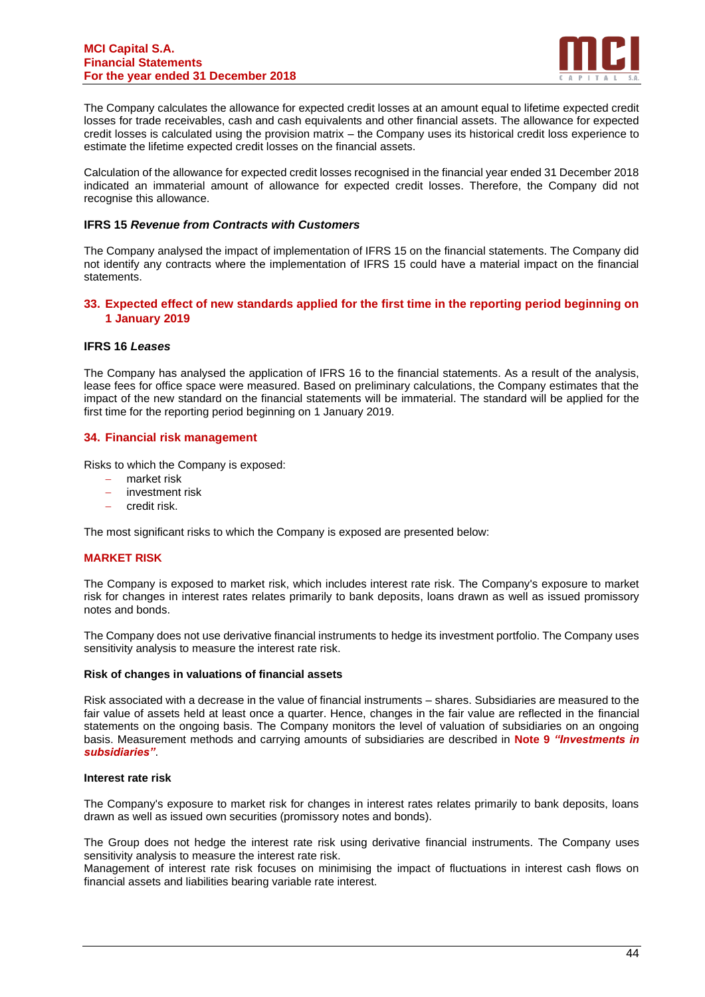

The Company calculates the allowance for expected credit losses at an amount equal to lifetime expected credit losses for trade receivables, cash and cash equivalents and other financial assets. The allowance for expected credit losses is calculated using the provision matrix – the Company uses its historical credit loss experience to estimate the lifetime expected credit losses on the financial assets.

Calculation of the allowance for expected credit losses recognised in the financial year ended 31 December 2018 indicated an immaterial amount of allowance for expected credit losses. Therefore, the Company did not recognise this allowance.

## **IFRS 15** *Revenue from Contracts with Customers*

The Company analysed the impact of implementation of IFRS 15 on the financial statements. The Company did not identify any contracts where the implementation of IFRS 15 could have a material impact on the financial statements.

## **33. Expected effect of new standards applied for the first time in the reporting period beginning on 1 January 2019**

#### **IFRS 16** *Leases*

The Company has analysed the application of IFRS 16 to the financial statements. As a result of the analysis, lease fees for office space were measured. Based on preliminary calculations, the Company estimates that the impact of the new standard on the financial statements will be immaterial. The standard will be applied for the first time for the reporting period beginning on 1 January 2019.

# **34. Financial risk management**

Risks to which the Company is exposed:

- − market risk
- − investment risk
- − credit risk.

The most significant risks to which the Company is exposed are presented below:

#### **MARKET RISK**

The Company is exposed to market risk, which includes interest rate risk. The Company's exposure to market risk for changes in interest rates relates primarily to bank deposits, loans drawn as well as issued promissory notes and bonds.

The Company does not use derivative financial instruments to hedge its investment portfolio. The Company uses sensitivity analysis to measure the interest rate risk.

#### **Risk of changes in valuations of financial assets**

Risk associated with a decrease in the value of financial instruments – shares. Subsidiaries are measured to the fair value of assets held at least once a quarter. Hence, changes in the fair value are reflected in the financial statements on the ongoing basis. The Company monitors the level of valuation of subsidiaries on an ongoing basis. Measurement methods and carrying amounts of subsidiaries are described in **Note 9** *"Investments in subsidiaries"*.

#### **Interest rate risk**

The Company's exposure to market risk for changes in interest rates relates primarily to bank deposits, loans drawn as well as issued own securities (promissory notes and bonds).

The Group does not hedge the interest rate risk using derivative financial instruments. The Company uses sensitivity analysis to measure the interest rate risk.

Management of interest rate risk focuses on minimising the impact of fluctuations in interest cash flows on financial assets and liabilities bearing variable rate interest.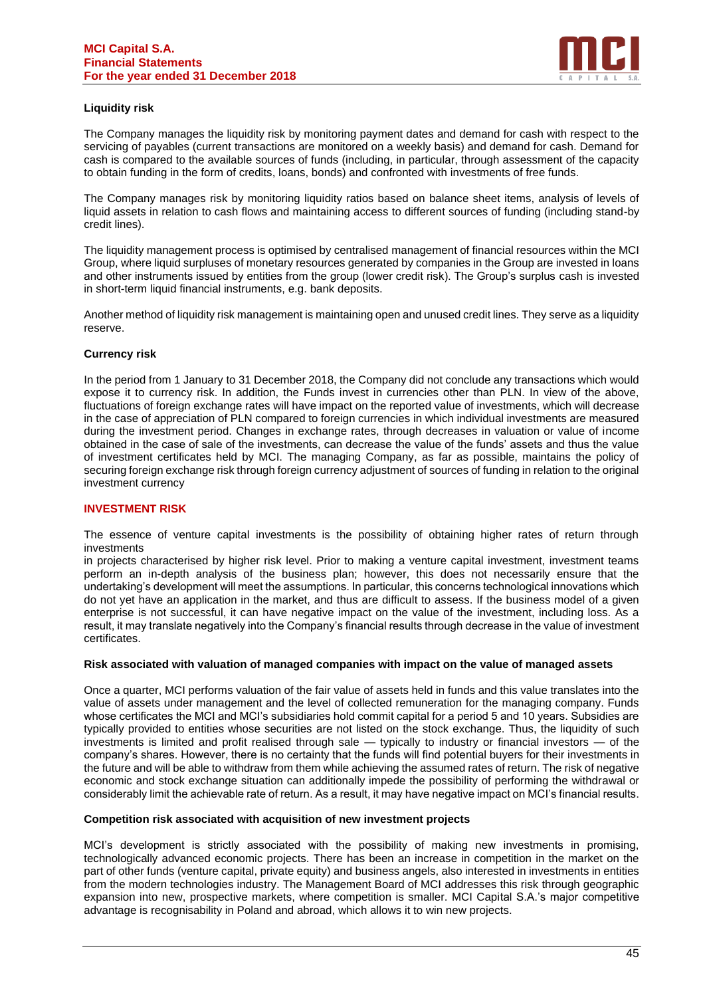

# **Liquidity risk**

The Company manages the liquidity risk by monitoring payment dates and demand for cash with respect to the servicing of payables (current transactions are monitored on a weekly basis) and demand for cash. Demand for cash is compared to the available sources of funds (including, in particular, through assessment of the capacity to obtain funding in the form of credits, loans, bonds) and confronted with investments of free funds.

The Company manages risk by monitoring liquidity ratios based on balance sheet items, analysis of levels of liquid assets in relation to cash flows and maintaining access to different sources of funding (including stand-by credit lines).

The liquidity management process is optimised by centralised management of financial resources within the MCI Group, where liquid surpluses of monetary resources generated by companies in the Group are invested in loans and other instruments issued by entities from the group (lower credit risk). The Group's surplus cash is invested in short-term liquid financial instruments, e.g. bank deposits.

Another method of liquidity risk management is maintaining open and unused credit lines. They serve as a liquidity reserve.

# **Currency risk**

In the period from 1 January to 31 December 2018, the Company did not conclude any transactions which would expose it to currency risk. In addition, the Funds invest in currencies other than PLN. In view of the above, fluctuations of foreign exchange rates will have impact on the reported value of investments, which will decrease in the case of appreciation of PLN compared to foreign currencies in which individual investments are measured during the investment period. Changes in exchange rates, through decreases in valuation or value of income obtained in the case of sale of the investments, can decrease the value of the funds' assets and thus the value of investment certificates held by MCI. The managing Company, as far as possible, maintains the policy of securing foreign exchange risk through foreign currency adjustment of sources of funding in relation to the original investment currency

#### **INVESTMENT RISK**

The essence of venture capital investments is the possibility of obtaining higher rates of return through investments

in projects characterised by higher risk level. Prior to making a venture capital investment, investment teams perform an in-depth analysis of the business plan; however, this does not necessarily ensure that the undertaking's development will meet the assumptions. In particular, this concerns technological innovations which do not yet have an application in the market, and thus are difficult to assess. If the business model of a given enterprise is not successful, it can have negative impact on the value of the investment, including loss. As a result, it may translate negatively into the Company's financial results through decrease in the value of investment certificates.

#### **Risk associated with valuation of managed companies with impact on the value of managed assets**

Once a quarter, MCI performs valuation of the fair value of assets held in funds and this value translates into the value of assets under management and the level of collected remuneration for the managing company. Funds whose certificates the MCI and MCI's subsidiaries hold commit capital for a period 5 and 10 years. Subsidies are typically provided to entities whose securities are not listed on the stock exchange. Thus, the liquidity of such investments is limited and profit realised through sale — typically to industry or financial investors — of the company's shares. However, there is no certainty that the funds will find potential buyers for their investments in the future and will be able to withdraw from them while achieving the assumed rates of return. The risk of negative economic and stock exchange situation can additionally impede the possibility of performing the withdrawal or considerably limit the achievable rate of return. As a result, it may have negative impact on MCI's financial results.

#### **Competition risk associated with acquisition of new investment projects**

MCI's development is strictly associated with the possibility of making new investments in promising, technologically advanced economic projects. There has been an increase in competition in the market on the part of other funds (venture capital, private equity) and business angels, also interested in investments in entities from the modern technologies industry. The Management Board of MCI addresses this risk through geographic expansion into new, prospective markets, where competition is smaller. MCI Capital S.A.'s major competitive advantage is recognisability in Poland and abroad, which allows it to win new projects.